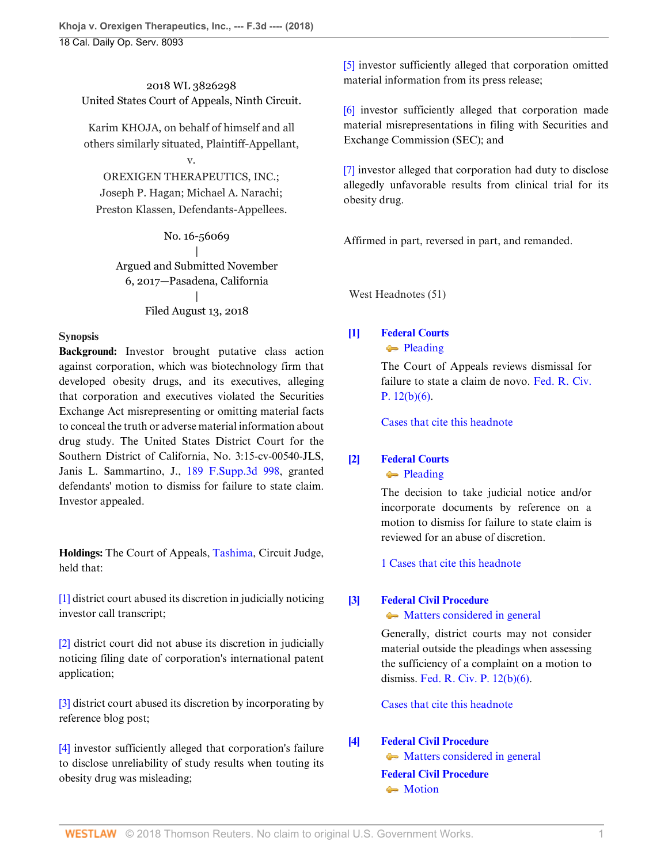2018 WL 3826298 United States Court of Appeals, Ninth Circuit.

Karim KHOJA, on behalf of himself and all others similarly situated, Plaintiff-Appellant,

# v.

OREXIGEN THERAPEUTICS, INC.; Joseph P. Hagan; Michael A. Narachi; Preston Klassen, Defendants-Appellees.

> No. 16-56069 | Argued and Submitted November 6, 2017—Pasadena, California |

## Filed August 13, 2018

## **Synopsis**

**Background:** Investor brought putative class action against corporation, which was biotechnology firm that developed obesity drugs, and its executives, alleging that corporation and executives violated the Securities Exchange Act misrepresenting or omitting material facts to conceal the truth or adverse material information about drug study. The United States District Court for the Southern District of California, No. 3:15-cv-00540-JLS, Janis L. Sammartino, J., [189 F.Supp.3d 998](http://www.westlaw.com/Link/Document/FullText?findType=Y&serNum=2039265817&pubNum=0007903&originatingDoc=I9120ac409f1411e892c4ce5625aacf64&refType=RP&originationContext=document&vr=3.0&rs=cblt1.0&transitionType=DocumentItem&contextData=(sc.Default)), granted defendants' motion to dismiss for failure to state claim. Investor appealed.

**Holdings:** The Court of Appeals, [Tashima](http://www.westlaw.com/Link/Document/FullText?findType=h&pubNum=176284&cite=0245209101&originatingDoc=I9120ac409f1411e892c4ce5625aacf64&refType=RQ&originationContext=document&vr=3.0&rs=cblt1.0&transitionType=DocumentItem&contextData=(sc.Default)), Circuit Judge, held that:

[\[1\]](#page-1-0) district court abused its discretion in judicially noticing investor call transcript;

[\[2\]](#page-1-1) district court did not abuse its discretion in judicially noticing filing date of corporation's international patent application;

[\[3\]](#page-3-0) district court abused its discretion by incorporating by reference blog post;

[\[4\]](#page-6-0) investor sufficiently alleged that corporation's failure to disclose unreliability of study results when touting its obesity drug was misleading;

[\[5\]](#page-6-1) investor sufficiently alleged that corporation omitted material information from its press release;

[\[6\]](#page-7-0) investor sufficiently alleged that corporation made material misrepresentations in filing with Securities and Exchange Commission (SEC); and

[\[7\]](#page-7-1) investor alleged that corporation had duty to disclose allegedly unfavorable results from clinical trial for its obesity drug.

Affirmed in part, reversed in part, and remanded.

West Headnotes (51)

## <span id="page-0-0"></span>**[\[1\]](#page-11-0) [Federal Courts](http://www.westlaw.com/Browse/Home/KeyNumber/170B/View.html?docGuid=I9120ac409f1411e892c4ce5625aacf64&originationContext=document&vr=3.0&rs=cblt1.0&transitionType=DocumentItem&contextData=(sc.Default))** • [Pleading](http://www.westlaw.com/Browse/Home/KeyNumber/170Bk3587/View.html?docGuid=I9120ac409f1411e892c4ce5625aacf64&originationContext=document&vr=3.0&rs=cblt1.0&transitionType=DocumentItem&contextData=(sc.Default))

The Court of Appeals reviews dismissal for failure to state a claim de novo. [Fed. R. Civ.](http://www.westlaw.com/Link/Document/FullText?findType=L&pubNum=1000600&cite=USFRCPR12&originatingDoc=I9120ac409f1411e892c4ce5625aacf64&refType=LQ&originationContext=document&vr=3.0&rs=cblt1.0&transitionType=DocumentItem&contextData=(sc.Default)) [P. 12\(b\)\(6\).](http://www.westlaw.com/Link/Document/FullText?findType=L&pubNum=1000600&cite=USFRCPR12&originatingDoc=I9120ac409f1411e892c4ce5625aacf64&refType=LQ&originationContext=document&vr=3.0&rs=cblt1.0&transitionType=DocumentItem&contextData=(sc.Default))

[Cases that cite this headnote](http://www.westlaw.com/Link/RelatedInformation/DocHeadnoteLink?docGuid=I9120ac409f1411e892c4ce5625aacf64&headnoteId=204526186600120180829092445&originationContext=document&vr=3.0&rs=cblt1.0&transitionType=CitingReferences&contextData=(sc.Default))

## <span id="page-0-1"></span>**[\[2\]](#page-11-1) [Federal Courts](http://www.westlaw.com/Browse/Home/KeyNumber/170B/View.html?docGuid=I9120ac409f1411e892c4ce5625aacf64&originationContext=document&vr=3.0&rs=cblt1.0&transitionType=DocumentItem&contextData=(sc.Default))** [Pleading](http://www.westlaw.com/Browse/Home/KeyNumber/170Bk3587/View.html?docGuid=I9120ac409f1411e892c4ce5625aacf64&originationContext=document&vr=3.0&rs=cblt1.0&transitionType=DocumentItem&contextData=(sc.Default))

The decision to take judicial notice and/or incorporate documents by reference on a motion to dismiss for failure to state claim is reviewed for an abuse of discretion.

[1 Cases that cite this headnote](http://www.westlaw.com/Link/RelatedInformation/DocHeadnoteLink?docGuid=I9120ac409f1411e892c4ce5625aacf64&headnoteId=204526186600220180829092445&originationContext=document&vr=3.0&rs=cblt1.0&transitionType=CitingReferences&contextData=(sc.Default))

## <span id="page-0-2"></span>**[\[3\]](#page-11-2) [Federal Civil Procedure](http://www.westlaw.com/Browse/Home/KeyNumber/170A/View.html?docGuid=I9120ac409f1411e892c4ce5625aacf64&originationContext=document&vr=3.0&rs=cblt1.0&transitionType=DocumentItem&contextData=(sc.Default))**

• [Matters considered in general](http://www.westlaw.com/Browse/Home/KeyNumber/170Ak1832/View.html?docGuid=I9120ac409f1411e892c4ce5625aacf64&originationContext=document&vr=3.0&rs=cblt1.0&transitionType=DocumentItem&contextData=(sc.Default))

Generally, district courts may not consider material outside the pleadings when assessing the sufficiency of a complaint on a motion to dismiss. [Fed. R. Civ. P. 12\(b\)\(6\)](http://www.westlaw.com/Link/Document/FullText?findType=L&pubNum=1000600&cite=USFRCPR12&originatingDoc=I9120ac409f1411e892c4ce5625aacf64&refType=LQ&originationContext=document&vr=3.0&rs=cblt1.0&transitionType=DocumentItem&contextData=(sc.Default)).

[Cases that cite this headnote](http://www.westlaw.com/Link/RelatedInformation/DocHeadnoteLink?docGuid=I9120ac409f1411e892c4ce5625aacf64&headnoteId=204526186600320180829092445&originationContext=document&vr=3.0&rs=cblt1.0&transitionType=CitingReferences&contextData=(sc.Default))

## <span id="page-0-3"></span>**[\[4\]](#page-12-0) [Federal Civil Procedure](http://www.westlaw.com/Browse/Home/KeyNumber/170A/View.html?docGuid=I9120ac409f1411e892c4ce5625aacf64&originationContext=document&vr=3.0&rs=cblt1.0&transitionType=DocumentItem&contextData=(sc.Default))**  $\blacklozenge$  [Matters considered in general](http://www.westlaw.com/Browse/Home/KeyNumber/170Ak1832/View.html?docGuid=I9120ac409f1411e892c4ce5625aacf64&originationContext=document&vr=3.0&rs=cblt1.0&transitionType=DocumentItem&contextData=(sc.Default)) **[Federal Civil Procedure](http://www.westlaw.com/Browse/Home/KeyNumber/170A/View.html?docGuid=I9120ac409f1411e892c4ce5625aacf64&originationContext=document&vr=3.0&rs=cblt1.0&transitionType=DocumentItem&contextData=(sc.Default))** • [Motion](http://www.westlaw.com/Browse/Home/KeyNumber/170Ak2533/View.html?docGuid=I9120ac409f1411e892c4ce5625aacf64&originationContext=document&vr=3.0&rs=cblt1.0&transitionType=DocumentItem&contextData=(sc.Default))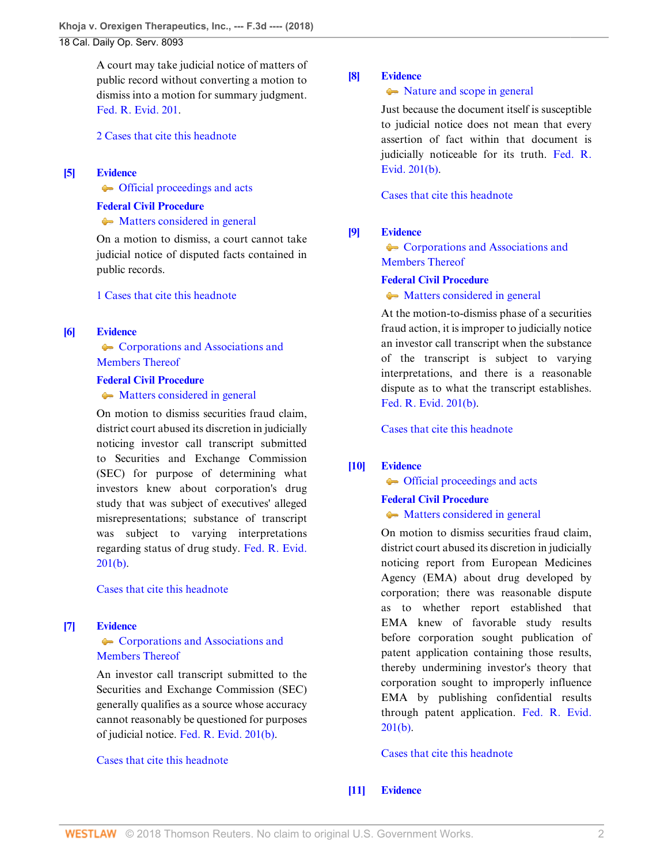A court may take judicial notice of matters of public record without converting a motion to dismiss into a motion for summary judgment. [Fed. R. Evid. 201](http://www.westlaw.com/Link/Document/FullText?findType=L&pubNum=1000607&cite=USFRER201&originatingDoc=I9120ac409f1411e892c4ce5625aacf64&refType=LQ&originationContext=document&vr=3.0&rs=cblt1.0&transitionType=DocumentItem&contextData=(sc.Default)).

[2 Cases that cite this headnote](http://www.westlaw.com/Link/RelatedInformation/DocHeadnoteLink?docGuid=I9120ac409f1411e892c4ce5625aacf64&headnoteId=204526186600420180829092445&originationContext=document&vr=3.0&rs=cblt1.0&transitionType=CitingReferences&contextData=(sc.Default))

## <span id="page-1-2"></span>**[\[5\]](#page-12-1) [Evidence](http://www.westlaw.com/Browse/Home/KeyNumber/157/View.html?docGuid=I9120ac409f1411e892c4ce5625aacf64&originationContext=document&vr=3.0&rs=cblt1.0&transitionType=DocumentItem&contextData=(sc.Default))**

 $\leftarrow$  [Official proceedings and acts](http://www.westlaw.com/Browse/Home/KeyNumber/157k48/View.html?docGuid=I9120ac409f1411e892c4ce5625aacf64&originationContext=document&vr=3.0&rs=cblt1.0&transitionType=DocumentItem&contextData=(sc.Default))

#### **[Federal Civil Procedure](http://www.westlaw.com/Browse/Home/KeyNumber/170A/View.html?docGuid=I9120ac409f1411e892c4ce5625aacf64&originationContext=document&vr=3.0&rs=cblt1.0&transitionType=DocumentItem&contextData=(sc.Default))**

#### • [Matters considered in general](http://www.westlaw.com/Browse/Home/KeyNumber/170Ak1832/View.html?docGuid=I9120ac409f1411e892c4ce5625aacf64&originationContext=document&vr=3.0&rs=cblt1.0&transitionType=DocumentItem&contextData=(sc.Default))

On a motion to dismiss, a court cannot take judicial notice of disputed facts contained in public records.

#### [1 Cases that cite this headnote](http://www.westlaw.com/Link/RelatedInformation/DocHeadnoteLink?docGuid=I9120ac409f1411e892c4ce5625aacf64&headnoteId=204526186600520180829092445&originationContext=document&vr=3.0&rs=cblt1.0&transitionType=CitingReferences&contextData=(sc.Default))

## <span id="page-1-0"></span>**[\[6\]](#page-12-2) [Evidence](http://www.westlaw.com/Browse/Home/KeyNumber/157/View.html?docGuid=I9120ac409f1411e892c4ce5625aacf64&originationContext=document&vr=3.0&rs=cblt1.0&transitionType=DocumentItem&contextData=(sc.Default))**

**[Corporations and Associations and](http://www.westlaw.com/Browse/Home/KeyNumber/157k22/View.html?docGuid=I9120ac409f1411e892c4ce5625aacf64&originationContext=document&vr=3.0&rs=cblt1.0&transitionType=DocumentItem&contextData=(sc.Default))** [Members Thereof](http://www.westlaw.com/Browse/Home/KeyNumber/157k22/View.html?docGuid=I9120ac409f1411e892c4ce5625aacf64&originationContext=document&vr=3.0&rs=cblt1.0&transitionType=DocumentItem&contextData=(sc.Default))

#### **[Federal Civil Procedure](http://www.westlaw.com/Browse/Home/KeyNumber/170A/View.html?docGuid=I9120ac409f1411e892c4ce5625aacf64&originationContext=document&vr=3.0&rs=cblt1.0&transitionType=DocumentItem&contextData=(sc.Default))**

## $\rightarrow$  [Matters considered in general](http://www.westlaw.com/Browse/Home/KeyNumber/170Ak1832/View.html?docGuid=I9120ac409f1411e892c4ce5625aacf64&originationContext=document&vr=3.0&rs=cblt1.0&transitionType=DocumentItem&contextData=(sc.Default))

On motion to dismiss securities fraud claim, district court abused its discretion in judicially noticing investor call transcript submitted to Securities and Exchange Commission (SEC) for purpose of determining what investors knew about corporation's drug study that was subject of executives' alleged misrepresentations; substance of transcript was subject to varying interpretations regarding status of drug study. [Fed. R. Evid.](http://www.westlaw.com/Link/Document/FullText?findType=L&pubNum=1000607&cite=USFRER201&originatingDoc=I9120ac409f1411e892c4ce5625aacf64&refType=LQ&originationContext=document&vr=3.0&rs=cblt1.0&transitionType=DocumentItem&contextData=(sc.Default))  $201(b)$ .

#### [Cases that cite this headnote](http://www.westlaw.com/Link/RelatedInformation/DocHeadnoteLink?docGuid=I9120ac409f1411e892c4ce5625aacf64&headnoteId=204526186600920180829092445&originationContext=document&vr=3.0&rs=cblt1.0&transitionType=CitingReferences&contextData=(sc.Default))

## <span id="page-1-3"></span>**[\[7\]](#page-12-3) [Evidence](http://www.westlaw.com/Browse/Home/KeyNumber/157/View.html?docGuid=I9120ac409f1411e892c4ce5625aacf64&originationContext=document&vr=3.0&rs=cblt1.0&transitionType=DocumentItem&contextData=(sc.Default))**

## **[Corporations and Associations and](http://www.westlaw.com/Browse/Home/KeyNumber/157k22/View.html?docGuid=I9120ac409f1411e892c4ce5625aacf64&originationContext=document&vr=3.0&rs=cblt1.0&transitionType=DocumentItem&contextData=(sc.Default))** [Members Thereof](http://www.westlaw.com/Browse/Home/KeyNumber/157k22/View.html?docGuid=I9120ac409f1411e892c4ce5625aacf64&originationContext=document&vr=3.0&rs=cblt1.0&transitionType=DocumentItem&contextData=(sc.Default))

An investor call transcript submitted to the Securities and Exchange Commission (SEC) generally qualifies as a source whose accuracy cannot reasonably be questioned for purposes of judicial notice. [Fed. R. Evid. 201\(b\).](http://www.westlaw.com/Link/Document/FullText?findType=L&pubNum=1000607&cite=USFRER201&originatingDoc=I9120ac409f1411e892c4ce5625aacf64&refType=LQ&originationContext=document&vr=3.0&rs=cblt1.0&transitionType=DocumentItem&contextData=(sc.Default))

#### [Cases that cite this headnote](http://www.westlaw.com/Link/RelatedInformation/DocHeadnoteLink?docGuid=I9120ac409f1411e892c4ce5625aacf64&headnoteId=204526186600620180829092445&originationContext=document&vr=3.0&rs=cblt1.0&transitionType=CitingReferences&contextData=(sc.Default))

## <span id="page-1-4"></span>**[\[8\]](#page-12-4) [Evidence](http://www.westlaw.com/Browse/Home/KeyNumber/157/View.html?docGuid=I9120ac409f1411e892c4ce5625aacf64&originationContext=document&vr=3.0&rs=cblt1.0&transitionType=DocumentItem&contextData=(sc.Default))**

## $\rightarrow$  [Nature and scope in general](http://www.westlaw.com/Browse/Home/KeyNumber/157k1/View.html?docGuid=I9120ac409f1411e892c4ce5625aacf64&originationContext=document&vr=3.0&rs=cblt1.0&transitionType=DocumentItem&contextData=(sc.Default))

Just because the document itself is susceptible to judicial notice does not mean that every assertion of fact within that document is judicially noticeable for its truth. [Fed. R.](http://www.westlaw.com/Link/Document/FullText?findType=L&pubNum=1000607&cite=USFRER201&originatingDoc=I9120ac409f1411e892c4ce5625aacf64&refType=LQ&originationContext=document&vr=3.0&rs=cblt1.0&transitionType=DocumentItem&contextData=(sc.Default)) [Evid. 201\(b\).](http://www.westlaw.com/Link/Document/FullText?findType=L&pubNum=1000607&cite=USFRER201&originatingDoc=I9120ac409f1411e892c4ce5625aacf64&refType=LQ&originationContext=document&vr=3.0&rs=cblt1.0&transitionType=DocumentItem&contextData=(sc.Default))

[Cases that cite this headnote](http://www.westlaw.com/Link/RelatedInformation/DocHeadnoteLink?docGuid=I9120ac409f1411e892c4ce5625aacf64&headnoteId=204526186600720180829092445&originationContext=document&vr=3.0&rs=cblt1.0&transitionType=CitingReferences&contextData=(sc.Default))

## <span id="page-1-5"></span>**[\[9\]](#page-12-5) [Evidence](http://www.westlaw.com/Browse/Home/KeyNumber/157/View.html?docGuid=I9120ac409f1411e892c4ce5625aacf64&originationContext=document&vr=3.0&rs=cblt1.0&transitionType=DocumentItem&contextData=(sc.Default))**

**[Corporations and Associations and](http://www.westlaw.com/Browse/Home/KeyNumber/157k22/View.html?docGuid=I9120ac409f1411e892c4ce5625aacf64&originationContext=document&vr=3.0&rs=cblt1.0&transitionType=DocumentItem&contextData=(sc.Default))** [Members Thereof](http://www.westlaw.com/Browse/Home/KeyNumber/157k22/View.html?docGuid=I9120ac409f1411e892c4ce5625aacf64&originationContext=document&vr=3.0&rs=cblt1.0&transitionType=DocumentItem&contextData=(sc.Default))

## **[Federal Civil Procedure](http://www.westlaw.com/Browse/Home/KeyNumber/170A/View.html?docGuid=I9120ac409f1411e892c4ce5625aacf64&originationContext=document&vr=3.0&rs=cblt1.0&transitionType=DocumentItem&contextData=(sc.Default))**

• [Matters considered in general](http://www.westlaw.com/Browse/Home/KeyNumber/170Ak1832/View.html?docGuid=I9120ac409f1411e892c4ce5625aacf64&originationContext=document&vr=3.0&rs=cblt1.0&transitionType=DocumentItem&contextData=(sc.Default))

At the motion-to-dismiss phase of a securities fraud action, it is improper to judicially notice an investor call transcript when the substance of the transcript is subject to varying interpretations, and there is a reasonable dispute as to what the transcript establishes. [Fed. R. Evid. 201\(b\)](http://www.westlaw.com/Link/Document/FullText?findType=L&pubNum=1000607&cite=USFRER201&originatingDoc=I9120ac409f1411e892c4ce5625aacf64&refType=LQ&originationContext=document&vr=3.0&rs=cblt1.0&transitionType=DocumentItem&contextData=(sc.Default)).

[Cases that cite this headnote](http://www.westlaw.com/Link/RelatedInformation/DocHeadnoteLink?docGuid=I9120ac409f1411e892c4ce5625aacf64&headnoteId=204526186600820180829092445&originationContext=document&vr=3.0&rs=cblt1.0&transitionType=CitingReferences&contextData=(sc.Default))

## <span id="page-1-6"></span>**[\[10\]](#page-13-0) [Evidence](http://www.westlaw.com/Browse/Home/KeyNumber/157/View.html?docGuid=I9120ac409f1411e892c4ce5625aacf64&originationContext=document&vr=3.0&rs=cblt1.0&transitionType=DocumentItem&contextData=(sc.Default))**

 $\leftarrow$  [Official proceedings and acts](http://www.westlaw.com/Browse/Home/KeyNumber/157k48/View.html?docGuid=I9120ac409f1411e892c4ce5625aacf64&originationContext=document&vr=3.0&rs=cblt1.0&transitionType=DocumentItem&contextData=(sc.Default))

# **[Federal Civil Procedure](http://www.westlaw.com/Browse/Home/KeyNumber/170A/View.html?docGuid=I9120ac409f1411e892c4ce5625aacf64&originationContext=document&vr=3.0&rs=cblt1.0&transitionType=DocumentItem&contextData=(sc.Default))**

## • [Matters considered in general](http://www.westlaw.com/Browse/Home/KeyNumber/170Ak1832/View.html?docGuid=I9120ac409f1411e892c4ce5625aacf64&originationContext=document&vr=3.0&rs=cblt1.0&transitionType=DocumentItem&contextData=(sc.Default))

On motion to dismiss securities fraud claim, district court abused its discretion in judicially noticing report from European Medicines Agency (EMA) about drug developed by corporation; there was reasonable dispute as to whether report established that EMA knew of favorable study results before corporation sought publication of patent application containing those results, thereby undermining investor's theory that corporation sought to improperly influence EMA by publishing confidential results through patent application. [Fed. R. Evid.](http://www.westlaw.com/Link/Document/FullText?findType=L&pubNum=1000607&cite=USFRER201&originatingDoc=I9120ac409f1411e892c4ce5625aacf64&refType=LQ&originationContext=document&vr=3.0&rs=cblt1.0&transitionType=DocumentItem&contextData=(sc.Default))  $201(b)$ .

## [Cases that cite this headnote](http://www.westlaw.com/Link/RelatedInformation/DocHeadnoteLink?docGuid=I9120ac409f1411e892c4ce5625aacf64&headnoteId=204526186601020180829092445&originationContext=document&vr=3.0&rs=cblt1.0&transitionType=CitingReferences&contextData=(sc.Default))

## <span id="page-1-1"></span>**[\[11\]](#page-13-1) [Evidence](http://www.westlaw.com/Browse/Home/KeyNumber/157/View.html?docGuid=I9120ac409f1411e892c4ce5625aacf64&originationContext=document&vr=3.0&rs=cblt1.0&transitionType=DocumentItem&contextData=(sc.Default))**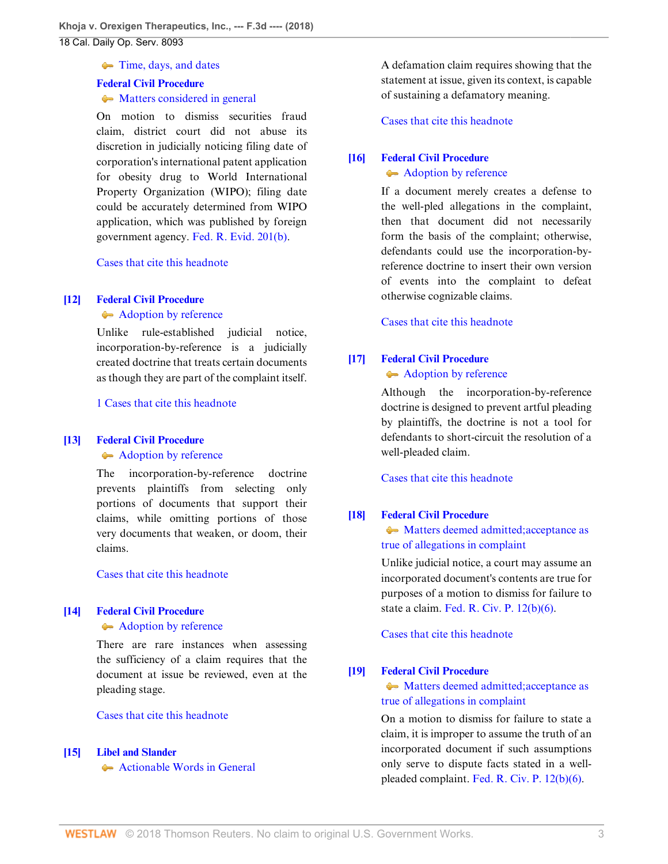• [Time, days, and dates](http://www.westlaw.com/Browse/Home/KeyNumber/157k17/View.html?docGuid=I9120ac409f1411e892c4ce5625aacf64&originationContext=document&vr=3.0&rs=cblt1.0&transitionType=DocumentItem&contextData=(sc.Default))

#### **[Federal Civil Procedure](http://www.westlaw.com/Browse/Home/KeyNumber/170A/View.html?docGuid=I9120ac409f1411e892c4ce5625aacf64&originationContext=document&vr=3.0&rs=cblt1.0&transitionType=DocumentItem&contextData=(sc.Default))**

#### • [Matters considered in general](http://www.westlaw.com/Browse/Home/KeyNumber/170Ak1832/View.html?docGuid=I9120ac409f1411e892c4ce5625aacf64&originationContext=document&vr=3.0&rs=cblt1.0&transitionType=DocumentItem&contextData=(sc.Default))

On motion to dismiss securities fraud claim, district court did not abuse its discretion in judicially noticing filing date of corporation's international patent application for obesity drug to World International Property Organization (WIPO); filing date could be accurately determined from WIPO application, which was published by foreign government agency. [Fed. R. Evid. 201\(b\)](http://www.westlaw.com/Link/Document/FullText?findType=L&pubNum=1000607&cite=USFRER201&originatingDoc=I9120ac409f1411e892c4ce5625aacf64&refType=LQ&originationContext=document&vr=3.0&rs=cblt1.0&transitionType=DocumentItem&contextData=(sc.Default)).

[Cases that cite this headnote](http://www.westlaw.com/Link/RelatedInformation/DocHeadnoteLink?docGuid=I9120ac409f1411e892c4ce5625aacf64&headnoteId=204526186601120180829092445&originationContext=document&vr=3.0&rs=cblt1.0&transitionType=CitingReferences&contextData=(sc.Default))

#### <span id="page-2-0"></span>**[\[12\]](#page-14-0) [Federal Civil Procedure](http://www.westlaw.com/Browse/Home/KeyNumber/170A/View.html?docGuid=I9120ac409f1411e892c4ce5625aacf64&originationContext=document&vr=3.0&rs=cblt1.0&transitionType=DocumentItem&contextData=(sc.Default))**

[Adoption by reference](http://www.westlaw.com/Browse/Home/KeyNumber/170Ak628/View.html?docGuid=I9120ac409f1411e892c4ce5625aacf64&originationContext=document&vr=3.0&rs=cblt1.0&transitionType=DocumentItem&contextData=(sc.Default))

Unlike rule-established judicial notice, incorporation-by-reference is a judicially created doctrine that treats certain documents as though they are part of the complaint itself.

[1 Cases that cite this headnote](http://www.westlaw.com/Link/RelatedInformation/DocHeadnoteLink?docGuid=I9120ac409f1411e892c4ce5625aacf64&headnoteId=204526186601220180829092445&originationContext=document&vr=3.0&rs=cblt1.0&transitionType=CitingReferences&contextData=(sc.Default))

## <span id="page-2-1"></span>**[\[13\]](#page-14-1) [Federal Civil Procedure](http://www.westlaw.com/Browse/Home/KeyNumber/170A/View.html?docGuid=I9120ac409f1411e892c4ce5625aacf64&originationContext=document&vr=3.0&rs=cblt1.0&transitionType=DocumentItem&contextData=(sc.Default))**

[Adoption by reference](http://www.westlaw.com/Browse/Home/KeyNumber/170Ak628/View.html?docGuid=I9120ac409f1411e892c4ce5625aacf64&originationContext=document&vr=3.0&rs=cblt1.0&transitionType=DocumentItem&contextData=(sc.Default))

The incorporation-by-reference doctrine prevents plaintiffs from selecting only portions of documents that support their claims, while omitting portions of those very documents that weaken, or doom, their claims.

[Cases that cite this headnote](http://www.westlaw.com/Link/RelatedInformation/DocHeadnoteLink?docGuid=I9120ac409f1411e892c4ce5625aacf64&headnoteId=204526186601320180829092445&originationContext=document&vr=3.0&rs=cblt1.0&transitionType=CitingReferences&contextData=(sc.Default))

## <span id="page-2-2"></span>**[\[14\]](#page-14-2) [Federal Civil Procedure](http://www.westlaw.com/Browse/Home/KeyNumber/170A/View.html?docGuid=I9120ac409f1411e892c4ce5625aacf64&originationContext=document&vr=3.0&rs=cblt1.0&transitionType=DocumentItem&contextData=(sc.Default))**

[Adoption by reference](http://www.westlaw.com/Browse/Home/KeyNumber/170Ak628/View.html?docGuid=I9120ac409f1411e892c4ce5625aacf64&originationContext=document&vr=3.0&rs=cblt1.0&transitionType=DocumentItem&contextData=(sc.Default))

There are rare instances when assessing the sufficiency of a claim requires that the document at issue be reviewed, even at the pleading stage.

[Cases that cite this headnote](http://www.westlaw.com/Link/RelatedInformation/DocHeadnoteLink?docGuid=I9120ac409f1411e892c4ce5625aacf64&headnoteId=204526186601420180829092445&originationContext=document&vr=3.0&rs=cblt1.0&transitionType=CitingReferences&contextData=(sc.Default))

## <span id="page-2-3"></span>**[\[15\]](#page-14-3) [Libel and Slander](http://www.westlaw.com/Browse/Home/KeyNumber/237/View.html?docGuid=I9120ac409f1411e892c4ce5625aacf64&originationContext=document&vr=3.0&rs=cblt1.0&transitionType=DocumentItem&contextData=(sc.Default))**

[Actionable Words in General](http://www.westlaw.com/Browse/Home/KeyNumber/237k6/View.html?docGuid=I9120ac409f1411e892c4ce5625aacf64&originationContext=document&vr=3.0&rs=cblt1.0&transitionType=DocumentItem&contextData=(sc.Default))

A defamation claim requires showing that the statement at issue, given its context, is capable of sustaining a defamatory meaning.

[Cases that cite this headnote](http://www.westlaw.com/Link/RelatedInformation/DocHeadnoteLink?docGuid=I9120ac409f1411e892c4ce5625aacf64&headnoteId=204526186601520180829092445&originationContext=document&vr=3.0&rs=cblt1.0&transitionType=CitingReferences&contextData=(sc.Default))

## <span id="page-2-4"></span>**[\[16\]](#page-14-4) [Federal Civil Procedure](http://www.westlaw.com/Browse/Home/KeyNumber/170A/View.html?docGuid=I9120ac409f1411e892c4ce5625aacf64&originationContext=document&vr=3.0&rs=cblt1.0&transitionType=DocumentItem&contextData=(sc.Default))**

#### [Adoption by reference](http://www.westlaw.com/Browse/Home/KeyNumber/170Ak628/View.html?docGuid=I9120ac409f1411e892c4ce5625aacf64&originationContext=document&vr=3.0&rs=cblt1.0&transitionType=DocumentItem&contextData=(sc.Default))

If a document merely creates a defense to the well-pled allegations in the complaint, then that document did not necessarily form the basis of the complaint; otherwise, defendants could use the incorporation-byreference doctrine to insert their own version of events into the complaint to defeat otherwise cognizable claims.

[Cases that cite this headnote](http://www.westlaw.com/Link/RelatedInformation/DocHeadnoteLink?docGuid=I9120ac409f1411e892c4ce5625aacf64&headnoteId=204526186601620180829092445&originationContext=document&vr=3.0&rs=cblt1.0&transitionType=CitingReferences&contextData=(sc.Default))

## <span id="page-2-5"></span>**[\[17\]](#page-14-5) [Federal Civil Procedure](http://www.westlaw.com/Browse/Home/KeyNumber/170A/View.html?docGuid=I9120ac409f1411e892c4ce5625aacf64&originationContext=document&vr=3.0&rs=cblt1.0&transitionType=DocumentItem&contextData=(sc.Default))**

[Adoption by reference](http://www.westlaw.com/Browse/Home/KeyNumber/170Ak628/View.html?docGuid=I9120ac409f1411e892c4ce5625aacf64&originationContext=document&vr=3.0&rs=cblt1.0&transitionType=DocumentItem&contextData=(sc.Default))

Although the incorporation-by-reference doctrine is designed to prevent artful pleading by plaintiffs, the doctrine is not a tool for defendants to short-circuit the resolution of a well-pleaded claim.

[Cases that cite this headnote](http://www.westlaw.com/Link/RelatedInformation/DocHeadnoteLink?docGuid=I9120ac409f1411e892c4ce5625aacf64&headnoteId=204526186601720180829092445&originationContext=document&vr=3.0&rs=cblt1.0&transitionType=CitingReferences&contextData=(sc.Default))

## <span id="page-2-6"></span>**[\[18\]](#page-15-0) [Federal Civil Procedure](http://www.westlaw.com/Browse/Home/KeyNumber/170A/View.html?docGuid=I9120ac409f1411e892c4ce5625aacf64&originationContext=document&vr=3.0&rs=cblt1.0&transitionType=DocumentItem&contextData=(sc.Default))**

• [Matters deemed admitted; acceptance as](http://www.westlaw.com/Browse/Home/KeyNumber/170Ak1835/View.html?docGuid=I9120ac409f1411e892c4ce5625aacf64&originationContext=document&vr=3.0&rs=cblt1.0&transitionType=DocumentItem&contextData=(sc.Default)) [true of allegations in complaint](http://www.westlaw.com/Browse/Home/KeyNumber/170Ak1835/View.html?docGuid=I9120ac409f1411e892c4ce5625aacf64&originationContext=document&vr=3.0&rs=cblt1.0&transitionType=DocumentItem&contextData=(sc.Default))

Unlike judicial notice, a court may assume an incorporated document's contents are true for purposes of a motion to dismiss for failure to state a claim. [Fed. R. Civ. P. 12\(b\)\(6\).](http://www.westlaw.com/Link/Document/FullText?findType=L&pubNum=1000600&cite=USFRCPR12&originatingDoc=I9120ac409f1411e892c4ce5625aacf64&refType=LQ&originationContext=document&vr=3.0&rs=cblt1.0&transitionType=DocumentItem&contextData=(sc.Default))

[Cases that cite this headnote](http://www.westlaw.com/Link/RelatedInformation/DocHeadnoteLink?docGuid=I9120ac409f1411e892c4ce5625aacf64&headnoteId=204526186601820180829092445&originationContext=document&vr=3.0&rs=cblt1.0&transitionType=CitingReferences&contextData=(sc.Default))

## <span id="page-2-7"></span>**[\[19\]](#page-15-1) [Federal Civil Procedure](http://www.westlaw.com/Browse/Home/KeyNumber/170A/View.html?docGuid=I9120ac409f1411e892c4ce5625aacf64&originationContext=document&vr=3.0&rs=cblt1.0&transitionType=DocumentItem&contextData=(sc.Default))**

 $\rightarrow$  [Matters deemed admitted; acceptance as](http://www.westlaw.com/Browse/Home/KeyNumber/170Ak1835/View.html?docGuid=I9120ac409f1411e892c4ce5625aacf64&originationContext=document&vr=3.0&rs=cblt1.0&transitionType=DocumentItem&contextData=(sc.Default)) [true of allegations in complaint](http://www.westlaw.com/Browse/Home/KeyNumber/170Ak1835/View.html?docGuid=I9120ac409f1411e892c4ce5625aacf64&originationContext=document&vr=3.0&rs=cblt1.0&transitionType=DocumentItem&contextData=(sc.Default))

On a motion to dismiss for failure to state a claim, it is improper to assume the truth of an incorporated document if such assumptions only serve to dispute facts stated in a wellpleaded complaint. [Fed. R. Civ. P. 12\(b\)\(6\)](http://www.westlaw.com/Link/Document/FullText?findType=L&pubNum=1000600&cite=USFRCPR12&originatingDoc=I9120ac409f1411e892c4ce5625aacf64&refType=LQ&originationContext=document&vr=3.0&rs=cblt1.0&transitionType=DocumentItem&contextData=(sc.Default)).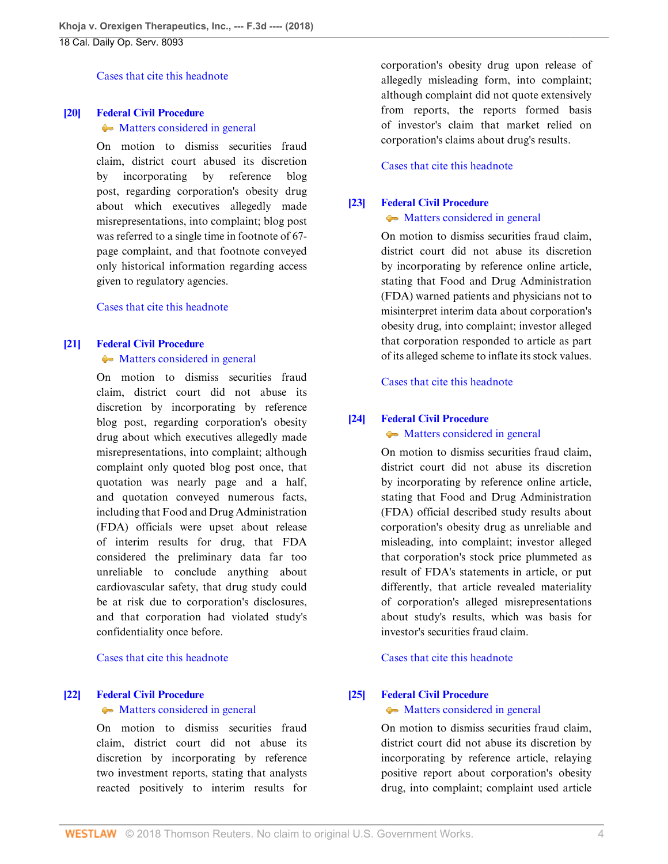[Cases that cite this headnote](http://www.westlaw.com/Link/RelatedInformation/DocHeadnoteLink?docGuid=I9120ac409f1411e892c4ce5625aacf64&headnoteId=204526186601920180829092445&originationContext=document&vr=3.0&rs=cblt1.0&transitionType=CitingReferences&contextData=(sc.Default))

#### <span id="page-3-0"></span>**[\[20\]](#page-15-2) [Federal Civil Procedure](http://www.westlaw.com/Browse/Home/KeyNumber/170A/View.html?docGuid=I9120ac409f1411e892c4ce5625aacf64&originationContext=document&vr=3.0&rs=cblt1.0&transitionType=DocumentItem&contextData=(sc.Default))**

#### • [Matters considered in general](http://www.westlaw.com/Browse/Home/KeyNumber/170Ak1832/View.html?docGuid=I9120ac409f1411e892c4ce5625aacf64&originationContext=document&vr=3.0&rs=cblt1.0&transitionType=DocumentItem&contextData=(sc.Default))

On motion to dismiss securities fraud claim, district court abused its discretion by incorporating by reference blog post, regarding corporation's obesity drug about which executives allegedly made misrepresentations, into complaint; blog post was referred to a single time in footnote of 67 page complaint, and that footnote conveyed only historical information regarding access given to regulatory agencies.

[Cases that cite this headnote](http://www.westlaw.com/Link/RelatedInformation/DocHeadnoteLink?docGuid=I9120ac409f1411e892c4ce5625aacf64&headnoteId=204526186602020180829092445&originationContext=document&vr=3.0&rs=cblt1.0&transitionType=CitingReferences&contextData=(sc.Default))

#### <span id="page-3-1"></span>**[\[21\]](#page-15-3) [Federal Civil Procedure](http://www.westlaw.com/Browse/Home/KeyNumber/170A/View.html?docGuid=I9120ac409f1411e892c4ce5625aacf64&originationContext=document&vr=3.0&rs=cblt1.0&transitionType=DocumentItem&contextData=(sc.Default))**

• [Matters considered in general](http://www.westlaw.com/Browse/Home/KeyNumber/170Ak1832/View.html?docGuid=I9120ac409f1411e892c4ce5625aacf64&originationContext=document&vr=3.0&rs=cblt1.0&transitionType=DocumentItem&contextData=(sc.Default))

On motion to dismiss securities fraud claim, district court did not abuse its discretion by incorporating by reference blog post, regarding corporation's obesity drug about which executives allegedly made misrepresentations, into complaint; although complaint only quoted blog post once, that quotation was nearly page and a half, and quotation conveyed numerous facts, including that Food and Drug Administration (FDA) officials were upset about release of interim results for drug, that FDA considered the preliminary data far too unreliable to conclude anything about cardiovascular safety, that drug study could be at risk due to corporation's disclosures, and that corporation had violated study's confidentiality once before.

[Cases that cite this headnote](http://www.westlaw.com/Link/RelatedInformation/DocHeadnoteLink?docGuid=I9120ac409f1411e892c4ce5625aacf64&headnoteId=204526186602120180829092445&originationContext=document&vr=3.0&rs=cblt1.0&transitionType=CitingReferences&contextData=(sc.Default))

## <span id="page-3-2"></span>**[\[22\]](#page-16-0) [Federal Civil Procedure](http://www.westlaw.com/Browse/Home/KeyNumber/170A/View.html?docGuid=I9120ac409f1411e892c4ce5625aacf64&originationContext=document&vr=3.0&rs=cblt1.0&transitionType=DocumentItem&contextData=(sc.Default))**

#### $\rightarrow$  [Matters considered in general](http://www.westlaw.com/Browse/Home/KeyNumber/170Ak1832/View.html?docGuid=I9120ac409f1411e892c4ce5625aacf64&originationContext=document&vr=3.0&rs=cblt1.0&transitionType=DocumentItem&contextData=(sc.Default))

On motion to dismiss securities fraud claim, district court did not abuse its discretion by incorporating by reference two investment reports, stating that analysts reacted positively to interim results for corporation's obesity drug upon release of allegedly misleading form, into complaint; although complaint did not quote extensively from reports, the reports formed basis of investor's claim that market relied on corporation's claims about drug's results.

### [Cases that cite this headnote](http://www.westlaw.com/Link/RelatedInformation/DocHeadnoteLink?docGuid=I9120ac409f1411e892c4ce5625aacf64&headnoteId=204526186602220180829092445&originationContext=document&vr=3.0&rs=cblt1.0&transitionType=CitingReferences&contextData=(sc.Default))

#### <span id="page-3-3"></span>**[\[23\]](#page-16-1) [Federal Civil Procedure](http://www.westlaw.com/Browse/Home/KeyNumber/170A/View.html?docGuid=I9120ac409f1411e892c4ce5625aacf64&originationContext=document&vr=3.0&rs=cblt1.0&transitionType=DocumentItem&contextData=(sc.Default))**

#### • [Matters considered in general](http://www.westlaw.com/Browse/Home/KeyNumber/170Ak1832/View.html?docGuid=I9120ac409f1411e892c4ce5625aacf64&originationContext=document&vr=3.0&rs=cblt1.0&transitionType=DocumentItem&contextData=(sc.Default))

On motion to dismiss securities fraud claim, district court did not abuse its discretion by incorporating by reference online article, stating that Food and Drug Administration (FDA) warned patients and physicians not to misinterpret interim data about corporation's obesity drug, into complaint; investor alleged that corporation responded to article as part of its alleged scheme to inflate its stock values.

#### [Cases that cite this headnote](http://www.westlaw.com/Link/RelatedInformation/DocHeadnoteLink?docGuid=I9120ac409f1411e892c4ce5625aacf64&headnoteId=204526186602320180829092445&originationContext=document&vr=3.0&rs=cblt1.0&transitionType=CitingReferences&contextData=(sc.Default))

#### <span id="page-3-4"></span>**[\[24\]](#page-16-2) [Federal Civil Procedure](http://www.westlaw.com/Browse/Home/KeyNumber/170A/View.html?docGuid=I9120ac409f1411e892c4ce5625aacf64&originationContext=document&vr=3.0&rs=cblt1.0&transitionType=DocumentItem&contextData=(sc.Default))**

#### • [Matters considered in general](http://www.westlaw.com/Browse/Home/KeyNumber/170Ak1832/View.html?docGuid=I9120ac409f1411e892c4ce5625aacf64&originationContext=document&vr=3.0&rs=cblt1.0&transitionType=DocumentItem&contextData=(sc.Default))

On motion to dismiss securities fraud claim, district court did not abuse its discretion by incorporating by reference online article, stating that Food and Drug Administration (FDA) official described study results about corporation's obesity drug as unreliable and misleading, into complaint; investor alleged that corporation's stock price plummeted as result of FDA's statements in article, or put differently, that article revealed materiality of corporation's alleged misrepresentations about study's results, which was basis for investor's securities fraud claim.

[Cases that cite this headnote](http://www.westlaw.com/Link/RelatedInformation/DocHeadnoteLink?docGuid=I9120ac409f1411e892c4ce5625aacf64&headnoteId=204526186602420180829092445&originationContext=document&vr=3.0&rs=cblt1.0&transitionType=CitingReferences&contextData=(sc.Default))

## <span id="page-3-5"></span>**[\[25\]](#page-17-0) [Federal Civil Procedure](http://www.westlaw.com/Browse/Home/KeyNumber/170A/View.html?docGuid=I9120ac409f1411e892c4ce5625aacf64&originationContext=document&vr=3.0&rs=cblt1.0&transitionType=DocumentItem&contextData=(sc.Default))**

## • [Matters considered in general](http://www.westlaw.com/Browse/Home/KeyNumber/170Ak1832/View.html?docGuid=I9120ac409f1411e892c4ce5625aacf64&originationContext=document&vr=3.0&rs=cblt1.0&transitionType=DocumentItem&contextData=(sc.Default))

On motion to dismiss securities fraud claim, district court did not abuse its discretion by incorporating by reference article, relaying positive report about corporation's obesity drug, into complaint; complaint used article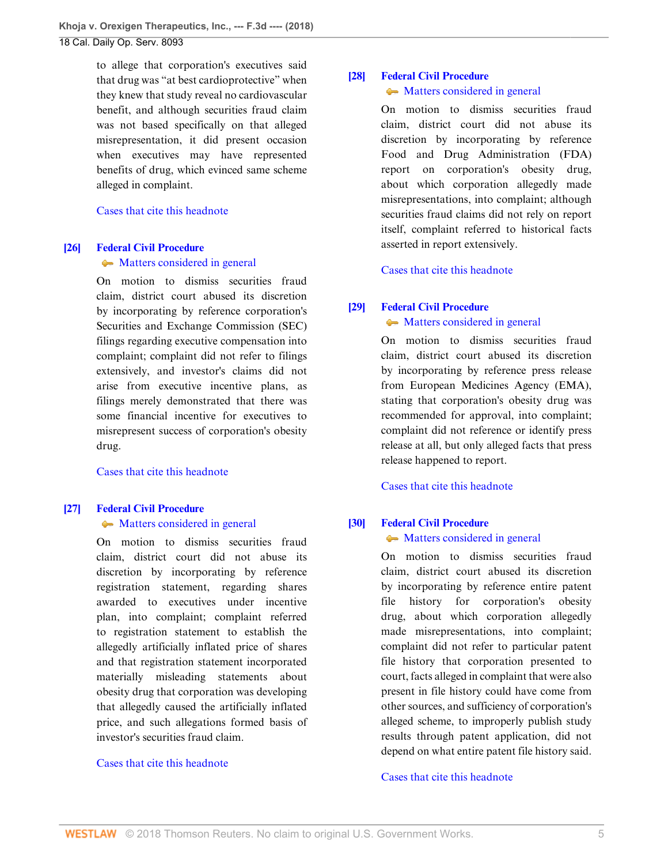to allege that corporation's executives said that drug was "at best cardioprotective" when they knew that study reveal no cardiovascular benefit, and although securities fraud claim was not based specifically on that alleged misrepresentation, it did present occasion when executives may have represented benefits of drug, which evinced same scheme alleged in complaint.

#### [Cases that cite this headnote](http://www.westlaw.com/Link/RelatedInformation/DocHeadnoteLink?docGuid=I9120ac409f1411e892c4ce5625aacf64&headnoteId=204526186602520180829092445&originationContext=document&vr=3.0&rs=cblt1.0&transitionType=CitingReferences&contextData=(sc.Default))

## <span id="page-4-0"></span>**[\[26\]](#page-17-1) [Federal Civil Procedure](http://www.westlaw.com/Browse/Home/KeyNumber/170A/View.html?docGuid=I9120ac409f1411e892c4ce5625aacf64&originationContext=document&vr=3.0&rs=cblt1.0&transitionType=DocumentItem&contextData=(sc.Default))**

#### • [Matters considered in general](http://www.westlaw.com/Browse/Home/KeyNumber/170Ak1832/View.html?docGuid=I9120ac409f1411e892c4ce5625aacf64&originationContext=document&vr=3.0&rs=cblt1.0&transitionType=DocumentItem&contextData=(sc.Default))

On motion to dismiss securities fraud claim, district court abused its discretion by incorporating by reference corporation's Securities and Exchange Commission (SEC) filings regarding executive compensation into complaint; complaint did not refer to filings extensively, and investor's claims did not arise from executive incentive plans, as filings merely demonstrated that there was some financial incentive for executives to misrepresent success of corporation's obesity drug.

[Cases that cite this headnote](http://www.westlaw.com/Link/RelatedInformation/DocHeadnoteLink?docGuid=I9120ac409f1411e892c4ce5625aacf64&headnoteId=204526186602620180829092445&originationContext=document&vr=3.0&rs=cblt1.0&transitionType=CitingReferences&contextData=(sc.Default))

#### <span id="page-4-1"></span>**[\[27\]](#page-17-2) [Federal Civil Procedure](http://www.westlaw.com/Browse/Home/KeyNumber/170A/View.html?docGuid=I9120ac409f1411e892c4ce5625aacf64&originationContext=document&vr=3.0&rs=cblt1.0&transitionType=DocumentItem&contextData=(sc.Default))**

#### • [Matters considered in general](http://www.westlaw.com/Browse/Home/KeyNumber/170Ak1832/View.html?docGuid=I9120ac409f1411e892c4ce5625aacf64&originationContext=document&vr=3.0&rs=cblt1.0&transitionType=DocumentItem&contextData=(sc.Default))

On motion to dismiss securities fraud claim, district court did not abuse its discretion by incorporating by reference registration statement, regarding shares awarded to executives under incentive plan, into complaint; complaint referred to registration statement to establish the allegedly artificially inflated price of shares and that registration statement incorporated materially misleading statements about obesity drug that corporation was developing that allegedly caused the artificially inflated price, and such allegations formed basis of investor's securities fraud claim.

#### [Cases that cite this headnote](http://www.westlaw.com/Link/RelatedInformation/DocHeadnoteLink?docGuid=I9120ac409f1411e892c4ce5625aacf64&headnoteId=204526186602720180829092445&originationContext=document&vr=3.0&rs=cblt1.0&transitionType=CitingReferences&contextData=(sc.Default))

## <span id="page-4-2"></span>**[\[28\]](#page-18-0) [Federal Civil Procedure](http://www.westlaw.com/Browse/Home/KeyNumber/170A/View.html?docGuid=I9120ac409f1411e892c4ce5625aacf64&originationContext=document&vr=3.0&rs=cblt1.0&transitionType=DocumentItem&contextData=(sc.Default))**

## • [Matters considered in general](http://www.westlaw.com/Browse/Home/KeyNumber/170Ak1832/View.html?docGuid=I9120ac409f1411e892c4ce5625aacf64&originationContext=document&vr=3.0&rs=cblt1.0&transitionType=DocumentItem&contextData=(sc.Default))

On motion to dismiss securities fraud claim, district court did not abuse its discretion by incorporating by reference Food and Drug Administration (FDA) report on corporation's obesity drug, about which corporation allegedly made misrepresentations, into complaint; although securities fraud claims did not rely on report itself, complaint referred to historical facts asserted in report extensively.

[Cases that cite this headnote](http://www.westlaw.com/Link/RelatedInformation/DocHeadnoteLink?docGuid=I9120ac409f1411e892c4ce5625aacf64&headnoteId=204526186602820180829092445&originationContext=document&vr=3.0&rs=cblt1.0&transitionType=CitingReferences&contextData=(sc.Default))

## <span id="page-4-3"></span>**[\[29\]](#page-18-1) [Federal Civil Procedure](http://www.westlaw.com/Browse/Home/KeyNumber/170A/View.html?docGuid=I9120ac409f1411e892c4ce5625aacf64&originationContext=document&vr=3.0&rs=cblt1.0&transitionType=DocumentItem&contextData=(sc.Default))**

#### • [Matters considered in general](http://www.westlaw.com/Browse/Home/KeyNumber/170Ak1832/View.html?docGuid=I9120ac409f1411e892c4ce5625aacf64&originationContext=document&vr=3.0&rs=cblt1.0&transitionType=DocumentItem&contextData=(sc.Default))

On motion to dismiss securities fraud claim, district court abused its discretion by incorporating by reference press release from European Medicines Agency (EMA), stating that corporation's obesity drug was recommended for approval, into complaint; complaint did not reference or identify press release at all, but only alleged facts that press release happened to report.

[Cases that cite this headnote](http://www.westlaw.com/Link/RelatedInformation/DocHeadnoteLink?docGuid=I9120ac409f1411e892c4ce5625aacf64&headnoteId=204526186602920180829092445&originationContext=document&vr=3.0&rs=cblt1.0&transitionType=CitingReferences&contextData=(sc.Default))

## <span id="page-4-4"></span>**[\[30\]](#page-18-2) [Federal Civil Procedure](http://www.westlaw.com/Browse/Home/KeyNumber/170A/View.html?docGuid=I9120ac409f1411e892c4ce5625aacf64&originationContext=document&vr=3.0&rs=cblt1.0&transitionType=DocumentItem&contextData=(sc.Default))**

#### • [Matters considered in general](http://www.westlaw.com/Browse/Home/KeyNumber/170Ak1832/View.html?docGuid=I9120ac409f1411e892c4ce5625aacf64&originationContext=document&vr=3.0&rs=cblt1.0&transitionType=DocumentItem&contextData=(sc.Default))

On motion to dismiss securities fraud claim, district court abused its discretion by incorporating by reference entire patent file history for corporation's obesity drug, about which corporation allegedly made misrepresentations, into complaint; complaint did not refer to particular patent file history that corporation presented to court, facts alleged in complaint that were also present in file history could have come from other sources, and sufficiency of corporation's alleged scheme, to improperly publish study results through patent application, did not depend on what entire patent file history said.

## [Cases that cite this headnote](http://www.westlaw.com/Link/RelatedInformation/DocHeadnoteLink?docGuid=I9120ac409f1411e892c4ce5625aacf64&headnoteId=204526186603020180829092445&originationContext=document&vr=3.0&rs=cblt1.0&transitionType=CitingReferences&contextData=(sc.Default))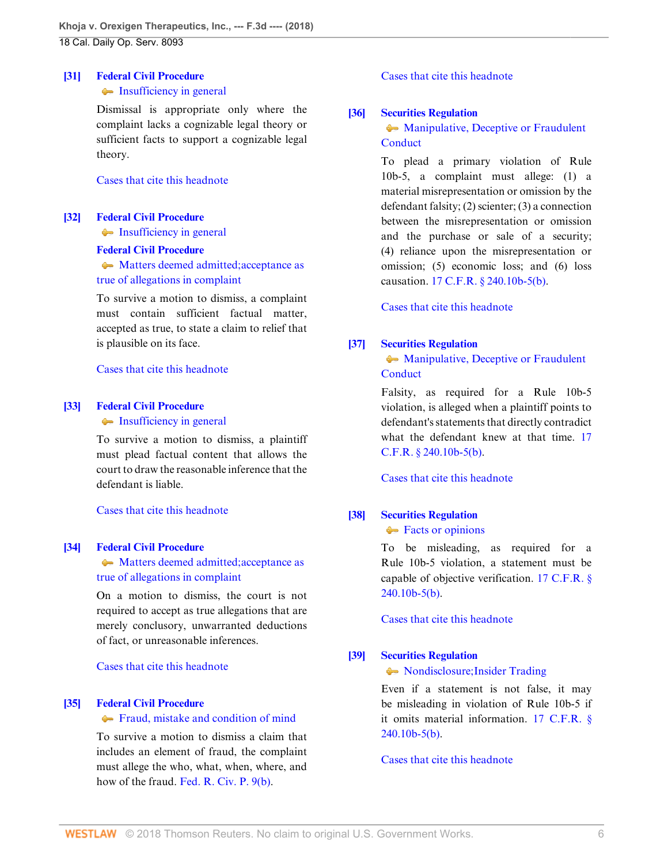## <span id="page-5-0"></span>**[\[31\]](#page-18-3) [Federal Civil Procedure](http://www.westlaw.com/Browse/Home/KeyNumber/170A/View.html?docGuid=I9120ac409f1411e892c4ce5625aacf64&originationContext=document&vr=3.0&rs=cblt1.0&transitionType=DocumentItem&contextData=(sc.Default))**

## • [Insufficiency in general](http://www.westlaw.com/Browse/Home/KeyNumber/170Ak1772/View.html?docGuid=I9120ac409f1411e892c4ce5625aacf64&originationContext=document&vr=3.0&rs=cblt1.0&transitionType=DocumentItem&contextData=(sc.Default))

Dismissal is appropriate only where the complaint lacks a cognizable legal theory or sufficient facts to support a cognizable legal theory.

## [Cases that cite this headnote](http://www.westlaw.com/Link/RelatedInformation/DocHeadnoteLink?docGuid=I9120ac409f1411e892c4ce5625aacf64&headnoteId=204526186603120180829092445&originationContext=document&vr=3.0&rs=cblt1.0&transitionType=CitingReferences&contextData=(sc.Default))

## <span id="page-5-1"></span>**[\[32\]](#page-18-4) [Federal Civil Procedure](http://www.westlaw.com/Browse/Home/KeyNumber/170A/View.html?docGuid=I9120ac409f1411e892c4ce5625aacf64&originationContext=document&vr=3.0&rs=cblt1.0&transitionType=DocumentItem&contextData=(sc.Default))**

• [Insufficiency in general](http://www.westlaw.com/Browse/Home/KeyNumber/170Ak1772/View.html?docGuid=I9120ac409f1411e892c4ce5625aacf64&originationContext=document&vr=3.0&rs=cblt1.0&transitionType=DocumentItem&contextData=(sc.Default))

#### **[Federal Civil Procedure](http://www.westlaw.com/Browse/Home/KeyNumber/170A/View.html?docGuid=I9120ac409f1411e892c4ce5625aacf64&originationContext=document&vr=3.0&rs=cblt1.0&transitionType=DocumentItem&contextData=(sc.Default))**

• [Matters deemed admitted; acceptance as](http://www.westlaw.com/Browse/Home/KeyNumber/170Ak1835/View.html?docGuid=I9120ac409f1411e892c4ce5625aacf64&originationContext=document&vr=3.0&rs=cblt1.0&transitionType=DocumentItem&contextData=(sc.Default)) [true of allegations in complaint](http://www.westlaw.com/Browse/Home/KeyNumber/170Ak1835/View.html?docGuid=I9120ac409f1411e892c4ce5625aacf64&originationContext=document&vr=3.0&rs=cblt1.0&transitionType=DocumentItem&contextData=(sc.Default))

To survive a motion to dismiss, a complaint must contain sufficient factual matter, accepted as true, to state a claim to relief that is plausible on its face.

[Cases that cite this headnote](http://www.westlaw.com/Link/RelatedInformation/DocHeadnoteLink?docGuid=I9120ac409f1411e892c4ce5625aacf64&headnoteId=204526186603220180829092445&originationContext=document&vr=3.0&rs=cblt1.0&transitionType=CitingReferences&contextData=(sc.Default))

#### <span id="page-5-2"></span>**[\[33\]](#page-18-5) [Federal Civil Procedure](http://www.westlaw.com/Browse/Home/KeyNumber/170A/View.html?docGuid=I9120ac409f1411e892c4ce5625aacf64&originationContext=document&vr=3.0&rs=cblt1.0&transitionType=DocumentItem&contextData=(sc.Default))**

• [Insufficiency in general](http://www.westlaw.com/Browse/Home/KeyNumber/170Ak1772/View.html?docGuid=I9120ac409f1411e892c4ce5625aacf64&originationContext=document&vr=3.0&rs=cblt1.0&transitionType=DocumentItem&contextData=(sc.Default))

To survive a motion to dismiss, a plaintiff must plead factual content that allows the court to draw the reasonable inference that the defendant is liable.

[Cases that cite this headnote](http://www.westlaw.com/Link/RelatedInformation/DocHeadnoteLink?docGuid=I9120ac409f1411e892c4ce5625aacf64&headnoteId=204526186603320180829092445&originationContext=document&vr=3.0&rs=cblt1.0&transitionType=CitingReferences&contextData=(sc.Default))

## <span id="page-5-3"></span>**[\[34\]](#page-18-6) [Federal Civil Procedure](http://www.westlaw.com/Browse/Home/KeyNumber/170A/View.html?docGuid=I9120ac409f1411e892c4ce5625aacf64&originationContext=document&vr=3.0&rs=cblt1.0&transitionType=DocumentItem&contextData=(sc.Default))**

 $\blacklozenge$  [Matters deemed admitted; acceptance as](http://www.westlaw.com/Browse/Home/KeyNumber/170Ak1835/View.html?docGuid=I9120ac409f1411e892c4ce5625aacf64&originationContext=document&vr=3.0&rs=cblt1.0&transitionType=DocumentItem&contextData=(sc.Default)) [true of allegations in complaint](http://www.westlaw.com/Browse/Home/KeyNumber/170Ak1835/View.html?docGuid=I9120ac409f1411e892c4ce5625aacf64&originationContext=document&vr=3.0&rs=cblt1.0&transitionType=DocumentItem&contextData=(sc.Default))

On a motion to dismiss, the court is not required to accept as true allegations that are merely conclusory, unwarranted deductions of fact, or unreasonable inferences.

[Cases that cite this headnote](http://www.westlaw.com/Link/RelatedInformation/DocHeadnoteLink?docGuid=I9120ac409f1411e892c4ce5625aacf64&headnoteId=204526186603420180829092445&originationContext=document&vr=3.0&rs=cblt1.0&transitionType=CitingReferences&contextData=(sc.Default))

## <span id="page-5-4"></span>**[\[35\]](#page-19-0) [Federal Civil Procedure](http://www.westlaw.com/Browse/Home/KeyNumber/170A/View.html?docGuid=I9120ac409f1411e892c4ce5625aacf64&originationContext=document&vr=3.0&rs=cblt1.0&transitionType=DocumentItem&contextData=(sc.Default))**

#### [Fraud, mistake and condition of mind](http://www.westlaw.com/Browse/Home/KeyNumber/170Ak636/View.html?docGuid=I9120ac409f1411e892c4ce5625aacf64&originationContext=document&vr=3.0&rs=cblt1.0&transitionType=DocumentItem&contextData=(sc.Default))

To survive a motion to dismiss a claim that includes an element of fraud, the complaint must allege the who, what, when, where, and how of the fraud. [Fed. R. Civ. P. 9\(b\).](http://www.westlaw.com/Link/Document/FullText?findType=L&pubNum=1000600&cite=USFRCPR9&originatingDoc=I9120ac409f1411e892c4ce5625aacf64&refType=LQ&originationContext=document&vr=3.0&rs=cblt1.0&transitionType=DocumentItem&contextData=(sc.Default))

## [Cases that cite this headnote](http://www.westlaw.com/Link/RelatedInformation/DocHeadnoteLink?docGuid=I9120ac409f1411e892c4ce5625aacf64&headnoteId=204526186603520180829092445&originationContext=document&vr=3.0&rs=cblt1.0&transitionType=CitingReferences&contextData=(sc.Default))

#### <span id="page-5-5"></span>**[\[36\]](#page-19-1) [Securities Regulation](http://www.westlaw.com/Browse/Home/KeyNumber/349B/View.html?docGuid=I9120ac409f1411e892c4ce5625aacf64&originationContext=document&vr=3.0&rs=cblt1.0&transitionType=DocumentItem&contextData=(sc.Default))**

## • [Manipulative, Deceptive or Fraudulent](http://www.westlaw.com/Browse/Home/KeyNumber/349Bk60.17/View.html?docGuid=I9120ac409f1411e892c4ce5625aacf64&originationContext=document&vr=3.0&rs=cblt1.0&transitionType=DocumentItem&contextData=(sc.Default)) **[Conduct](http://www.westlaw.com/Browse/Home/KeyNumber/349Bk60.17/View.html?docGuid=I9120ac409f1411e892c4ce5625aacf64&originationContext=document&vr=3.0&rs=cblt1.0&transitionType=DocumentItem&contextData=(sc.Default))**

To plead a primary violation of Rule 10b-5, a complaint must allege: (1) a material misrepresentation or omission by the defendant falsity; (2) scienter; (3) a connection between the misrepresentation or omission and the purchase or sale of a security; (4) reliance upon the misrepresentation or omission; (5) economic loss; and (6) loss causation. [17 C.F.R. § 240.10b-5\(b\)](http://www.westlaw.com/Link/Document/FullText?findType=L&pubNum=1000547&cite=17CFRS240.10B-5&originatingDoc=I9120ac409f1411e892c4ce5625aacf64&refType=LQ&originationContext=document&vr=3.0&rs=cblt1.0&transitionType=DocumentItem&contextData=(sc.Default)).

[Cases that cite this headnote](http://www.westlaw.com/Link/RelatedInformation/DocHeadnoteLink?docGuid=I9120ac409f1411e892c4ce5625aacf64&headnoteId=204526186603620180829092445&originationContext=document&vr=3.0&rs=cblt1.0&transitionType=CitingReferences&contextData=(sc.Default))

### <span id="page-5-6"></span>**[\[37\]](#page-19-2) [Securities Regulation](http://www.westlaw.com/Browse/Home/KeyNumber/349B/View.html?docGuid=I9120ac409f1411e892c4ce5625aacf64&originationContext=document&vr=3.0&rs=cblt1.0&transitionType=DocumentItem&contextData=(sc.Default))**

**[Manipulative, Deceptive or Fraudulent](http://www.westlaw.com/Browse/Home/KeyNumber/349Bk60.17/View.html?docGuid=I9120ac409f1411e892c4ce5625aacf64&originationContext=document&vr=3.0&rs=cblt1.0&transitionType=DocumentItem&contextData=(sc.Default)) [Conduct](http://www.westlaw.com/Browse/Home/KeyNumber/349Bk60.17/View.html?docGuid=I9120ac409f1411e892c4ce5625aacf64&originationContext=document&vr=3.0&rs=cblt1.0&transitionType=DocumentItem&contextData=(sc.Default))** 

Falsity, as required for a Rule 10b-5 violation, is alleged when a plaintiff points to defendant's statements that directly contradict what the defendant knew at that time. [17](http://www.westlaw.com/Link/Document/FullText?findType=L&pubNum=1000547&cite=17CFRS240.10B-5&originatingDoc=I9120ac409f1411e892c4ce5625aacf64&refType=LQ&originationContext=document&vr=3.0&rs=cblt1.0&transitionType=DocumentItem&contextData=(sc.Default)) [C.F.R. § 240.10b-5\(b\).](http://www.westlaw.com/Link/Document/FullText?findType=L&pubNum=1000547&cite=17CFRS240.10B-5&originatingDoc=I9120ac409f1411e892c4ce5625aacf64&refType=LQ&originationContext=document&vr=3.0&rs=cblt1.0&transitionType=DocumentItem&contextData=(sc.Default))

[Cases that cite this headnote](http://www.westlaw.com/Link/RelatedInformation/DocHeadnoteLink?docGuid=I9120ac409f1411e892c4ce5625aacf64&headnoteId=204526186603720180829092445&originationContext=document&vr=3.0&rs=cblt1.0&transitionType=CitingReferences&contextData=(sc.Default))

## <span id="page-5-7"></span>**[\[38\]](#page-19-3) [Securities Regulation](http://www.westlaw.com/Browse/Home/KeyNumber/349B/View.html?docGuid=I9120ac409f1411e892c4ce5625aacf64&originationContext=document&vr=3.0&rs=cblt1.0&transitionType=DocumentItem&contextData=(sc.Default))**

[Facts or opinions](http://www.westlaw.com/Browse/Home/KeyNumber/349Bk60.27(4)/View.html?docGuid=I9120ac409f1411e892c4ce5625aacf64&originationContext=document&vr=3.0&rs=cblt1.0&transitionType=DocumentItem&contextData=(sc.Default))

To be misleading, as required for a Rule 10b-5 violation, a statement must be capable of objective verification. [17 C.F.R. §](http://www.westlaw.com/Link/Document/FullText?findType=L&pubNum=1000547&cite=17CFRS240.10B-5&originatingDoc=I9120ac409f1411e892c4ce5625aacf64&refType=LQ&originationContext=document&vr=3.0&rs=cblt1.0&transitionType=DocumentItem&contextData=(sc.Default))  $240.10<sub>b-5(b)</sub>$ .

[Cases that cite this headnote](http://www.westlaw.com/Link/RelatedInformation/DocHeadnoteLink?docGuid=I9120ac409f1411e892c4ce5625aacf64&headnoteId=204526186603820180829092445&originationContext=document&vr=3.0&rs=cblt1.0&transitionType=CitingReferences&contextData=(sc.Default))

## <span id="page-5-8"></span>**[\[39\]](#page-19-4) [Securities Regulation](http://www.westlaw.com/Browse/Home/KeyNumber/349B/View.html?docGuid=I9120ac409f1411e892c4ce5625aacf64&originationContext=document&vr=3.0&rs=cblt1.0&transitionType=DocumentItem&contextData=(sc.Default))**

• [Nondisclosure; Insider Trading](http://www.westlaw.com/Browse/Home/KeyNumber/349Bk60.28/View.html?docGuid=I9120ac409f1411e892c4ce5625aacf64&originationContext=document&vr=3.0&rs=cblt1.0&transitionType=DocumentItem&contextData=(sc.Default))

Even if a statement is not false, it may be misleading in violation of Rule 10b-5 if it omits material information. [17 C.F.R. §](http://www.westlaw.com/Link/Document/FullText?findType=L&pubNum=1000547&cite=17CFRS240.10B-5&originatingDoc=I9120ac409f1411e892c4ce5625aacf64&refType=LQ&originationContext=document&vr=3.0&rs=cblt1.0&transitionType=DocumentItem&contextData=(sc.Default))  $240.10<sub>b-5(b)</sub>$ .

[Cases that cite this headnote](http://www.westlaw.com/Link/RelatedInformation/DocHeadnoteLink?docGuid=I9120ac409f1411e892c4ce5625aacf64&headnoteId=204526186603920180829092445&originationContext=document&vr=3.0&rs=cblt1.0&transitionType=CitingReferences&contextData=(sc.Default))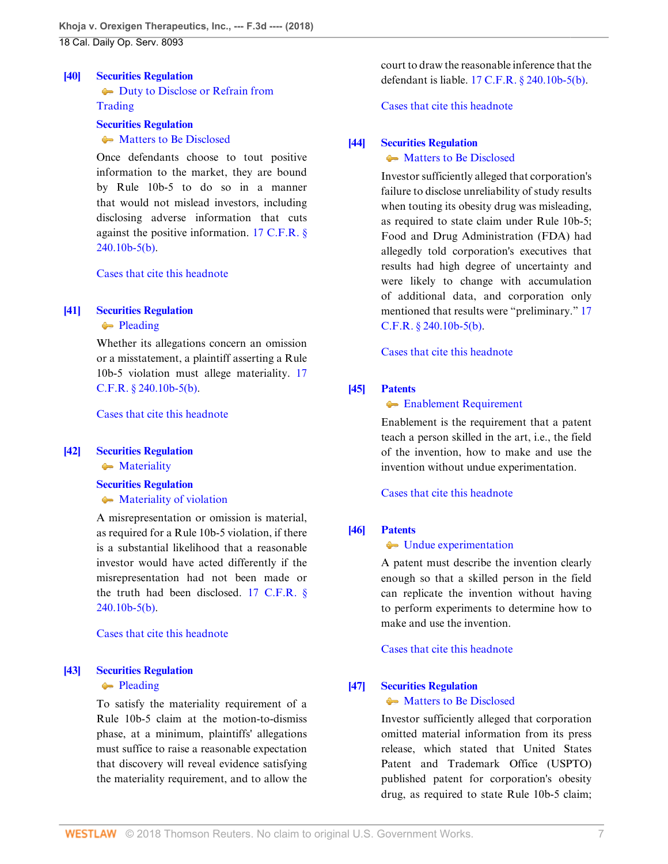## <span id="page-6-2"></span>**[\[40\]](#page-19-5) [Securities Regulation](http://www.westlaw.com/Browse/Home/KeyNumber/349B/View.html?docGuid=I9120ac409f1411e892c4ce5625aacf64&originationContext=document&vr=3.0&rs=cblt1.0&transitionType=DocumentItem&contextData=(sc.Default))**

[Duty to Disclose or Refrain from](http://www.westlaw.com/Browse/Home/KeyNumber/349Bk60.28(2)/View.html?docGuid=I9120ac409f1411e892c4ce5625aacf64&originationContext=document&vr=3.0&rs=cblt1.0&transitionType=DocumentItem&contextData=(sc.Default)) [Trading](http://www.westlaw.com/Browse/Home/KeyNumber/349Bk60.28(2)/View.html?docGuid=I9120ac409f1411e892c4ce5625aacf64&originationContext=document&vr=3.0&rs=cblt1.0&transitionType=DocumentItem&contextData=(sc.Default))

### **[Securities Regulation](http://www.westlaw.com/Browse/Home/KeyNumber/349B/View.html?docGuid=I9120ac409f1411e892c4ce5625aacf64&originationContext=document&vr=3.0&rs=cblt1.0&transitionType=DocumentItem&contextData=(sc.Default))**

**ARKAINER [Matters to Be Disclosed](http://www.westlaw.com/Browse/Home/KeyNumber/349Bk60.28(10)/View.html?docGuid=I9120ac409f1411e892c4ce5625aacf64&originationContext=document&vr=3.0&rs=cblt1.0&transitionType=DocumentItem&contextData=(sc.Default))** 

Once defendants choose to tout positive information to the market, they are bound by Rule 10b-5 to do so in a manner that would not mislead investors, including disclosing adverse information that cuts against the positive information. [17 C.F.R. §](http://www.westlaw.com/Link/Document/FullText?findType=L&pubNum=1000547&cite=17CFRS240.10B-5&originatingDoc=I9120ac409f1411e892c4ce5625aacf64&refType=LQ&originationContext=document&vr=3.0&rs=cblt1.0&transitionType=DocumentItem&contextData=(sc.Default))  $240.10<sub>b-5(b)</sub>$ .

[Cases that cite this headnote](http://www.westlaw.com/Link/RelatedInformation/DocHeadnoteLink?docGuid=I9120ac409f1411e892c4ce5625aacf64&headnoteId=204526186604020180829092445&originationContext=document&vr=3.0&rs=cblt1.0&transitionType=CitingReferences&contextData=(sc.Default))

#### <span id="page-6-3"></span>**[\[41\]](#page-19-6) [Securities Regulation](http://www.westlaw.com/Browse/Home/KeyNumber/349B/View.html?docGuid=I9120ac409f1411e892c4ce5625aacf64&originationContext=document&vr=3.0&rs=cblt1.0&transitionType=DocumentItem&contextData=(sc.Default))**

#### **[Pleading](http://www.westlaw.com/Browse/Home/KeyNumber/349Bk60.50/View.html?docGuid=I9120ac409f1411e892c4ce5625aacf64&originationContext=document&vr=3.0&rs=cblt1.0&transitionType=DocumentItem&contextData=(sc.Default))**

Whether its allegations concern an omission or a misstatement, a plaintiff asserting a Rule 10b-5 violation must allege materiality. [17](http://www.westlaw.com/Link/Document/FullText?findType=L&pubNum=1000547&cite=17CFRS240.10B-5&originatingDoc=I9120ac409f1411e892c4ce5625aacf64&refType=LQ&originationContext=document&vr=3.0&rs=cblt1.0&transitionType=DocumentItem&contextData=(sc.Default)) [C.F.R. § 240.10b-5\(b\).](http://www.westlaw.com/Link/Document/FullText?findType=L&pubNum=1000547&cite=17CFRS240.10B-5&originatingDoc=I9120ac409f1411e892c4ce5625aacf64&refType=LQ&originationContext=document&vr=3.0&rs=cblt1.0&transitionType=DocumentItem&contextData=(sc.Default))

[Cases that cite this headnote](http://www.westlaw.com/Link/RelatedInformation/DocHeadnoteLink?docGuid=I9120ac409f1411e892c4ce5625aacf64&headnoteId=204526186604120180829092445&originationContext=document&vr=3.0&rs=cblt1.0&transitionType=CitingReferences&contextData=(sc.Default))

#### <span id="page-6-4"></span>**[\[42\]](#page-19-7) [Securities Regulation](http://www.westlaw.com/Browse/Home/KeyNumber/349B/View.html?docGuid=I9120ac409f1411e892c4ce5625aacf64&originationContext=document&vr=3.0&rs=cblt1.0&transitionType=DocumentItem&contextData=(sc.Default))**

• [Materiality](http://www.westlaw.com/Browse/Home/KeyNumber/349Bk60.28(11)/View.html?docGuid=I9120ac409f1411e892c4ce5625aacf64&originationContext=document&vr=3.0&rs=cblt1.0&transitionType=DocumentItem&contextData=(sc.Default))

## **[Securities Regulation](http://www.westlaw.com/Browse/Home/KeyNumber/349B/View.html?docGuid=I9120ac409f1411e892c4ce5625aacf64&originationContext=document&vr=3.0&rs=cblt1.0&transitionType=DocumentItem&contextData=(sc.Default))**

**[Materiality of violation](http://www.westlaw.com/Browse/Home/KeyNumber/349Bk60.46/View.html?docGuid=I9120ac409f1411e892c4ce5625aacf64&originationContext=document&vr=3.0&rs=cblt1.0&transitionType=DocumentItem&contextData=(sc.Default))** 

A misrepresentation or omission is material, as required for a Rule 10b-5 violation, if there is a substantial likelihood that a reasonable investor would have acted differently if the misrepresentation had not been made or the truth had been disclosed. [17 C.F.R. §](http://www.westlaw.com/Link/Document/FullText?findType=L&pubNum=1000547&cite=17CFRS240.10B-5&originatingDoc=I9120ac409f1411e892c4ce5625aacf64&refType=LQ&originationContext=document&vr=3.0&rs=cblt1.0&transitionType=DocumentItem&contextData=(sc.Default)) [240.10b-5\(b\)](http://www.westlaw.com/Link/Document/FullText?findType=L&pubNum=1000547&cite=17CFRS240.10B-5&originatingDoc=I9120ac409f1411e892c4ce5625aacf64&refType=LQ&originationContext=document&vr=3.0&rs=cblt1.0&transitionType=DocumentItem&contextData=(sc.Default)).

#### [Cases that cite this headnote](http://www.westlaw.com/Link/RelatedInformation/DocHeadnoteLink?docGuid=I9120ac409f1411e892c4ce5625aacf64&headnoteId=204526186604220180829092445&originationContext=document&vr=3.0&rs=cblt1.0&transitionType=CitingReferences&contextData=(sc.Default))

#### <span id="page-6-5"></span>**[\[43\]](#page-19-8) [Securities Regulation](http://www.westlaw.com/Browse/Home/KeyNumber/349B/View.html?docGuid=I9120ac409f1411e892c4ce5625aacf64&originationContext=document&vr=3.0&rs=cblt1.0&transitionType=DocumentItem&contextData=(sc.Default))**

#### **[Pleading](http://www.westlaw.com/Browse/Home/KeyNumber/349Bk60.50/View.html?docGuid=I9120ac409f1411e892c4ce5625aacf64&originationContext=document&vr=3.0&rs=cblt1.0&transitionType=DocumentItem&contextData=(sc.Default))**

To satisfy the materiality requirement of a Rule 10b-5 claim at the motion-to-dismiss phase, at a minimum, plaintiffs' allegations must suffice to raise a reasonable expectation that discovery will reveal evidence satisfying the materiality requirement, and to allow the

court to draw the reasonable inference that the defendant is liable. [17 C.F.R. § 240.10b-5\(b\).](http://www.westlaw.com/Link/Document/FullText?findType=L&pubNum=1000547&cite=17CFRS240.10B-5&originatingDoc=I9120ac409f1411e892c4ce5625aacf64&refType=LQ&originationContext=document&vr=3.0&rs=cblt1.0&transitionType=DocumentItem&contextData=(sc.Default))

[Cases that cite this headnote](http://www.westlaw.com/Link/RelatedInformation/DocHeadnoteLink?docGuid=I9120ac409f1411e892c4ce5625aacf64&headnoteId=204526186604320180829092445&originationContext=document&vr=3.0&rs=cblt1.0&transitionType=CitingReferences&contextData=(sc.Default))

## <span id="page-6-0"></span>**[\[44\]](#page-21-0) [Securities Regulation](http://www.westlaw.com/Browse/Home/KeyNumber/349B/View.html?docGuid=I9120ac409f1411e892c4ce5625aacf64&originationContext=document&vr=3.0&rs=cblt1.0&transitionType=DocumentItem&contextData=(sc.Default))**

#### • [Matters to Be Disclosed](http://www.westlaw.com/Browse/Home/KeyNumber/349Bk60.28(10)/View.html?docGuid=I9120ac409f1411e892c4ce5625aacf64&originationContext=document&vr=3.0&rs=cblt1.0&transitionType=DocumentItem&contextData=(sc.Default))

Investor sufficiently alleged that corporation's failure to disclose unreliability of study results when touting its obesity drug was misleading, as required to state claim under Rule 10b-5; Food and Drug Administration (FDA) had allegedly told corporation's executives that results had high degree of uncertainty and were likely to change with accumulation of additional data, and corporation only mentioned that results were "preliminary." [17](http://www.westlaw.com/Link/Document/FullText?findType=L&pubNum=1000547&cite=17CFRS240.10B-5&originatingDoc=I9120ac409f1411e892c4ce5625aacf64&refType=LQ&originationContext=document&vr=3.0&rs=cblt1.0&transitionType=DocumentItem&contextData=(sc.Default)) [C.F.R. § 240.10b-5\(b\).](http://www.westlaw.com/Link/Document/FullText?findType=L&pubNum=1000547&cite=17CFRS240.10B-5&originatingDoc=I9120ac409f1411e892c4ce5625aacf64&refType=LQ&originationContext=document&vr=3.0&rs=cblt1.0&transitionType=DocumentItem&contextData=(sc.Default))

#### [Cases that cite this headnote](http://www.westlaw.com/Link/RelatedInformation/DocHeadnoteLink?docGuid=I9120ac409f1411e892c4ce5625aacf64&headnoteId=204526186604420180829092445&originationContext=document&vr=3.0&rs=cblt1.0&transitionType=CitingReferences&contextData=(sc.Default))

#### <span id="page-6-6"></span>**[\[45\]](#page-21-1) [Patents](http://www.westlaw.com/Browse/Home/KeyNumber/291/View.html?docGuid=I9120ac409f1411e892c4ce5625aacf64&originationContext=document&vr=3.0&rs=cblt1.0&transitionType=DocumentItem&contextData=(sc.Default))**

#### **[Enablement Requirement](http://www.westlaw.com/Browse/Home/KeyNumber/291k908/View.html?docGuid=I9120ac409f1411e892c4ce5625aacf64&originationContext=document&vr=3.0&rs=cblt1.0&transitionType=DocumentItem&contextData=(sc.Default))**

Enablement is the requirement that a patent teach a person skilled in the art, i.e., the field of the invention, how to make and use the invention without undue experimentation.

[Cases that cite this headnote](http://www.westlaw.com/Link/RelatedInformation/DocHeadnoteLink?docGuid=I9120ac409f1411e892c4ce5625aacf64&headnoteId=204526186604520180829092445&originationContext=document&vr=3.0&rs=cblt1.0&transitionType=CitingReferences&contextData=(sc.Default))

#### <span id="page-6-7"></span>**[\[46\]](#page-21-2) [Patents](http://www.westlaw.com/Browse/Home/KeyNumber/291/View.html?docGuid=I9120ac409f1411e892c4ce5625aacf64&originationContext=document&vr=3.0&rs=cblt1.0&transitionType=DocumentItem&contextData=(sc.Default))**

## • [Undue experimentation](http://www.westlaw.com/Browse/Home/KeyNumber/291k908(2)/View.html?docGuid=I9120ac409f1411e892c4ce5625aacf64&originationContext=document&vr=3.0&rs=cblt1.0&transitionType=DocumentItem&contextData=(sc.Default))

A patent must describe the invention clearly enough so that a skilled person in the field can replicate the invention without having to perform experiments to determine how to make and use the invention.

[Cases that cite this headnote](http://www.westlaw.com/Link/RelatedInformation/DocHeadnoteLink?docGuid=I9120ac409f1411e892c4ce5625aacf64&headnoteId=204526186604620180829092445&originationContext=document&vr=3.0&rs=cblt1.0&transitionType=CitingReferences&contextData=(sc.Default))

#### <span id="page-6-1"></span>**[\[47\]](#page-22-0) [Securities Regulation](http://www.westlaw.com/Browse/Home/KeyNumber/349B/View.html?docGuid=I9120ac409f1411e892c4ce5625aacf64&originationContext=document&vr=3.0&rs=cblt1.0&transitionType=DocumentItem&contextData=(sc.Default))**

#### • [Matters to Be Disclosed](http://www.westlaw.com/Browse/Home/KeyNumber/349Bk60.28(10)/View.html?docGuid=I9120ac409f1411e892c4ce5625aacf64&originationContext=document&vr=3.0&rs=cblt1.0&transitionType=DocumentItem&contextData=(sc.Default))

Investor sufficiently alleged that corporation omitted material information from its press release, which stated that United States Patent and Trademark Office (USPTO) published patent for corporation's obesity drug, as required to state Rule 10b-5 claim;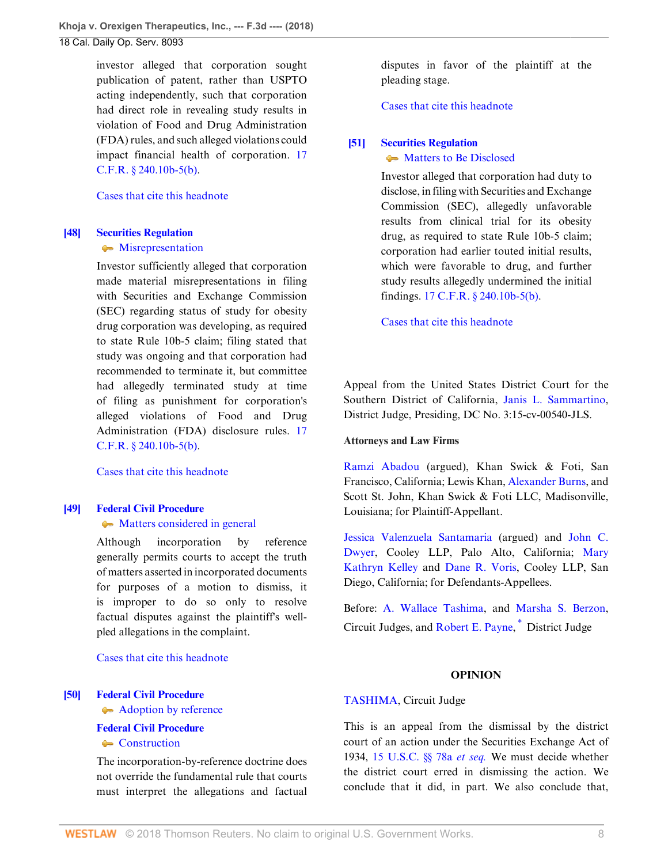investor alleged that corporation sought publication of patent, rather than USPTO acting independently, such that corporation had direct role in revealing study results in violation of Food and Drug Administration (FDA) rules, and such alleged violations could impact financial health of corporation. [17](http://www.westlaw.com/Link/Document/FullText?findType=L&pubNum=1000547&cite=17CFRS240.10B-5&originatingDoc=I9120ac409f1411e892c4ce5625aacf64&refType=LQ&originationContext=document&vr=3.0&rs=cblt1.0&transitionType=DocumentItem&contextData=(sc.Default)) [C.F.R. § 240.10b-5\(b\).](http://www.westlaw.com/Link/Document/FullText?findType=L&pubNum=1000547&cite=17CFRS240.10B-5&originatingDoc=I9120ac409f1411e892c4ce5625aacf64&refType=LQ&originationContext=document&vr=3.0&rs=cblt1.0&transitionType=DocumentItem&contextData=(sc.Default))

#### [Cases that cite this headnote](http://www.westlaw.com/Link/RelatedInformation/DocHeadnoteLink?docGuid=I9120ac409f1411e892c4ce5625aacf64&headnoteId=204526186604720180829092445&originationContext=document&vr=3.0&rs=cblt1.0&transitionType=CitingReferences&contextData=(sc.Default))

# <span id="page-7-0"></span>**[\[48\]](#page-23-0) [Securities Regulation](http://www.westlaw.com/Browse/Home/KeyNumber/349B/View.html?docGuid=I9120ac409f1411e892c4ce5625aacf64&originationContext=document&vr=3.0&rs=cblt1.0&transitionType=DocumentItem&contextData=(sc.Default))**

## **[Misrepresentation](http://www.westlaw.com/Browse/Home/KeyNumber/349Bk60.27/View.html?docGuid=I9120ac409f1411e892c4ce5625aacf64&originationContext=document&vr=3.0&rs=cblt1.0&transitionType=DocumentItem&contextData=(sc.Default))**

Investor sufficiently alleged that corporation made material misrepresentations in filing with Securities and Exchange Commission (SEC) regarding status of study for obesity drug corporation was developing, as required to state Rule 10b-5 claim; filing stated that study was ongoing and that corporation had recommended to terminate it, but committee had allegedly terminated study at time of filing as punishment for corporation's alleged violations of Food and Drug Administration (FDA) disclosure rules. [17](http://www.westlaw.com/Link/Document/FullText?findType=L&pubNum=1000547&cite=17CFRS240.10B-5&originatingDoc=I9120ac409f1411e892c4ce5625aacf64&refType=LQ&originationContext=document&vr=3.0&rs=cblt1.0&transitionType=DocumentItem&contextData=(sc.Default)) [C.F.R. § 240.10b-5\(b\).](http://www.westlaw.com/Link/Document/FullText?findType=L&pubNum=1000547&cite=17CFRS240.10B-5&originatingDoc=I9120ac409f1411e892c4ce5625aacf64&refType=LQ&originationContext=document&vr=3.0&rs=cblt1.0&transitionType=DocumentItem&contextData=(sc.Default))

[Cases that cite this headnote](http://www.westlaw.com/Link/RelatedInformation/DocHeadnoteLink?docGuid=I9120ac409f1411e892c4ce5625aacf64&headnoteId=204526186605020180829092445&originationContext=document&vr=3.0&rs=cblt1.0&transitionType=CitingReferences&contextData=(sc.Default))

## <span id="page-7-2"></span>**[\[49\]](#page-23-1) [Federal Civil Procedure](http://www.westlaw.com/Browse/Home/KeyNumber/170A/View.html?docGuid=I9120ac409f1411e892c4ce5625aacf64&originationContext=document&vr=3.0&rs=cblt1.0&transitionType=DocumentItem&contextData=(sc.Default))**

## • [Matters considered in general](http://www.westlaw.com/Browse/Home/KeyNumber/170Ak1832/View.html?docGuid=I9120ac409f1411e892c4ce5625aacf64&originationContext=document&vr=3.0&rs=cblt1.0&transitionType=DocumentItem&contextData=(sc.Default))

Although incorporation by reference generally permits courts to accept the truth of matters asserted in incorporated documents for purposes of a motion to dismiss, it is improper to do so only to resolve factual disputes against the plaintiff's wellpled allegations in the complaint.

[Cases that cite this headnote](http://www.westlaw.com/Link/RelatedInformation/DocHeadnoteLink?docGuid=I9120ac409f1411e892c4ce5625aacf64&headnoteId=204526186604820180829092445&originationContext=document&vr=3.0&rs=cblt1.0&transitionType=CitingReferences&contextData=(sc.Default))

## <span id="page-7-3"></span>**[\[50\]](#page-23-2) [Federal Civil Procedure](http://www.westlaw.com/Browse/Home/KeyNumber/170A/View.html?docGuid=I9120ac409f1411e892c4ce5625aacf64&originationContext=document&vr=3.0&rs=cblt1.0&transitionType=DocumentItem&contextData=(sc.Default))**

[Adoption by reference](http://www.westlaw.com/Browse/Home/KeyNumber/170Ak628/View.html?docGuid=I9120ac409f1411e892c4ce5625aacf64&originationContext=document&vr=3.0&rs=cblt1.0&transitionType=DocumentItem&contextData=(sc.Default))

## **[Federal Civil Procedure](http://www.westlaw.com/Browse/Home/KeyNumber/170A/View.html?docGuid=I9120ac409f1411e892c4ce5625aacf64&originationContext=document&vr=3.0&rs=cblt1.0&transitionType=DocumentItem&contextData=(sc.Default))**

[Construction](http://www.westlaw.com/Browse/Home/KeyNumber/170Ak654/View.html?docGuid=I9120ac409f1411e892c4ce5625aacf64&originationContext=document&vr=3.0&rs=cblt1.0&transitionType=DocumentItem&contextData=(sc.Default))

The incorporation-by-reference doctrine does not override the fundamental rule that courts must interpret the allegations and factual disputes in favor of the plaintiff at the pleading stage.

#### [Cases that cite this headnote](http://www.westlaw.com/Link/RelatedInformation/DocHeadnoteLink?docGuid=I9120ac409f1411e892c4ce5625aacf64&headnoteId=204526186604920180829092445&originationContext=document&vr=3.0&rs=cblt1.0&transitionType=CitingReferences&contextData=(sc.Default))

## <span id="page-7-1"></span>**[\[51\]](#page-24-0) [Securities Regulation](http://www.westlaw.com/Browse/Home/KeyNumber/349B/View.html?docGuid=I9120ac409f1411e892c4ce5625aacf64&originationContext=document&vr=3.0&rs=cblt1.0&transitionType=DocumentItem&contextData=(sc.Default))**

## • [Matters to Be Disclosed](http://www.westlaw.com/Browse/Home/KeyNumber/349Bk60.28(10)/View.html?docGuid=I9120ac409f1411e892c4ce5625aacf64&originationContext=document&vr=3.0&rs=cblt1.0&transitionType=DocumentItem&contextData=(sc.Default))

Investor alleged that corporation had duty to disclose, in filing with Securities and Exchange Commission (SEC), allegedly unfavorable results from clinical trial for its obesity drug, as required to state Rule 10b-5 claim; corporation had earlier touted initial results, which were favorable to drug, and further study results allegedly undermined the initial findings. [17 C.F.R. § 240.10b-5\(b\).](http://www.westlaw.com/Link/Document/FullText?findType=L&pubNum=1000547&cite=17CFRS240.10B-5&originatingDoc=I9120ac409f1411e892c4ce5625aacf64&refType=LQ&originationContext=document&vr=3.0&rs=cblt1.0&transitionType=DocumentItem&contextData=(sc.Default))

[Cases that cite this headnote](http://www.westlaw.com/Link/RelatedInformation/DocHeadnoteLink?docGuid=I9120ac409f1411e892c4ce5625aacf64&headnoteId=204526186605120180829092445&originationContext=document&vr=3.0&rs=cblt1.0&transitionType=CitingReferences&contextData=(sc.Default))

Appeal from the United States District Court for the Southern District of California, [Janis L. Sammartino](http://www.westlaw.com/Link/Document/FullText?findType=h&pubNum=176284&cite=0387674901&originatingDoc=I9120ac409f1411e892c4ce5625aacf64&refType=RQ&originationContext=document&vr=3.0&rs=cblt1.0&transitionType=DocumentItem&contextData=(sc.Default)), District Judge, Presiding, DC No. 3:15-cv-00540-JLS.

## **Attorneys and Law Firms**

[Ramzi Abadou](http://www.westlaw.com/Link/Document/FullText?findType=h&pubNum=176284&cite=0328538501&originatingDoc=I9120ac409f1411e892c4ce5625aacf64&refType=RQ&originationContext=document&vr=3.0&rs=cblt1.0&transitionType=DocumentItem&contextData=(sc.Default)) (argued), Khan Swick & Foti, San Francisco, California; Lewis Khan, [Alexander Burns](http://www.westlaw.com/Link/Document/FullText?findType=h&pubNum=176284&cite=0389325801&originatingDoc=I9120ac409f1411e892c4ce5625aacf64&refType=RQ&originationContext=document&vr=3.0&rs=cblt1.0&transitionType=DocumentItem&contextData=(sc.Default)), and Scott St. John, Khan Swick & Foti LLC, Madisonville, Louisiana; for Plaintiff-Appellant.

[Jessica Valenzuela Santamaria](http://www.westlaw.com/Link/Document/FullText?findType=h&pubNum=176284&cite=0374644601&originatingDoc=I9120ac409f1411e892c4ce5625aacf64&refType=RQ&originationContext=document&vr=3.0&rs=cblt1.0&transitionType=DocumentItem&contextData=(sc.Default)) (argued) and [John C.](http://www.westlaw.com/Link/Document/FullText?findType=h&pubNum=176284&cite=0252885001&originatingDoc=I9120ac409f1411e892c4ce5625aacf64&refType=RQ&originationContext=document&vr=3.0&rs=cblt1.0&transitionType=DocumentItem&contextData=(sc.Default)) [Dwyer,](http://www.westlaw.com/Link/Document/FullText?findType=h&pubNum=176284&cite=0252885001&originatingDoc=I9120ac409f1411e892c4ce5625aacf64&refType=RQ&originationContext=document&vr=3.0&rs=cblt1.0&transitionType=DocumentItem&contextData=(sc.Default)) Cooley LLP, Palo Alto, California; [Mary](http://www.westlaw.com/Link/Document/FullText?findType=h&pubNum=176284&cite=0105810701&originatingDoc=I9120ac409f1411e892c4ce5625aacf64&refType=RQ&originationContext=document&vr=3.0&rs=cblt1.0&transitionType=DocumentItem&contextData=(sc.Default)) [Kathryn Kelley](http://www.westlaw.com/Link/Document/FullText?findType=h&pubNum=176284&cite=0105810701&originatingDoc=I9120ac409f1411e892c4ce5625aacf64&refType=RQ&originationContext=document&vr=3.0&rs=cblt1.0&transitionType=DocumentItem&contextData=(sc.Default)) and [Dane R. Voris,](http://www.westlaw.com/Link/Document/FullText?findType=h&pubNum=176284&cite=0474245701&originatingDoc=I9120ac409f1411e892c4ce5625aacf64&refType=RQ&originationContext=document&vr=3.0&rs=cblt1.0&transitionType=DocumentItem&contextData=(sc.Default)) Cooley LLP, San Diego, California; for Defendants-Appellees.

Before: [A. Wallace Tashima](http://www.westlaw.com/Link/Document/FullText?findType=h&pubNum=176284&cite=0245209101&originatingDoc=I9120ac409f1411e892c4ce5625aacf64&refType=RQ&originationContext=document&vr=3.0&rs=cblt1.0&transitionType=DocumentItem&contextData=(sc.Default)), and [Marsha S. Berzon](http://www.westlaw.com/Link/Document/FullText?findType=h&pubNum=176284&cite=0204838401&originatingDoc=I9120ac409f1411e892c4ce5625aacf64&refType=RQ&originationContext=document&vr=3.0&rs=cblt1.0&transitionType=DocumentItem&contextData=(sc.Default)), Circuit Judges, and [Robert E. Payne](http://www.westlaw.com/Link/Document/FullText?findType=h&pubNum=176284&cite=0109049101&originatingDoc=I9120ac409f1411e892c4ce5625aacf64&refType=RQ&originationContext=document&vr=3.0&rs=cblt1.0&transitionType=DocumentItem&contextData=(sc.Default)), [\\*](#page-27-0) District Judge

## <span id="page-7-4"></span>**OPINION**

## [TASHIMA,](http://www.westlaw.com/Link/Document/FullText?findType=h&pubNum=176284&cite=0245209101&originatingDoc=I9120ac409f1411e892c4ce5625aacf64&refType=RQ&originationContext=document&vr=3.0&rs=cblt1.0&transitionType=DocumentItem&contextData=(sc.Default)) Circuit Judge

This is an appeal from the dismissal by the district court of an action under the Securities Exchange Act of 1934, [15 U.S.C. §§ 78a](http://www.westlaw.com/Link/Document/FullText?findType=L&pubNum=1000546&cite=15USCAS78A&originatingDoc=I9120ac409f1411e892c4ce5625aacf64&refType=LQ&originationContext=document&vr=3.0&rs=cblt1.0&transitionType=DocumentItem&contextData=(sc.Default)) *et seq.* We must decide whether the district court erred in dismissing the action. We conclude that it did, in part. We also conclude that,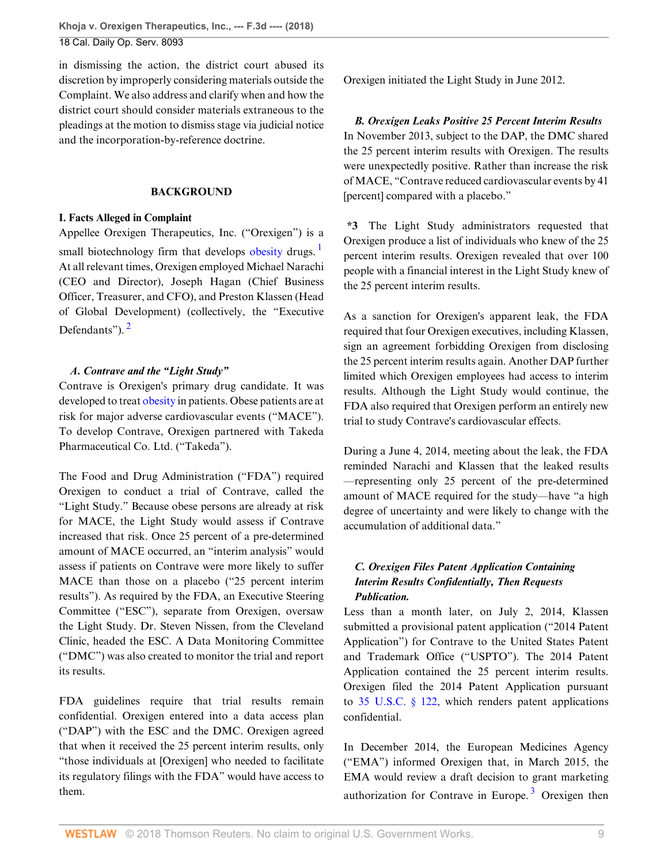in dismissing the action, the district court abused its discretion by improperly considering materials outside the Complaint. We also address and clarify when and how the district court should consider materials extraneous to the pleadings at the motion to dismiss stage via judicial notice and the incorporation-by-reference doctrine.

## **BACKGROUND**

## **I. Facts Alleged in Complaint**

Appellee Orexigen Therapeutics, Inc. ("Orexigen") is a small biotechnology firm that develops [obesity](http://www.westlaw.com/Link/Document/FullText?entityType=disease&entityId=Ib521aefe475411db9765f9243f53508a&originationContext=document&transitionType=DocumentItem&contextData=(sc.Default)&vr=3.0&rs=cblt1.0) drugs.<sup>[1](#page-27-1)</sup> At all relevant times, Orexigen employed Michael Narachi (CEO and Director), Joseph Hagan (Chief Business Officer, Treasurer, and CFO), and Preston Klassen (Head of Global Development) (collectively, the "Executive Defendants").<sup>[2](#page-27-2)</sup>

## <span id="page-8-1"></span>*A. Contrave and the "Light Study"*

Contrave is Orexigen's primary drug candidate. It was developed to treat [obesity](http://www.westlaw.com/Link/Document/FullText?entityType=disease&entityId=Ib521aefe475411db9765f9243f53508a&originationContext=document&transitionType=DocumentItem&contextData=(sc.Default)&vr=3.0&rs=cblt1.0) in patients. Obese patients are at risk for major adverse cardiovascular events ("MACE"). To develop Contrave, Orexigen partnered with Takeda Pharmaceutical Co. Ltd. ("Takeda").

The Food and Drug Administration ("FDA") required Orexigen to conduct a trial of Contrave, called the "Light Study." Because obese persons are already at risk for MACE, the Light Study would assess if Contrave increased that risk. Once 25 percent of a pre-determined amount of MACE occurred, an "interim analysis" would assess if patients on Contrave were more likely to suffer MACE than those on a placebo ("25 percent interim results"). As required by the FDA, an Executive Steering Committee ("ESC"), separate from Orexigen, oversaw the Light Study. Dr. Steven Nissen, from the Cleveland Clinic, headed the ESC. A Data Monitoring Committee ("DMC") was also created to monitor the trial and report its results.

FDA guidelines require that trial results remain confidential. Orexigen entered into a data access plan ("DAP") with the ESC and the DMC. Orexigen agreed that when it received the 25 percent interim results, only "those individuals at [Orexigen] who needed to facilitate its regulatory filings with the FDA" would have access to them.

Orexigen initiated the Light Study in June 2012.

*B. Orexigen Leaks Positive 25 Percent Interim Results* In November 2013, subject to the DAP, the DMC shared the 25 percent interim results with Orexigen. The results were unexpectedly positive. Rather than increase the risk of MACE, "Contrave reduced cardiovascular events by 41 [percent] compared with a placebo."

<span id="page-8-0"></span>**\*3** The Light Study administrators requested that Orexigen produce a list of individuals who knew of the 25 percent interim results. Orexigen revealed that over 100 people with a financial interest in the Light Study knew of the 25 percent interim results.

As a sanction for Orexigen's apparent leak, the FDA required that four Orexigen executives, including Klassen, sign an agreement forbidding Orexigen from disclosing the 25 percent interim results again. Another DAP further limited which Orexigen employees had access to interim results. Although the Light Study would continue, the FDA also required that Orexigen perform an entirely new trial to study Contrave's cardiovascular effects.

During a June 4, 2014, meeting about the leak, the FDA reminded Narachi and Klassen that the leaked results —representing only 25 percent of the pre-determined amount of MACE required for the study—have "a high degree of uncertainty and were likely to change with the accumulation of additional data."

## *C. Orexigen Files Patent Application Containing Interim Results Confidentially, Then Requests Publication.*

Less than a month later, on July 2, 2014, Klassen submitted a provisional patent application ("2014 Patent Application") for Contrave to the United States Patent and Trademark Office ("USPTO"). The 2014 Patent Application contained the 25 percent interim results. Orexigen filed the 2014 Patent Application pursuant to [35 U.S.C. § 122,](http://www.westlaw.com/Link/Document/FullText?findType=L&pubNum=1000546&cite=35USCAS122&originatingDoc=I9120ac409f1411e892c4ce5625aacf64&refType=LQ&originationContext=document&vr=3.0&rs=cblt1.0&transitionType=DocumentItem&contextData=(sc.Default)) which renders patent applications confidential.

<span id="page-8-2"></span>In December 2014, the European Medicines Agency ("EMA") informed Orexigen that, in March 2015, the EMA would review a draft decision to grant marketing authorization for Contrave in Europe.<sup>[3](#page-27-3)</sup> Orexigen then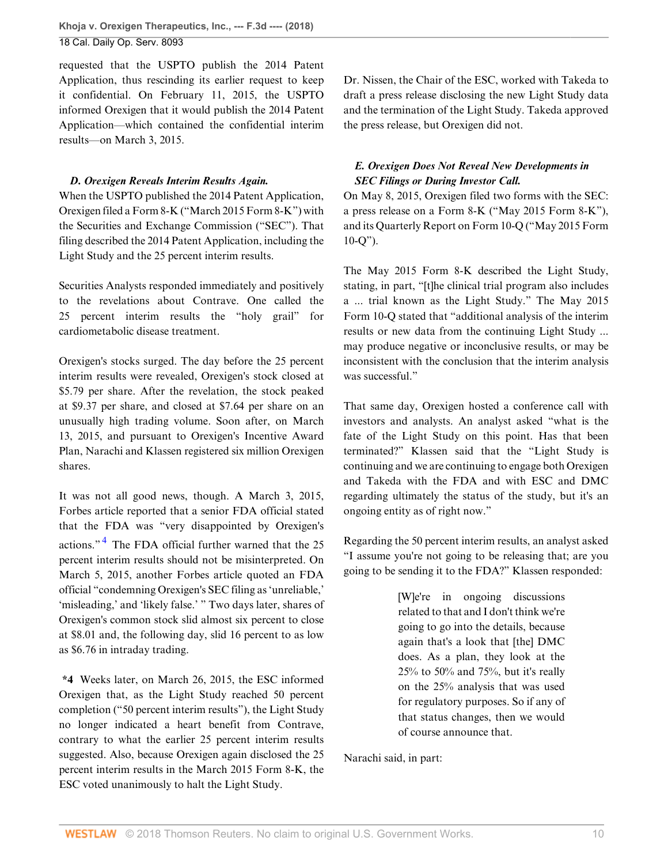requested that the USPTO publish the 2014 Patent Application, thus rescinding its earlier request to keep it confidential. On February 11, 2015, the USPTO informed Orexigen that it would publish the 2014 Patent Application—which contained the confidential interim results—on March 3, 2015.

## *D. Orexigen Reveals Interim Results Again.*

When the USPTO published the 2014 Patent Application, Orexigen filed a Form 8-K ("March 2015 Form 8-K") with the Securities and Exchange Commission ("SEC"). That filing described the 2014 Patent Application, including the Light Study and the 25 percent interim results.

Securities Analysts responded immediately and positively to the revelations about Contrave. One called the 25 percent interim results the "holy grail" for cardiometabolic disease treatment.

Orexigen's stocks surged. The day before the 25 percent interim results were revealed, Orexigen's stock closed at \$5.79 per share. After the revelation, the stock peaked at \$9.37 per share, and closed at \$7.64 per share on an unusually high trading volume. Soon after, on March 13, 2015, and pursuant to Orexigen's Incentive Award Plan, Narachi and Klassen registered six million Orexigen shares.

<span id="page-9-0"></span>It was not all good news, though. A March 3, 2015, Forbes article reported that a senior FDA official stated that the FDA was "very disappointed by Orexigen's actions."<sup>[4](#page-27-4)</sup> The FDA official further warned that the 25 percent interim results should not be misinterpreted. On March 5, 2015, another Forbes article quoted an FDA official "condemning Orexigen's SEC filing as 'unreliable,' 'misleading,' and 'likely false.' " Two days later, shares of Orexigen's common stock slid almost six percent to close at \$8.01 and, the following day, slid 16 percent to as low as \$6.76 in intraday trading.

**\*4** Weeks later, on March 26, 2015, the ESC informed Orexigen that, as the Light Study reached 50 percent completion ("50 percent interim results"), the Light Study no longer indicated a heart benefit from Contrave, contrary to what the earlier 25 percent interim results suggested. Also, because Orexigen again disclosed the 25 percent interim results in the March 2015 Form 8-K, the ESC voted unanimously to halt the Light Study.

Dr. Nissen, the Chair of the ESC, worked with Takeda to draft a press release disclosing the new Light Study data and the termination of the Light Study. Takeda approved the press release, but Orexigen did not.

## *E. Orexigen Does Not Reveal New Developments in SEC Filings or During Investor Call.*

On May 8, 2015, Orexigen filed two forms with the SEC: a press release on a Form 8-K ("May 2015 Form 8-K"), and its Quarterly Report on Form 10-Q ("May 2015 Form 10-Q").

The May 2015 Form 8-K described the Light Study, stating, in part, "[t]he clinical trial program also includes a ... trial known as the Light Study." The May 2015 Form 10-Q stated that "additional analysis of the interim results or new data from the continuing Light Study ... may produce negative or inconclusive results, or may be inconsistent with the conclusion that the interim analysis was successful."

That same day, Orexigen hosted a conference call with investors and analysts. An analyst asked "what is the fate of the Light Study on this point. Has that been terminated?" Klassen said that the "Light Study is continuing and we are continuing to engage both Orexigen and Takeda with the FDA and with ESC and DMC regarding ultimately the status of the study, but it's an ongoing entity as of right now."

Regarding the 50 percent interim results, an analyst asked "I assume you're not going to be releasing that; are you going to be sending it to the FDA?" Klassen responded:

> [W]e're in ongoing discussions related to that and I don't think we're going to go into the details, because again that's a look that [the] DMC does. As a plan, they look at the 25% to 50% and 75%, but it's really on the 25% analysis that was used for regulatory purposes. So if any of that status changes, then we would of course announce that.

Narachi said, in part: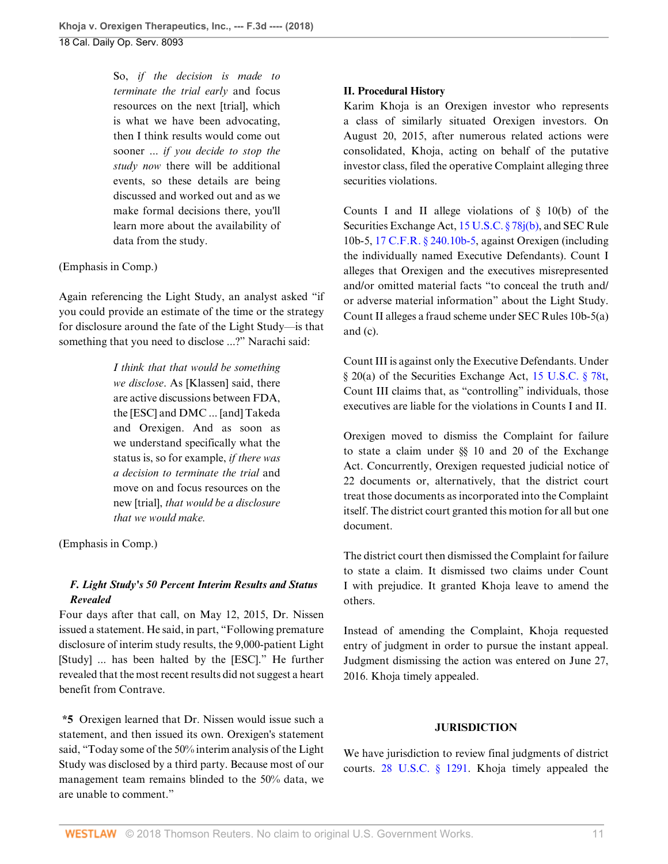So, *if the decision is made to terminate the trial early* and focus resources on the next [trial], which is what we have been advocating, then I think results would come out sooner ... *if you decide to stop the study now* there will be additional events, so these details are being discussed and worked out and as we make formal decisions there, you'll learn more about the availability of data from the study.

## (Emphasis in Comp.)

Again referencing the Light Study, an analyst asked "if you could provide an estimate of the time or the strategy for disclosure around the fate of the Light Study—is that something that you need to disclose ...?" Narachi said:

> *I think that that would be something we disclose*. As [Klassen] said, there are active discussions between FDA, the [ESC] and DMC ... [and] Takeda and Orexigen. And as soon as we understand specifically what the status is, so for example, *if there was a decision to terminate the trial* and move on and focus resources on the new [trial], *that would be a disclosure that we would make.*

(Emphasis in Comp.)

## *F. Light Study's 50 Percent Interim Results and Status Revealed*

Four days after that call, on May 12, 2015, Dr. Nissen issued a statement. He said, in part, "Following premature disclosure of interim study results, the 9,000-patient Light [Study] ... has been halted by the [ESC]." He further revealed that the most recent results did not suggest a heart benefit from Contrave.

**\*5** Orexigen learned that Dr. Nissen would issue such a statement, and then issued its own. Orexigen's statement said, "Today some of the 50% interim analysis of the Light Study was disclosed by a third party. Because most of our management team remains blinded to the 50% data, we are unable to comment."

## **II. Procedural History**

Karim Khoja is an Orexigen investor who represents a class of similarly situated Orexigen investors. On August 20, 2015, after numerous related actions were consolidated, Khoja, acting on behalf of the putative investor class, filed the operative Complaint alleging three securities violations.

Counts I and II allege violations of  $\S$  10(b) of the Securities Exchange Act, [15 U.S.C. § 78j\(b\)](http://www.westlaw.com/Link/Document/FullText?findType=L&pubNum=1000546&cite=15USCAS78J&originatingDoc=I9120ac409f1411e892c4ce5625aacf64&refType=RB&originationContext=document&vr=3.0&rs=cblt1.0&transitionType=DocumentItem&contextData=(sc.Default)#co_pp_a83b000018c76), and SEC Rule 10b-5, [17 C.F.R. § 240.10b-5](http://www.westlaw.com/Link/Document/FullText?findType=L&pubNum=1000547&cite=17CFRS240.10B-5&originatingDoc=I9120ac409f1411e892c4ce5625aacf64&refType=LQ&originationContext=document&vr=3.0&rs=cblt1.0&transitionType=DocumentItem&contextData=(sc.Default)), against Orexigen (including the individually named Executive Defendants). Count I alleges that Orexigen and the executives misrepresented and/or omitted material facts "to conceal the truth and/ or adverse material information" about the Light Study. Count II alleges a fraud scheme under SEC Rules 10b-5(a) and (c).

Count III is against only the Executive Defendants. Under § 20(a) of the Securities Exchange Act, [15 U.S.C. § 78t](http://www.westlaw.com/Link/Document/FullText?findType=L&pubNum=1000546&cite=15USCAS78T&originatingDoc=I9120ac409f1411e892c4ce5625aacf64&refType=LQ&originationContext=document&vr=3.0&rs=cblt1.0&transitionType=DocumentItem&contextData=(sc.Default)), Count III claims that, as "controlling" individuals, those executives are liable for the violations in Counts I and II.

Orexigen moved to dismiss the Complaint for failure to state a claim under §§ 10 and 20 of the Exchange Act. Concurrently, Orexigen requested judicial notice of 22 documents or, alternatively, that the district court treat those documents as incorporated into the Complaint itself. The district court granted this motion for all but one document.

The district court then dismissed the Complaint for failure to state a claim. It dismissed two claims under Count I with prejudice. It granted Khoja leave to amend the others.

Instead of amending the Complaint, Khoja requested entry of judgment in order to pursue the instant appeal. Judgment dismissing the action was entered on June 27, 2016. Khoja timely appealed.

## **JURISDICTION**

We have jurisdiction to review final judgments of district courts. [28 U.S.C. § 1291.](http://www.westlaw.com/Link/Document/FullText?findType=L&pubNum=1000546&cite=28USCAS1291&originatingDoc=I9120ac409f1411e892c4ce5625aacf64&refType=LQ&originationContext=document&vr=3.0&rs=cblt1.0&transitionType=DocumentItem&contextData=(sc.Default)) Khoja timely appealed the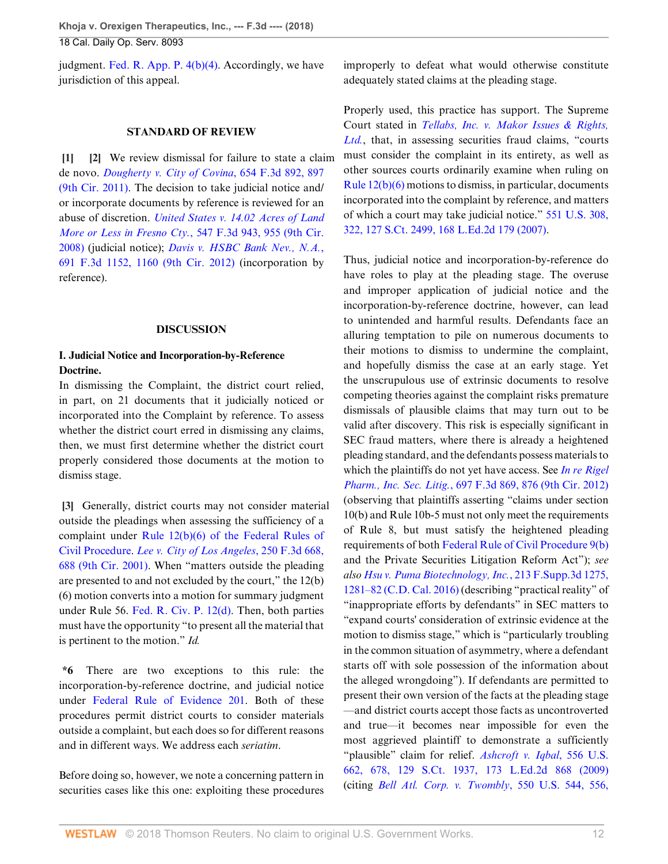judgment. Fed. R. App. P.  $4(b)(4)$ . Accordingly, we have jurisdiction of this appeal.

#### <span id="page-11-1"></span>**STANDARD OF REVIEW**

<span id="page-11-0"></span>**[\[1](#page-0-0)] [\[2\]](#page-0-1)** We review dismissal for failure to state a claim de novo. *[Dougherty v. City of Covina](http://www.westlaw.com/Link/Document/FullText?findType=Y&serNum=2025878171&pubNum=0000506&originatingDoc=I9120ac409f1411e892c4ce5625aacf64&refType=RP&fi=co_pp_sp_506_897&originationContext=document&vr=3.0&rs=cblt1.0&transitionType=DocumentItem&contextData=(sc.Default)#co_pp_sp_506_897)*, 654 F.3d 892, 897 [\(9th Cir. 2011\)](http://www.westlaw.com/Link/Document/FullText?findType=Y&serNum=2025878171&pubNum=0000506&originatingDoc=I9120ac409f1411e892c4ce5625aacf64&refType=RP&fi=co_pp_sp_506_897&originationContext=document&vr=3.0&rs=cblt1.0&transitionType=DocumentItem&contextData=(sc.Default)#co_pp_sp_506_897). The decision to take judicial notice and/ or incorporate documents by reference is reviewed for an abuse of discretion. *[United States v. 14.02 Acres of Land](http://www.westlaw.com/Link/Document/FullText?findType=Y&serNum=2017346452&pubNum=0000506&originatingDoc=I9120ac409f1411e892c4ce5625aacf64&refType=RP&fi=co_pp_sp_506_955&originationContext=document&vr=3.0&rs=cblt1.0&transitionType=DocumentItem&contextData=(sc.Default)#co_pp_sp_506_955) More or Less in Fresno Cty.*[, 547 F.3d 943, 955 \(9th Cir.](http://www.westlaw.com/Link/Document/FullText?findType=Y&serNum=2017346452&pubNum=0000506&originatingDoc=I9120ac409f1411e892c4ce5625aacf64&refType=RP&fi=co_pp_sp_506_955&originationContext=document&vr=3.0&rs=cblt1.0&transitionType=DocumentItem&contextData=(sc.Default)#co_pp_sp_506_955) [2008\)](http://www.westlaw.com/Link/Document/FullText?findType=Y&serNum=2017346452&pubNum=0000506&originatingDoc=I9120ac409f1411e892c4ce5625aacf64&refType=RP&fi=co_pp_sp_506_955&originationContext=document&vr=3.0&rs=cblt1.0&transitionType=DocumentItem&contextData=(sc.Default)#co_pp_sp_506_955) (judicial notice); *[Davis v. HSBC Bank Nev., N.A.](http://www.westlaw.com/Link/Document/FullText?findType=Y&serNum=2028533822&pubNum=0000506&originatingDoc=I9120ac409f1411e892c4ce5625aacf64&refType=RP&fi=co_pp_sp_506_1160&originationContext=document&vr=3.0&rs=cblt1.0&transitionType=DocumentItem&contextData=(sc.Default)#co_pp_sp_506_1160)*, [691 F.3d 1152, 1160 \(9th Cir. 2012\)](http://www.westlaw.com/Link/Document/FullText?findType=Y&serNum=2028533822&pubNum=0000506&originatingDoc=I9120ac409f1411e892c4ce5625aacf64&refType=RP&fi=co_pp_sp_506_1160&originationContext=document&vr=3.0&rs=cblt1.0&transitionType=DocumentItem&contextData=(sc.Default)#co_pp_sp_506_1160) (incorporation by reference).

## **DISCUSSION**

## **I. Judicial Notice and Incorporation-by-Reference Doctrine.**

In dismissing the Complaint, the district court relied, in part, on 21 documents that it judicially noticed or incorporated into the Complaint by reference. To assess whether the district court erred in dismissing any claims, then, we must first determine whether the district court properly considered those documents at the motion to dismiss stage.

<span id="page-11-2"></span>**[\[3](#page-0-2)]** Generally, district courts may not consider material outside the pleadings when assessing the sufficiency of a complaint under [Rule 12\(b\)\(6\) of the Federal Rules of](http://www.westlaw.com/Link/Document/FullText?findType=L&pubNum=1000600&cite=USFRCPR12&originatingDoc=I9120ac409f1411e892c4ce5625aacf64&refType=LQ&originationContext=document&vr=3.0&rs=cblt1.0&transitionType=DocumentItem&contextData=(sc.Default)) [Civil Procedure](http://www.westlaw.com/Link/Document/FullText?findType=L&pubNum=1000600&cite=USFRCPR12&originatingDoc=I9120ac409f1411e892c4ce5625aacf64&refType=LQ&originationContext=document&vr=3.0&rs=cblt1.0&transitionType=DocumentItem&contextData=(sc.Default)). *[Lee v. City of Los Angeles](http://www.westlaw.com/Link/Document/FullText?findType=Y&serNum=2001385224&pubNum=0000506&originatingDoc=I9120ac409f1411e892c4ce5625aacf64&refType=RP&fi=co_pp_sp_506_688&originationContext=document&vr=3.0&rs=cblt1.0&transitionType=DocumentItem&contextData=(sc.Default)#co_pp_sp_506_688)*, 250 F.3d 668, [688 \(9th Cir. 2001\).](http://www.westlaw.com/Link/Document/FullText?findType=Y&serNum=2001385224&pubNum=0000506&originatingDoc=I9120ac409f1411e892c4ce5625aacf64&refType=RP&fi=co_pp_sp_506_688&originationContext=document&vr=3.0&rs=cblt1.0&transitionType=DocumentItem&contextData=(sc.Default)#co_pp_sp_506_688) When "matters outside the pleading are presented to and not excluded by the court," the 12(b) (6) motion converts into a motion for summary judgment under Rule 56. [Fed. R. Civ. P. 12\(d\).](http://www.westlaw.com/Link/Document/FullText?findType=L&pubNum=1000600&cite=USFRCPR12&originatingDoc=I9120ac409f1411e892c4ce5625aacf64&refType=LQ&originationContext=document&vr=3.0&rs=cblt1.0&transitionType=DocumentItem&contextData=(sc.Default)) Then, both parties must have the opportunity "to present all the material that is pertinent to the motion." *Id.*

**\*6** There are two exceptions to this rule: the incorporation-by-reference doctrine, and judicial notice under [Federal Rule of Evidence 201.](http://www.westlaw.com/Link/Document/FullText?findType=L&pubNum=1000607&cite=USFRER201&originatingDoc=I9120ac409f1411e892c4ce5625aacf64&refType=LQ&originationContext=document&vr=3.0&rs=cblt1.0&transitionType=DocumentItem&contextData=(sc.Default)) Both of these procedures permit district courts to consider materials outside a complaint, but each does so for different reasons and in different ways. We address each *seriatim*.

Before doing so, however, we note a concerning pattern in securities cases like this one: exploiting these procedures improperly to defeat what would otherwise constitute adequately stated claims at the pleading stage.

Properly used, this practice has support. The Supreme Court stated in *[Tellabs, Inc. v. Makor Issues & Rights,](http://www.westlaw.com/Link/Document/FullText?findType=Y&serNum=2012518448&pubNum=0000780&originatingDoc=I9120ac409f1411e892c4ce5625aacf64&refType=RP&originationContext=document&vr=3.0&rs=cblt1.0&transitionType=DocumentItem&contextData=(sc.Default)) [Ltd.](http://www.westlaw.com/Link/Document/FullText?findType=Y&serNum=2012518448&pubNum=0000780&originatingDoc=I9120ac409f1411e892c4ce5625aacf64&refType=RP&originationContext=document&vr=3.0&rs=cblt1.0&transitionType=DocumentItem&contextData=(sc.Default))*, that, in assessing securities fraud claims, "courts must consider the complaint in its entirety, as well as other sources courts ordinarily examine when ruling on [Rule 12\(b\)\(6\)](http://www.westlaw.com/Link/Document/FullText?findType=L&pubNum=1000600&cite=USFRCPR12&originatingDoc=I9120ac409f1411e892c4ce5625aacf64&refType=LQ&originationContext=document&vr=3.0&rs=cblt1.0&transitionType=DocumentItem&contextData=(sc.Default)) motions to dismiss, in particular, documents incorporated into the complaint by reference, and matters of which a court may take judicial notice." [551 U.S. 308,](http://www.westlaw.com/Link/Document/FullText?findType=Y&serNum=2012518448&pubNum=0000708&originatingDoc=I9120ac409f1411e892c4ce5625aacf64&refType=RP&originationContext=document&vr=3.0&rs=cblt1.0&transitionType=DocumentItem&contextData=(sc.Default)) [322, 127 S.Ct. 2499, 168 L.Ed.2d 179 \(2007\).](http://www.westlaw.com/Link/Document/FullText?findType=Y&serNum=2012518448&pubNum=0000708&originatingDoc=I9120ac409f1411e892c4ce5625aacf64&refType=RP&originationContext=document&vr=3.0&rs=cblt1.0&transitionType=DocumentItem&contextData=(sc.Default))

Thus, judicial notice and incorporation-by-reference do have roles to play at the pleading stage. The overuse and improper application of judicial notice and the incorporation-by-reference doctrine, however, can lead to unintended and harmful results. Defendants face an alluring temptation to pile on numerous documents to their motions to dismiss to undermine the complaint, and hopefully dismiss the case at an early stage. Yet the unscrupulous use of extrinsic documents to resolve competing theories against the complaint risks premature dismissals of plausible claims that may turn out to be valid after discovery. This risk is especially significant in SEC fraud matters, where there is already a heightened pleading standard, and the defendants possess materials to which the plaintiffs do not yet have access. See *[In re Rigel](http://www.westlaw.com/Link/Document/FullText?findType=Y&serNum=2028559948&pubNum=0000506&originatingDoc=I9120ac409f1411e892c4ce5625aacf64&refType=RP&fi=co_pp_sp_506_876&originationContext=document&vr=3.0&rs=cblt1.0&transitionType=DocumentItem&contextData=(sc.Default)#co_pp_sp_506_876) Pharm., Inc. Sec. Litig.*[, 697 F.3d 869, 876 \(9th Cir. 2012\)](http://www.westlaw.com/Link/Document/FullText?findType=Y&serNum=2028559948&pubNum=0000506&originatingDoc=I9120ac409f1411e892c4ce5625aacf64&refType=RP&fi=co_pp_sp_506_876&originationContext=document&vr=3.0&rs=cblt1.0&transitionType=DocumentItem&contextData=(sc.Default)#co_pp_sp_506_876) (observing that plaintiffs asserting "claims under section 10(b) and Rule 10b-5 must not only meet the requirements of Rule 8, but must satisfy the heightened pleading requirements of both [Federal Rule of Civil Procedure 9\(b\)](http://www.westlaw.com/Link/Document/FullText?findType=L&pubNum=1000600&cite=USFRCPR9&originatingDoc=I9120ac409f1411e892c4ce5625aacf64&refType=LQ&originationContext=document&vr=3.0&rs=cblt1.0&transitionType=DocumentItem&contextData=(sc.Default)) and the Private Securities Litigation Reform Act"); *see also [Hsu v. Puma Biotechnology, Inc.](http://www.westlaw.com/Link/Document/FullText?findType=Y&serNum=2039945157&pubNum=0007903&originatingDoc=I9120ac409f1411e892c4ce5625aacf64&refType=RP&fi=co_pp_sp_7903_1281&originationContext=document&vr=3.0&rs=cblt1.0&transitionType=DocumentItem&contextData=(sc.Default)#co_pp_sp_7903_1281)*, 213 F.Supp.3d 1275, [1281–82 \(C.D. Cal. 2016\)](http://www.westlaw.com/Link/Document/FullText?findType=Y&serNum=2039945157&pubNum=0007903&originatingDoc=I9120ac409f1411e892c4ce5625aacf64&refType=RP&fi=co_pp_sp_7903_1281&originationContext=document&vr=3.0&rs=cblt1.0&transitionType=DocumentItem&contextData=(sc.Default)#co_pp_sp_7903_1281) (describing "practical reality" of "inappropriate efforts by defendants" in SEC matters to "expand courts' consideration of extrinsic evidence at the motion to dismiss stage," which is "particularly troubling in the common situation of asymmetry, where a defendant starts off with sole possession of the information about the alleged wrongdoing"). If defendants are permitted to present their own version of the facts at the pleading stage —and district courts accept those facts as uncontroverted and true—it becomes near impossible for even the most aggrieved plaintiff to demonstrate a sufficiently "plausible" claim for relief. *[Ashcroft v. Iqbal](http://www.westlaw.com/Link/Document/FullText?findType=Y&serNum=2018848474&pubNum=0000708&originatingDoc=I9120ac409f1411e892c4ce5625aacf64&refType=RP&originationContext=document&vr=3.0&rs=cblt1.0&transitionType=DocumentItem&contextData=(sc.Default))*, 556 U.S. [662, 678, 129 S.Ct. 1937, 173 L.Ed.2d 868 \(2009\)](http://www.westlaw.com/Link/Document/FullText?findType=Y&serNum=2018848474&pubNum=0000708&originatingDoc=I9120ac409f1411e892c4ce5625aacf64&refType=RP&originationContext=document&vr=3.0&rs=cblt1.0&transitionType=DocumentItem&contextData=(sc.Default)) (citing *[Bell Atl. Corp. v. Twombly](http://www.westlaw.com/Link/Document/FullText?findType=Y&serNum=2012293296&pubNum=0000708&originatingDoc=I9120ac409f1411e892c4ce5625aacf64&refType=RP&originationContext=document&vr=3.0&rs=cblt1.0&transitionType=DocumentItem&contextData=(sc.Default))*, 550 U.S. 544, 556,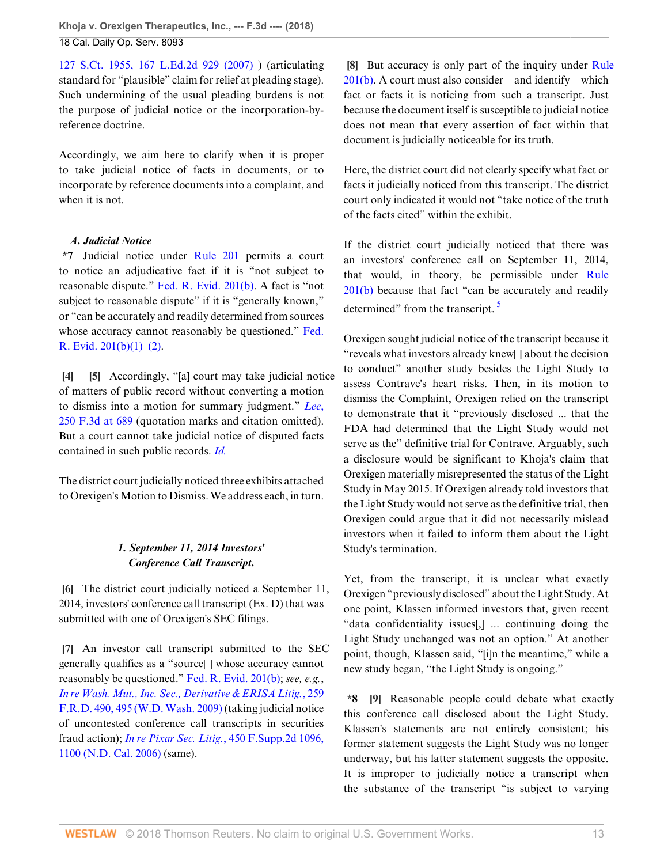[127 S.Ct. 1955, 167 L.Ed.2d 929 \(2007\)](http://www.westlaw.com/Link/Document/FullText?findType=Y&serNum=2012293296&pubNum=0000708&originatingDoc=I9120ac409f1411e892c4ce5625aacf64&refType=RP&originationContext=document&vr=3.0&rs=cblt1.0&transitionType=DocumentItem&contextData=(sc.Default)) ) (articulating standard for "plausible" claim for relief at pleading stage). Such undermining of the usual pleading burdens is not the purpose of judicial notice or the incorporation-byreference doctrine.

Accordingly, we aim here to clarify when it is proper to take judicial notice of facts in documents, or to incorporate by reference documents into a complaint, and when it is not.

## *A. Judicial Notice*

**\*7** Judicial notice under [Rule 201](http://www.westlaw.com/Link/Document/FullText?findType=L&pubNum=1000607&cite=USFRER201&originatingDoc=I9120ac409f1411e892c4ce5625aacf64&refType=LQ&originationContext=document&vr=3.0&rs=cblt1.0&transitionType=DocumentItem&contextData=(sc.Default)) permits a court to notice an adjudicative fact if it is "not subject to reasonable dispute." [Fed. R. Evid. 201\(b\).](http://www.westlaw.com/Link/Document/FullText?findType=L&pubNum=1000607&cite=USFRER201&originatingDoc=I9120ac409f1411e892c4ce5625aacf64&refType=LQ&originationContext=document&vr=3.0&rs=cblt1.0&transitionType=DocumentItem&contextData=(sc.Default)) A fact is "not subject to reasonable dispute" if it is "generally known," or "can be accurately and readily determined from sources whose accuracy cannot reasonably be questioned." [Fed.](http://www.westlaw.com/Link/Document/FullText?findType=L&pubNum=1000607&cite=USFRER201&originatingDoc=I9120ac409f1411e892c4ce5625aacf64&refType=LQ&originationContext=document&vr=3.0&rs=cblt1.0&transitionType=DocumentItem&contextData=(sc.Default)) R. Evid.  $201(b)(1)–(2)$ .

<span id="page-12-1"></span><span id="page-12-0"></span>**[\[4](#page-0-3)] [\[5](#page-1-2)]** Accordingly, "[a] court may take judicial notice of matters of public record without converting a motion to dismiss into a motion for summary judgment." *[Lee](http://www.westlaw.com/Link/Document/FullText?findType=Y&serNum=2001385224&pubNum=0000506&originatingDoc=I9120ac409f1411e892c4ce5625aacf64&refType=RP&fi=co_pp_sp_506_689&originationContext=document&vr=3.0&rs=cblt1.0&transitionType=DocumentItem&contextData=(sc.Default)#co_pp_sp_506_689)*, [250 F.3d at 689](http://www.westlaw.com/Link/Document/FullText?findType=Y&serNum=2001385224&pubNum=0000506&originatingDoc=I9120ac409f1411e892c4ce5625aacf64&refType=RP&fi=co_pp_sp_506_689&originationContext=document&vr=3.0&rs=cblt1.0&transitionType=DocumentItem&contextData=(sc.Default)#co_pp_sp_506_689) (quotation marks and citation omitted). But a court cannot take judicial notice of disputed facts contained in such public records. *[Id.](http://www.westlaw.com/Link/Document/FullText?findType=Y&serNum=2001385224&pubNum=0000506&originatingDoc=I9120ac409f1411e892c4ce5625aacf64&refType=RP&originationContext=document&vr=3.0&rs=cblt1.0&transitionType=DocumentItem&contextData=(sc.Default))*

The district court judicially noticed three exhibits attached to Orexigen's Motion to Dismiss. We address each, in turn.

## *1. September 11, 2014 Investors' Conference Call Transcript.*

<span id="page-12-2"></span>**[\[6](#page-1-0)]** The district court judicially noticed a September 11, 2014, investors' conference call transcript (Ex. D) that was submitted with one of Orexigen's SEC filings.

<span id="page-12-3"></span>**[\[7](#page-1-3)]** An investor call transcript submitted to the SEC generally qualifies as a "source[ ] whose accuracy cannot reasonably be questioned." [Fed. R. Evid. 201\(b\)](http://www.westlaw.com/Link/Document/FullText?findType=L&pubNum=1000607&cite=USFRER201&originatingDoc=I9120ac409f1411e892c4ce5625aacf64&refType=LQ&originationContext=document&vr=3.0&rs=cblt1.0&transitionType=DocumentItem&contextData=(sc.Default)); *see, e.g.*, *[In re Wash. Mut., Inc. Sec., Derivative & ERISA Litig.](http://www.westlaw.com/Link/Document/FullText?findType=Y&serNum=2018865229&pubNum=0000344&originatingDoc=I9120ac409f1411e892c4ce5625aacf64&refType=RP&fi=co_pp_sp_344_495&originationContext=document&vr=3.0&rs=cblt1.0&transitionType=DocumentItem&contextData=(sc.Default)#co_pp_sp_344_495)*, 259 [F.R.D. 490, 495 \(W.D. Wash. 2009\)](http://www.westlaw.com/Link/Document/FullText?findType=Y&serNum=2018865229&pubNum=0000344&originatingDoc=I9120ac409f1411e892c4ce5625aacf64&refType=RP&fi=co_pp_sp_344_495&originationContext=document&vr=3.0&rs=cblt1.0&transitionType=DocumentItem&contextData=(sc.Default)#co_pp_sp_344_495) (taking judicial notice of uncontested conference call transcripts in securities fraud action); *In re Pixar Sec. Litig.*[, 450 F.Supp.2d 1096,](http://www.westlaw.com/Link/Document/FullText?findType=Y&serNum=2010275067&pubNum=0004637&originatingDoc=I9120ac409f1411e892c4ce5625aacf64&refType=RP&fi=co_pp_sp_4637_1100&originationContext=document&vr=3.0&rs=cblt1.0&transitionType=DocumentItem&contextData=(sc.Default)#co_pp_sp_4637_1100) [1100 \(N.D. Cal. 2006\)](http://www.westlaw.com/Link/Document/FullText?findType=Y&serNum=2010275067&pubNum=0004637&originatingDoc=I9120ac409f1411e892c4ce5625aacf64&refType=RP&fi=co_pp_sp_4637_1100&originationContext=document&vr=3.0&rs=cblt1.0&transitionType=DocumentItem&contextData=(sc.Default)#co_pp_sp_4637_1100) (same).

<span id="page-12-4"></span>**[\[8](#page-1-4)]** But accuracy is only part of the inquiry under [Rule](http://www.westlaw.com/Link/Document/FullText?findType=L&pubNum=1000607&cite=USFRER201&originatingDoc=I9120ac409f1411e892c4ce5625aacf64&refType=LQ&originationContext=document&vr=3.0&rs=cblt1.0&transitionType=DocumentItem&contextData=(sc.Default)) [201\(b\)](http://www.westlaw.com/Link/Document/FullText?findType=L&pubNum=1000607&cite=USFRER201&originatingDoc=I9120ac409f1411e892c4ce5625aacf64&refType=LQ&originationContext=document&vr=3.0&rs=cblt1.0&transitionType=DocumentItem&contextData=(sc.Default)). A court must also consider—and identify—which fact or facts it is noticing from such a transcript. Just because the document itself is susceptible to judicial notice does not mean that every assertion of fact within that document is judicially noticeable for its truth.

Here, the district court did not clearly specify what fact or facts it judicially noticed from this transcript. The district court only indicated it would not "take notice of the truth of the facts cited" within the exhibit.

If the district court judicially noticed that there was an investors' conference call on September 11, 2014, that would, in theory, be permissible under [Rule](http://www.westlaw.com/Link/Document/FullText?findType=L&pubNum=1000607&cite=USFRER201&originatingDoc=I9120ac409f1411e892c4ce5625aacf64&refType=LQ&originationContext=document&vr=3.0&rs=cblt1.0&transitionType=DocumentItem&contextData=(sc.Default)) [201\(b\)](http://www.westlaw.com/Link/Document/FullText?findType=L&pubNum=1000607&cite=USFRER201&originatingDoc=I9120ac409f1411e892c4ce5625aacf64&refType=LQ&originationContext=document&vr=3.0&rs=cblt1.0&transitionType=DocumentItem&contextData=(sc.Default)) because that fact "can be accurately and readily determined" from the transcript.  $\frac{5}{9}$  $\frac{5}{9}$  $\frac{5}{9}$ 

<span id="page-12-6"></span>Orexigen sought judicial notice of the transcript because it "reveals what investors already knew[ ] about the decision to conduct" another study besides the Light Study to assess Contrave's heart risks. Then, in its motion to dismiss the Complaint, Orexigen relied on the transcript to demonstrate that it "previously disclosed ... that the FDA had determined that the Light Study would not serve as the" definitive trial for Contrave. Arguably, such a disclosure would be significant to Khoja's claim that Orexigen materially misrepresented the status of the Light Study in May 2015. If Orexigen already told investors that the Light Study would not serve as the definitive trial, then Orexigen could argue that it did not necessarily mislead investors when it failed to inform them about the Light Study's termination.

Yet, from the transcript, it is unclear what exactly Orexigen "previously disclosed" about the Light Study. At one point, Klassen informed investors that, given recent "data confidentiality issues[,] ... continuing doing the Light Study unchanged was not an option." At another point, though, Klassen said, "[i]n the meantime," while a new study began, "the Light Study is ongoing."

<span id="page-12-5"></span>**\*8 [\[9](#page-1-5)]** Reasonable people could debate what exactly this conference call disclosed about the Light Study. Klassen's statements are not entirely consistent; his former statement suggests the Light Study was no longer underway, but his latter statement suggests the opposite. It is improper to judicially notice a transcript when the substance of the transcript "is subject to varying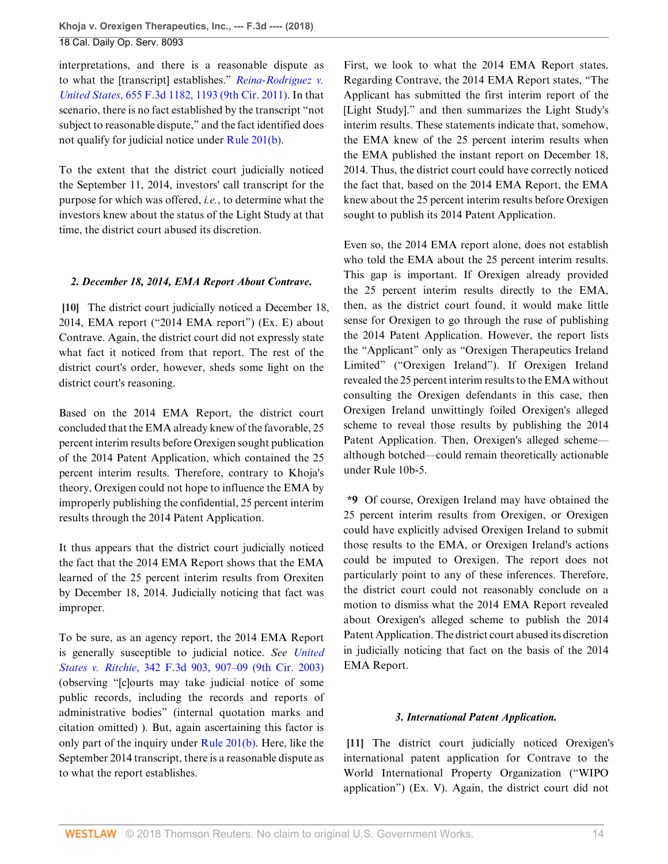interpretations, and there is a reasonable dispute as to what the [transcript] establishes." *[Reina-Rodriguez v.](http://www.westlaw.com/Link/Document/FullText?findType=Y&serNum=2026137272&pubNum=0000506&originatingDoc=I9120ac409f1411e892c4ce5625aacf64&refType=RP&fi=co_pp_sp_506_1193&originationContext=document&vr=3.0&rs=cblt1.0&transitionType=DocumentItem&contextData=(sc.Default)#co_pp_sp_506_1193) United States*[, 655 F.3d 1182, 1193 \(9th Cir. 2011\)](http://www.westlaw.com/Link/Document/FullText?findType=Y&serNum=2026137272&pubNum=0000506&originatingDoc=I9120ac409f1411e892c4ce5625aacf64&refType=RP&fi=co_pp_sp_506_1193&originationContext=document&vr=3.0&rs=cblt1.0&transitionType=DocumentItem&contextData=(sc.Default)#co_pp_sp_506_1193). In that scenario, there is no fact established by the transcript "not subject to reasonable dispute," and the fact identified does not qualify for judicial notice under [Rule 201\(b\).](http://www.westlaw.com/Link/Document/FullText?findType=L&pubNum=1000607&cite=USFRER201&originatingDoc=I9120ac409f1411e892c4ce5625aacf64&refType=LQ&originationContext=document&vr=3.0&rs=cblt1.0&transitionType=DocumentItem&contextData=(sc.Default))

To the extent that the district court judicially noticed the September 11, 2014, investors' call transcript for the purpose for which was offered, *i.e.*, to determine what the investors knew about the status of the Light Study at that time, the district court abused its discretion.

## <span id="page-13-0"></span>*2. December 18, 2014, EMA Report About Contrave.*

**[\[10](#page-1-6)]** The district court judicially noticed a December 18, 2014, EMA report ("2014 EMA report") (Ex. E) about Contrave. Again, the district court did not expressly state what fact it noticed from that report. The rest of the district court's order, however, sheds some light on the district court's reasoning.

Based on the 2014 EMA Report, the district court concluded that the EMA already knew of the favorable, 25 percent interim results before Orexigen sought publication of the 2014 Patent Application, which contained the 25 percent interim results. Therefore, contrary to Khoja's theory, Orexigen could not hope to influence the EMA by improperly publishing the confidential, 25 percent interim results through the 2014 Patent Application.

It thus appears that the district court judicially noticed the fact that the 2014 EMA Report shows that the EMA learned of the 25 percent interim results from Orexiten by December 18, 2014. Judicially noticing that fact was improper.

To be sure, as an agency report, the 2014 EMA Report is generally susceptible to judicial notice. *See [United](http://www.westlaw.com/Link/Document/FullText?findType=Y&serNum=2003584470&pubNum=0000506&originatingDoc=I9120ac409f1411e892c4ce5625aacf64&refType=RP&fi=co_pp_sp_506_907&originationContext=document&vr=3.0&rs=cblt1.0&transitionType=DocumentItem&contextData=(sc.Default)#co_pp_sp_506_907) States v. Ritchie*[, 342 F.3d 903, 907–09 \(9th Cir. 2003\)](http://www.westlaw.com/Link/Document/FullText?findType=Y&serNum=2003584470&pubNum=0000506&originatingDoc=I9120ac409f1411e892c4ce5625aacf64&refType=RP&fi=co_pp_sp_506_907&originationContext=document&vr=3.0&rs=cblt1.0&transitionType=DocumentItem&contextData=(sc.Default)#co_pp_sp_506_907) (observing "[c]ourts may take judicial notice of some public records, including the records and reports of administrative bodies" (internal quotation marks and citation omitted) ). But, again ascertaining this factor is only part of the inquiry under [Rule 201\(b\)](http://www.westlaw.com/Link/Document/FullText?findType=L&pubNum=1000607&cite=USFRER201&originatingDoc=I9120ac409f1411e892c4ce5625aacf64&refType=LQ&originationContext=document&vr=3.0&rs=cblt1.0&transitionType=DocumentItem&contextData=(sc.Default)). Here, like the September 2014 transcript, there is a reasonable dispute as to what the report establishes.

First, we look to what the 2014 EMA Report states. Regarding Contrave, the 2014 EMA Report states, "The Applicant has submitted the first interim report of the [Light Study]." and then summarizes the Light Study's interim results. These statements indicate that, somehow, the EMA knew of the 25 percent interim results when the EMA published the instant report on December 18, 2014. Thus, the district court could have correctly noticed the fact that, based on the 2014 EMA Report, the EMA knew about the 25 percent interim results before Orexigen sought to publish its 2014 Patent Application.

Even so, the 2014 EMA report alone, does not establish who told the EMA about the 25 percent interim results. This gap is important. If Orexigen already provided the 25 percent interim results directly to the EMA, then, as the district court found, it would make little sense for Orexigen to go through the ruse of publishing the 2014 Patent Application. However, the report lists the "Applicant" only as "Orexigen Therapeutics Ireland Limited" ("Orexigen Ireland"). If Orexigen Ireland revealed the 25 percent interim results to the EMA without consulting the Orexigen defendants in this case, then Orexigen Ireland unwittingly foiled Orexigen's alleged scheme to reveal those results by publishing the 2014 Patent Application. Then, Orexigen's alleged scheme although botched—could remain theoretically actionable under Rule 10b-5.

**\*9** Of course, Orexigen Ireland may have obtained the 25 percent interim results from Orexigen, or Orexigen could have explicitly advised Orexigen Ireland to submit those results to the EMA, or Orexigen Ireland's actions could be imputed to Orexigen. The report does not particularly point to any of these inferences. Therefore, the district court could not reasonably conclude on a motion to dismiss what the 2014 EMA Report revealed about Orexigen's alleged scheme to publish the 2014 Patent Application. The district court abused its discretion in judicially noticing that fact on the basis of the 2014 EMA Report.

## *3. International Patent Application.*

<span id="page-13-1"></span>**[\[11](#page-1-1)]** The district court judicially noticed Orexigen's international patent application for Contrave to the World International Property Organization ("WIPO application") (Ex. V). Again, the district court did not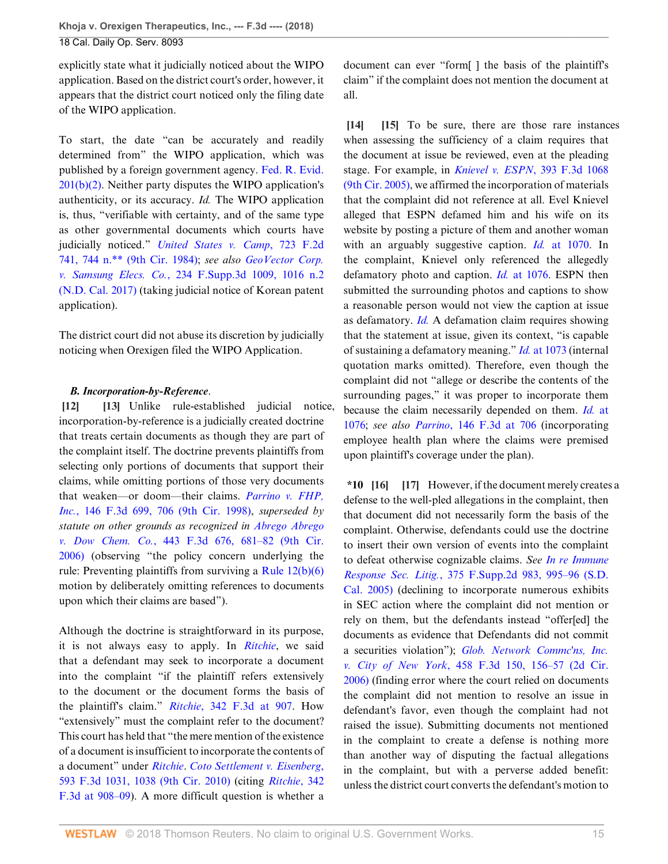explicitly state what it judicially noticed about the WIPO application. Based on the district court's order, however, it appears that the district court noticed only the filing date of the WIPO application.

To start, the date "can be accurately and readily determined from" the WIPO application, which was published by a foreign government agency. [Fed. R. Evid.](http://www.westlaw.com/Link/Document/FullText?findType=L&pubNum=1000607&cite=USFRER201&originatingDoc=I9120ac409f1411e892c4ce5625aacf64&refType=LQ&originationContext=document&vr=3.0&rs=cblt1.0&transitionType=DocumentItem&contextData=(sc.Default)) [201\(b\)\(2\).](http://www.westlaw.com/Link/Document/FullText?findType=L&pubNum=1000607&cite=USFRER201&originatingDoc=I9120ac409f1411e892c4ce5625aacf64&refType=LQ&originationContext=document&vr=3.0&rs=cblt1.0&transitionType=DocumentItem&contextData=(sc.Default)) Neither party disputes the WIPO application's authenticity, or its accuracy. *Id.* The WIPO application is, thus, "verifiable with certainty, and of the same type as other governmental documents which courts have judicially noticed." *[United States v. Camp](http://www.westlaw.com/Link/Document/FullText?findType=Y&serNum=1984102275&pubNum=0000350&originatingDoc=I9120ac409f1411e892c4ce5625aacf64&refType=RP&fi=co_pp_sp_350_744&originationContext=document&vr=3.0&rs=cblt1.0&transitionType=DocumentItem&contextData=(sc.Default)#co_pp_sp_350_744)*, 723 F.2d [741, 744 n.\\*\\* \(9th Cir. 1984\)](http://www.westlaw.com/Link/Document/FullText?findType=Y&serNum=1984102275&pubNum=0000350&originatingDoc=I9120ac409f1411e892c4ce5625aacf64&refType=RP&fi=co_pp_sp_350_744&originationContext=document&vr=3.0&rs=cblt1.0&transitionType=DocumentItem&contextData=(sc.Default)#co_pp_sp_350_744); *see also [GeoVector Corp.](http://www.westlaw.com/Link/Document/FullText?findType=Y&serNum=2040946546&pubNum=0007903&originatingDoc=I9120ac409f1411e892c4ce5625aacf64&refType=RP&fi=co_pp_sp_7903_1016&originationContext=document&vr=3.0&rs=cblt1.0&transitionType=DocumentItem&contextData=(sc.Default)#co_pp_sp_7903_1016) v. Samsung Elecs. Co.*[, 234 F.Supp.3d 1009, 1016 n.2](http://www.westlaw.com/Link/Document/FullText?findType=Y&serNum=2040946546&pubNum=0007903&originatingDoc=I9120ac409f1411e892c4ce5625aacf64&refType=RP&fi=co_pp_sp_7903_1016&originationContext=document&vr=3.0&rs=cblt1.0&transitionType=DocumentItem&contextData=(sc.Default)#co_pp_sp_7903_1016) [\(N.D. Cal. 2017\)](http://www.westlaw.com/Link/Document/FullText?findType=Y&serNum=2040946546&pubNum=0007903&originatingDoc=I9120ac409f1411e892c4ce5625aacf64&refType=RP&fi=co_pp_sp_7903_1016&originationContext=document&vr=3.0&rs=cblt1.0&transitionType=DocumentItem&contextData=(sc.Default)#co_pp_sp_7903_1016) (taking judicial notice of Korean patent application).

The district court did not abuse its discretion by judicially noticing when Orexigen filed the WIPO Application.

## <span id="page-14-1"></span><span id="page-14-0"></span>*B. Incorporation-by-Reference*.

**[\[12](#page-2-0)] [\[13](#page-2-1)]** Unlike rule-established judicial notice, incorporation-by-reference is a judicially created doctrine that treats certain documents as though they are part of the complaint itself. The doctrine prevents plaintiffs from selecting only portions of documents that support their claims, while omitting portions of those very documents that weaken—or doom—their claims. *[Parrino v. FHP,](http://www.westlaw.com/Link/Document/FullText?findType=Y&serNum=1998125716&pubNum=0000506&originatingDoc=I9120ac409f1411e892c4ce5625aacf64&refType=RP&fi=co_pp_sp_506_706&originationContext=document&vr=3.0&rs=cblt1.0&transitionType=DocumentItem&contextData=(sc.Default)#co_pp_sp_506_706) Inc.*[, 146 F.3d 699, 706 \(9th Cir. 1998\)](http://www.westlaw.com/Link/Document/FullText?findType=Y&serNum=1998125716&pubNum=0000506&originatingDoc=I9120ac409f1411e892c4ce5625aacf64&refType=RP&fi=co_pp_sp_506_706&originationContext=document&vr=3.0&rs=cblt1.0&transitionType=DocumentItem&contextData=(sc.Default)#co_pp_sp_506_706), *superseded by statute on other grounds as recognized in [Abrego Abrego](http://www.westlaw.com/Link/Document/FullText?findType=Y&serNum=2008847382&pubNum=0000506&originatingDoc=I9120ac409f1411e892c4ce5625aacf64&refType=RP&fi=co_pp_sp_506_681&originationContext=document&vr=3.0&rs=cblt1.0&transitionType=DocumentItem&contextData=(sc.Default)#co_pp_sp_506_681) v. Dow Chem. Co.*[, 443 F.3d 676, 681–82 \(9th Cir.](http://www.westlaw.com/Link/Document/FullText?findType=Y&serNum=2008847382&pubNum=0000506&originatingDoc=I9120ac409f1411e892c4ce5625aacf64&refType=RP&fi=co_pp_sp_506_681&originationContext=document&vr=3.0&rs=cblt1.0&transitionType=DocumentItem&contextData=(sc.Default)#co_pp_sp_506_681) [2006\)](http://www.westlaw.com/Link/Document/FullText?findType=Y&serNum=2008847382&pubNum=0000506&originatingDoc=I9120ac409f1411e892c4ce5625aacf64&refType=RP&fi=co_pp_sp_506_681&originationContext=document&vr=3.0&rs=cblt1.0&transitionType=DocumentItem&contextData=(sc.Default)#co_pp_sp_506_681) (observing "the policy concern underlying the rule: Preventing plaintiffs from surviving a [Rule 12\(b\)\(6\)](http://www.westlaw.com/Link/Document/FullText?findType=L&pubNum=1000600&cite=USFRCPR12&originatingDoc=I9120ac409f1411e892c4ce5625aacf64&refType=LQ&originationContext=document&vr=3.0&rs=cblt1.0&transitionType=DocumentItem&contextData=(sc.Default)) motion by deliberately omitting references to documents upon which their claims are based").

Although the doctrine is straightforward in its purpose, it is not always easy to apply. In *[Ritchie](http://www.westlaw.com/Link/Document/FullText?findType=Y&serNum=2003584470&pubNum=0000506&originatingDoc=I9120ac409f1411e892c4ce5625aacf64&refType=RP&originationContext=document&vr=3.0&rs=cblt1.0&transitionType=DocumentItem&contextData=(sc.Default))*, we said that a defendant may seek to incorporate a document into the complaint "if the plaintiff refers extensively to the document or the document forms the basis of the plaintiff's claim." *Ritchie*[, 342 F.3d at 907.](http://www.westlaw.com/Link/Document/FullText?findType=Y&serNum=2003584470&pubNum=0000506&originatingDoc=I9120ac409f1411e892c4ce5625aacf64&refType=RP&fi=co_pp_sp_506_907&originationContext=document&vr=3.0&rs=cblt1.0&transitionType=DocumentItem&contextData=(sc.Default)#co_pp_sp_506_907) How "extensively" must the complaint refer to the document? This court has held that "the mere mention of the existence of a document is insufficient to incorporate the contents of a document" under *[Ritchie](http://www.westlaw.com/Link/Document/FullText?findType=Y&serNum=2003584470&pubNum=0000506&originatingDoc=I9120ac409f1411e892c4ce5625aacf64&refType=RP&originationContext=document&vr=3.0&rs=cblt1.0&transitionType=DocumentItem&contextData=(sc.Default))*. *[Coto Settlement v. Eisenberg](http://www.westlaw.com/Link/Document/FullText?findType=Y&serNum=2021239786&pubNum=0000506&originatingDoc=I9120ac409f1411e892c4ce5625aacf64&refType=RP&fi=co_pp_sp_506_1038&originationContext=document&vr=3.0&rs=cblt1.0&transitionType=DocumentItem&contextData=(sc.Default)#co_pp_sp_506_1038)*, [593 F.3d 1031, 1038 \(9th Cir. 2010\)](http://www.westlaw.com/Link/Document/FullText?findType=Y&serNum=2021239786&pubNum=0000506&originatingDoc=I9120ac409f1411e892c4ce5625aacf64&refType=RP&fi=co_pp_sp_506_1038&originationContext=document&vr=3.0&rs=cblt1.0&transitionType=DocumentItem&contextData=(sc.Default)#co_pp_sp_506_1038) (citing *[Ritchie](http://www.westlaw.com/Link/Document/FullText?findType=Y&serNum=2003584470&pubNum=0000506&originatingDoc=I9120ac409f1411e892c4ce5625aacf64&refType=RP&fi=co_pp_sp_506_908&originationContext=document&vr=3.0&rs=cblt1.0&transitionType=DocumentItem&contextData=(sc.Default)#co_pp_sp_506_908)*, 342 [F.3d at 908–09\)](http://www.westlaw.com/Link/Document/FullText?findType=Y&serNum=2003584470&pubNum=0000506&originatingDoc=I9120ac409f1411e892c4ce5625aacf64&refType=RP&fi=co_pp_sp_506_908&originationContext=document&vr=3.0&rs=cblt1.0&transitionType=DocumentItem&contextData=(sc.Default)#co_pp_sp_506_908). A more difficult question is whether a

document can ever "form[ ] the basis of the plaintiff's claim" if the complaint does not mention the document at all.

<span id="page-14-3"></span><span id="page-14-2"></span>**[\[14](#page-2-2)] [\[15](#page-2-3)]** To be sure, there are those rare instances when assessing the sufficiency of a claim requires that the document at issue be reviewed, even at the pleading stage. For example, in *[Knievel v. ESPN](http://www.westlaw.com/Link/Document/FullText?findType=Y&serNum=2005883507&pubNum=0000506&originatingDoc=I9120ac409f1411e892c4ce5625aacf64&refType=RP&originationContext=document&vr=3.0&rs=cblt1.0&transitionType=DocumentItem&contextData=(sc.Default))*, 393 F.3d 1068 [\(9th Cir. 2005\),](http://www.westlaw.com/Link/Document/FullText?findType=Y&serNum=2005883507&pubNum=0000506&originatingDoc=I9120ac409f1411e892c4ce5625aacf64&refType=RP&originationContext=document&vr=3.0&rs=cblt1.0&transitionType=DocumentItem&contextData=(sc.Default)) we affirmed the incorporation of materials that the complaint did not reference at all. Evel Knievel alleged that ESPN defamed him and his wife on its website by posting a picture of them and another woman with an arguably suggestive caption. *Id.* [at 1070](http://www.westlaw.com/Link/Document/FullText?findType=Y&serNum=2005883507&pubNum=0000506&originatingDoc=I9120ac409f1411e892c4ce5625aacf64&refType=RP&fi=co_pp_sp_506_1070&originationContext=document&vr=3.0&rs=cblt1.0&transitionType=DocumentItem&contextData=(sc.Default)#co_pp_sp_506_1070). In the complaint, Knievel only referenced the allegedly defamatory photo and caption. *Id.* [at 1076.](http://www.westlaw.com/Link/Document/FullText?findType=Y&serNum=2005883507&pubNum=0000506&originatingDoc=I9120ac409f1411e892c4ce5625aacf64&refType=RP&fi=co_pp_sp_506_1076&originationContext=document&vr=3.0&rs=cblt1.0&transitionType=DocumentItem&contextData=(sc.Default)#co_pp_sp_506_1076) ESPN then submitted the surrounding photos and captions to show a reasonable person would not view the caption at issue as defamatory. *[Id.](http://www.westlaw.com/Link/Document/FullText?findType=Y&serNum=2005883507&pubNum=0000506&originatingDoc=I9120ac409f1411e892c4ce5625aacf64&refType=RP&originationContext=document&vr=3.0&rs=cblt1.0&transitionType=DocumentItem&contextData=(sc.Default))* A defamation claim requires showing that the statement at issue, given its context, "is capable of sustaining a defamatory meaning." *Id.* [at 1073](http://www.westlaw.com/Link/Document/FullText?findType=Y&serNum=2005883507&pubNum=0000506&originatingDoc=I9120ac409f1411e892c4ce5625aacf64&refType=RP&fi=co_pp_sp_506_1073&originationContext=document&vr=3.0&rs=cblt1.0&transitionType=DocumentItem&contextData=(sc.Default)#co_pp_sp_506_1073) (internal quotation marks omitted). Therefore, even though the complaint did not "allege or describe the contents of the surrounding pages," it was proper to incorporate them because the claim necessarily depended on them. *Id.* [at](http://www.westlaw.com/Link/Document/FullText?findType=Y&serNum=2005883507&pubNum=0000506&originatingDoc=I9120ac409f1411e892c4ce5625aacf64&refType=RP&fi=co_pp_sp_506_1076&originationContext=document&vr=3.0&rs=cblt1.0&transitionType=DocumentItem&contextData=(sc.Default)#co_pp_sp_506_1076) [1076](http://www.westlaw.com/Link/Document/FullText?findType=Y&serNum=2005883507&pubNum=0000506&originatingDoc=I9120ac409f1411e892c4ce5625aacf64&refType=RP&fi=co_pp_sp_506_1076&originationContext=document&vr=3.0&rs=cblt1.0&transitionType=DocumentItem&contextData=(sc.Default)#co_pp_sp_506_1076); *see also Parrino*[, 146 F.3d at 706](http://www.westlaw.com/Link/Document/FullText?findType=Y&serNum=1998125716&pubNum=0000506&originatingDoc=I9120ac409f1411e892c4ce5625aacf64&refType=RP&fi=co_pp_sp_506_706&originationContext=document&vr=3.0&rs=cblt1.0&transitionType=DocumentItem&contextData=(sc.Default)#co_pp_sp_506_706) (incorporating employee health plan where the claims were premised upon plaintiff's coverage under the plan).

<span id="page-14-5"></span><span id="page-14-4"></span>**\*10 [\[16](#page-2-4)] [\[17](#page-2-5)]** However, if the document merely creates a defense to the well-pled allegations in the complaint, then that document did not necessarily form the basis of the complaint. Otherwise, defendants could use the doctrine to insert their own version of events into the complaint to defeat otherwise cognizable claims. *See [In re Immune](http://www.westlaw.com/Link/Document/FullText?findType=Y&serNum=2006913032&pubNum=0004637&originatingDoc=I9120ac409f1411e892c4ce5625aacf64&refType=RP&fi=co_pp_sp_4637_995&originationContext=document&vr=3.0&rs=cblt1.0&transitionType=DocumentItem&contextData=(sc.Default)#co_pp_sp_4637_995) Response Sec. Litig.*[, 375 F.Supp.2d 983, 995–96 \(S.D.](http://www.westlaw.com/Link/Document/FullText?findType=Y&serNum=2006913032&pubNum=0004637&originatingDoc=I9120ac409f1411e892c4ce5625aacf64&refType=RP&fi=co_pp_sp_4637_995&originationContext=document&vr=3.0&rs=cblt1.0&transitionType=DocumentItem&contextData=(sc.Default)#co_pp_sp_4637_995) [Cal. 2005\)](http://www.westlaw.com/Link/Document/FullText?findType=Y&serNum=2006913032&pubNum=0004637&originatingDoc=I9120ac409f1411e892c4ce5625aacf64&refType=RP&fi=co_pp_sp_4637_995&originationContext=document&vr=3.0&rs=cblt1.0&transitionType=DocumentItem&contextData=(sc.Default)#co_pp_sp_4637_995) (declining to incorporate numerous exhibits in SEC action where the complaint did not mention or rely on them, but the defendants instead "offer[ed] the documents as evidence that Defendants did not commit a securities violation"); *[Glob. Network Commc'ns, Inc.](http://www.westlaw.com/Link/Document/FullText?findType=Y&serNum=2009637726&pubNum=0000506&originatingDoc=I9120ac409f1411e892c4ce5625aacf64&refType=RP&fi=co_pp_sp_506_156&originationContext=document&vr=3.0&rs=cblt1.0&transitionType=DocumentItem&contextData=(sc.Default)#co_pp_sp_506_156) v. City of New York*[, 458 F.3d 150, 156–57 \(2d Cir.](http://www.westlaw.com/Link/Document/FullText?findType=Y&serNum=2009637726&pubNum=0000506&originatingDoc=I9120ac409f1411e892c4ce5625aacf64&refType=RP&fi=co_pp_sp_506_156&originationContext=document&vr=3.0&rs=cblt1.0&transitionType=DocumentItem&contextData=(sc.Default)#co_pp_sp_506_156) [2006\)](http://www.westlaw.com/Link/Document/FullText?findType=Y&serNum=2009637726&pubNum=0000506&originatingDoc=I9120ac409f1411e892c4ce5625aacf64&refType=RP&fi=co_pp_sp_506_156&originationContext=document&vr=3.0&rs=cblt1.0&transitionType=DocumentItem&contextData=(sc.Default)#co_pp_sp_506_156) (finding error where the court relied on documents the complaint did not mention to resolve an issue in defendant's favor, even though the complaint had not raised the issue). Submitting documents not mentioned in the complaint to create a defense is nothing more than another way of disputing the factual allegations in the complaint, but with a perverse added benefit: unless the district court converts the defendant's motion to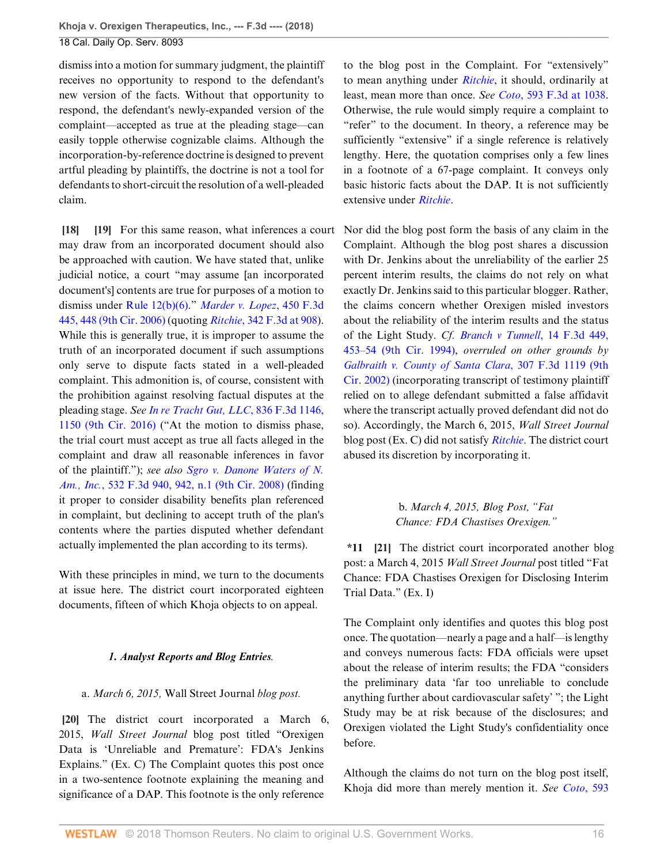dismiss into a motion for summary judgment, the plaintiff receives no opportunity to respond to the defendant's new version of the facts. Without that opportunity to respond, the defendant's newly-expanded version of the complaint—accepted as true at the pleading stage—can easily topple otherwise cognizable claims. Although the incorporation-by-reference doctrine is designed to prevent artful pleading by plaintiffs, the doctrine is not a tool for defendants to short-circuit the resolution of a well-pleaded claim.

<span id="page-15-1"></span><span id="page-15-0"></span>**[\[18](#page-2-6)] [\[19](#page-2-7)]** For this same reason, what inferences a court may draw from an incorporated document should also be approached with caution. We have stated that, unlike judicial notice, a court "may assume [an incorporated document's] contents are true for purposes of a motion to dismiss under [Rule 12\(b\)\(6\)](http://www.westlaw.com/Link/Document/FullText?findType=L&pubNum=1000600&cite=USFRCPR12&originatingDoc=I9120ac409f1411e892c4ce5625aacf64&refType=LQ&originationContext=document&vr=3.0&rs=cblt1.0&transitionType=DocumentItem&contextData=(sc.Default))." *[Marder v. Lopez](http://www.westlaw.com/Link/Document/FullText?findType=Y&serNum=2009334428&pubNum=0000506&originatingDoc=I9120ac409f1411e892c4ce5625aacf64&refType=RP&fi=co_pp_sp_506_448&originationContext=document&vr=3.0&rs=cblt1.0&transitionType=DocumentItem&contextData=(sc.Default)#co_pp_sp_506_448)*, 450 F.3d [445, 448 \(9th Cir. 2006\)](http://www.westlaw.com/Link/Document/FullText?findType=Y&serNum=2009334428&pubNum=0000506&originatingDoc=I9120ac409f1411e892c4ce5625aacf64&refType=RP&fi=co_pp_sp_506_448&originationContext=document&vr=3.0&rs=cblt1.0&transitionType=DocumentItem&contextData=(sc.Default)#co_pp_sp_506_448) (quoting *Ritchie*[, 342 F.3d at 908\)](http://www.westlaw.com/Link/Document/FullText?findType=Y&serNum=2003584470&pubNum=0000506&originatingDoc=I9120ac409f1411e892c4ce5625aacf64&refType=RP&fi=co_pp_sp_506_908&originationContext=document&vr=3.0&rs=cblt1.0&transitionType=DocumentItem&contextData=(sc.Default)#co_pp_sp_506_908). While this is generally true, it is improper to assume the truth of an incorporated document if such assumptions only serve to dispute facts stated in a well-pleaded complaint. This admonition is, of course, consistent with the prohibition against resolving factual disputes at the pleading stage. *See [In re Tracht Gut, LLC](http://www.westlaw.com/Link/Document/FullText?findType=Y&serNum=2039738304&pubNum=0000506&originatingDoc=I9120ac409f1411e892c4ce5625aacf64&refType=RP&fi=co_pp_sp_506_1150&originationContext=document&vr=3.0&rs=cblt1.0&transitionType=DocumentItem&contextData=(sc.Default)#co_pp_sp_506_1150)*, 836 F.3d 1146, [1150 \(9th Cir. 2016\)](http://www.westlaw.com/Link/Document/FullText?findType=Y&serNum=2039738304&pubNum=0000506&originatingDoc=I9120ac409f1411e892c4ce5625aacf64&refType=RP&fi=co_pp_sp_506_1150&originationContext=document&vr=3.0&rs=cblt1.0&transitionType=DocumentItem&contextData=(sc.Default)#co_pp_sp_506_1150) ("At the motion to dismiss phase, the trial court must accept as true all facts alleged in the complaint and draw all reasonable inferences in favor of the plaintiff."); *see also [Sgro v. Danone Waters of N.](http://www.westlaw.com/Link/Document/FullText?findType=Y&serNum=2016447047&pubNum=0000506&originatingDoc=I9120ac409f1411e892c4ce5625aacf64&refType=RP&fi=co_pp_sp_506_942&originationContext=document&vr=3.0&rs=cblt1.0&transitionType=DocumentItem&contextData=(sc.Default)#co_pp_sp_506_942) Am., Inc.*[, 532 F.3d 940, 942, n.1 \(9th Cir. 2008\)](http://www.westlaw.com/Link/Document/FullText?findType=Y&serNum=2016447047&pubNum=0000506&originatingDoc=I9120ac409f1411e892c4ce5625aacf64&refType=RP&fi=co_pp_sp_506_942&originationContext=document&vr=3.0&rs=cblt1.0&transitionType=DocumentItem&contextData=(sc.Default)#co_pp_sp_506_942) (finding it proper to consider disability benefits plan referenced in complaint, but declining to accept truth of the plan's contents where the parties disputed whether defendant actually implemented the plan according to its terms).

With these principles in mind, we turn to the documents at issue here. The district court incorporated eighteen documents, fifteen of which Khoja objects to on appeal.

## *1. Analyst Reports and Blog Entries.*

## <span id="page-15-2"></span>a. *March 6, 2015,* Wall Street Journal *blog post.*

**[\[20](#page-3-0)]** The district court incorporated a March 6, 2015, *Wall Street Journal* blog post titled "Orexigen Data is 'Unreliable and Premature': FDA's Jenkins Explains." (Ex. C) The Complaint quotes this post once in a two-sentence footnote explaining the meaning and significance of a DAP. This footnote is the only reference

to the blog post in the Complaint. For "extensively" to mean anything under *[Ritchie](http://www.westlaw.com/Link/Document/FullText?findType=Y&serNum=2003584470&pubNum=0000506&originatingDoc=I9120ac409f1411e892c4ce5625aacf64&refType=RP&originationContext=document&vr=3.0&rs=cblt1.0&transitionType=DocumentItem&contextData=(sc.Default))*, it should, ordinarily at least, mean more than once. *See Coto*[, 593 F.3d at 1038](http://www.westlaw.com/Link/Document/FullText?findType=Y&serNum=2021239786&pubNum=0000506&originatingDoc=I9120ac409f1411e892c4ce5625aacf64&refType=RP&fi=co_pp_sp_506_1038&originationContext=document&vr=3.0&rs=cblt1.0&transitionType=DocumentItem&contextData=(sc.Default)#co_pp_sp_506_1038). Otherwise, the rule would simply require a complaint to "refer" to the document. In theory, a reference may be sufficiently "extensive" if a single reference is relatively lengthy. Here, the quotation comprises only a few lines in a footnote of a 67-page complaint. It conveys only basic historic facts about the DAP. It is not sufficiently extensive under *[Ritchie](http://www.westlaw.com/Link/Document/FullText?findType=Y&serNum=2003584470&pubNum=0000506&originatingDoc=I9120ac409f1411e892c4ce5625aacf64&refType=RP&originationContext=document&vr=3.0&rs=cblt1.0&transitionType=DocumentItem&contextData=(sc.Default))*.

Nor did the blog post form the basis of any claim in the Complaint. Although the blog post shares a discussion with Dr. Jenkins about the unreliability of the earlier 25 percent interim results, the claims do not rely on what exactly Dr. Jenkins said to this particular blogger. Rather, the claims concern whether Orexigen misled investors about the reliability of the interim results and the status of the Light Study. *Cf. [Branch v Tunnell](http://www.westlaw.com/Link/Document/FullText?findType=Y&serNum=1994025384&pubNum=0000506&originatingDoc=I9120ac409f1411e892c4ce5625aacf64&refType=RP&fi=co_pp_sp_506_453&originationContext=document&vr=3.0&rs=cblt1.0&transitionType=DocumentItem&contextData=(sc.Default)#co_pp_sp_506_453)*, 14 F.3d 449, [453–54 \(9th Cir. 1994\)](http://www.westlaw.com/Link/Document/FullText?findType=Y&serNum=1994025384&pubNum=0000506&originatingDoc=I9120ac409f1411e892c4ce5625aacf64&refType=RP&fi=co_pp_sp_506_453&originationContext=document&vr=3.0&rs=cblt1.0&transitionType=DocumentItem&contextData=(sc.Default)#co_pp_sp_506_453), *overruled on other grounds by [Galbraith v. County of Santa Clara](http://www.westlaw.com/Link/Document/FullText?findType=Y&serNum=2002640269&pubNum=0000506&originatingDoc=I9120ac409f1411e892c4ce5625aacf64&refType=RP&originationContext=document&vr=3.0&rs=cblt1.0&transitionType=DocumentItem&contextData=(sc.Default))*, 307 F.3d 1119 (9th [Cir. 2002\)](http://www.westlaw.com/Link/Document/FullText?findType=Y&serNum=2002640269&pubNum=0000506&originatingDoc=I9120ac409f1411e892c4ce5625aacf64&refType=RP&originationContext=document&vr=3.0&rs=cblt1.0&transitionType=DocumentItem&contextData=(sc.Default)) (incorporating transcript of testimony plaintiff relied on to allege defendant submitted a false affidavit where the transcript actually proved defendant did not do so). Accordingly, the March 6, 2015, *Wall Street Journal* blog post (Ex. C) did not satisfy *[Ritchie](http://www.westlaw.com/Link/Document/FullText?findType=Y&serNum=2003584470&pubNum=0000506&originatingDoc=I9120ac409f1411e892c4ce5625aacf64&refType=RP&originationContext=document&vr=3.0&rs=cblt1.0&transitionType=DocumentItem&contextData=(sc.Default))*. The district court abused its discretion by incorporating it.

> <span id="page-15-3"></span>b. *March 4, 2015, Blog Post, "Fat Chance: FDA Chastises Orexigen."*

**\*11 [\[21\]](#page-3-1)** The district court incorporated another blog post: a March 4, 2015 *Wall Street Journal* post titled "Fat Chance: FDA Chastises Orexigen for Disclosing Interim Trial Data." (Ex. I)

The Complaint only identifies and quotes this blog post once. The quotation—nearly a page and a half—is lengthy and conveys numerous facts: FDA officials were upset about the release of interim results; the FDA "considers the preliminary data 'far too unreliable to conclude anything further about cardiovascular safety' "; the Light Study may be at risk because of the disclosures; and Orexigen violated the Light Study's confidentiality once before.

Although the claims do not turn on the blog post itself, Khoja did more than merely mention it. *See Coto*[, 593](http://www.westlaw.com/Link/Document/FullText?findType=Y&serNum=2021239786&pubNum=0000506&originatingDoc=I9120ac409f1411e892c4ce5625aacf64&refType=RP&fi=co_pp_sp_506_1038&originationContext=document&vr=3.0&rs=cblt1.0&transitionType=DocumentItem&contextData=(sc.Default)#co_pp_sp_506_1038)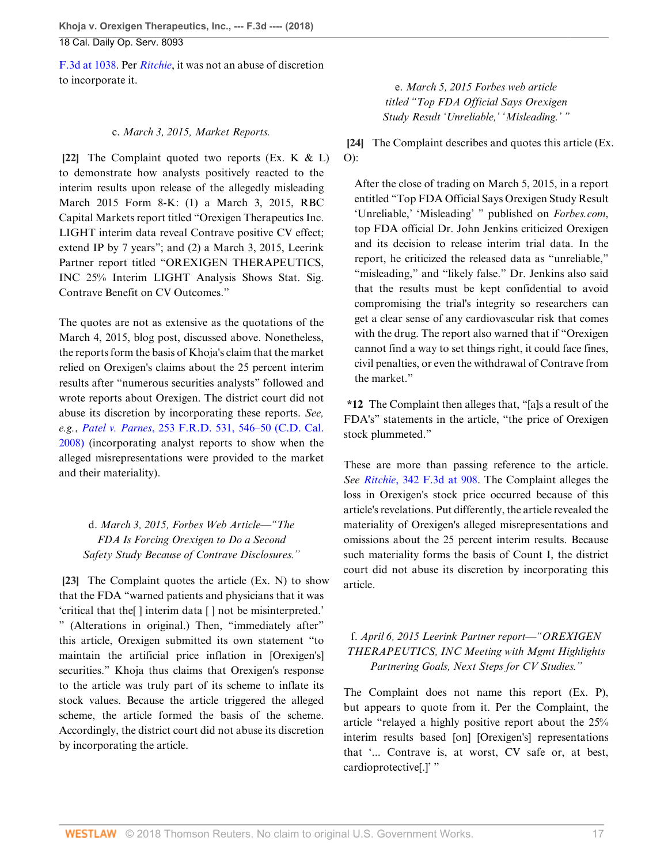[F.3d at 1038.](http://www.westlaw.com/Link/Document/FullText?findType=Y&serNum=2021239786&pubNum=0000506&originatingDoc=I9120ac409f1411e892c4ce5625aacf64&refType=RP&fi=co_pp_sp_506_1038&originationContext=document&vr=3.0&rs=cblt1.0&transitionType=DocumentItem&contextData=(sc.Default)#co_pp_sp_506_1038) Per *[Ritchie](http://www.westlaw.com/Link/Document/FullText?findType=Y&serNum=2003584470&pubNum=0000506&originatingDoc=I9120ac409f1411e892c4ce5625aacf64&refType=RP&originationContext=document&vr=3.0&rs=cblt1.0&transitionType=DocumentItem&contextData=(sc.Default))*, it was not an abuse of discretion to incorporate it.

## c. *March 3, 2015, Market Reports.*

<span id="page-16-0"></span>**[\[22](#page-3-2)]** The Complaint quoted two reports (Ex. K & L) to demonstrate how analysts positively reacted to the interim results upon release of the allegedly misleading March 2015 Form 8-K: (1) a March 3, 2015, RBC Capital Markets report titled "Orexigen Therapeutics Inc. LIGHT interim data reveal Contrave positive CV effect; extend IP by 7 years"; and (2) a March 3, 2015, Leerink Partner report titled "OREXIGEN THERAPEUTICS, INC 25% Interim LIGHT Analysis Shows Stat. Sig. Contrave Benefit on CV Outcomes."

The quotes are not as extensive as the quotations of the March 4, 2015, blog post, discussed above. Nonetheless, the reports form the basis of Khoja's claim that the market relied on Orexigen's claims about the 25 percent interim results after "numerous securities analysts" followed and wrote reports about Orexigen. The district court did not abuse its discretion by incorporating these reports. *See, e.g.*, *Patel v. Parnes*[, 253 F.R.D. 531, 546–50 \(C.D. Cal.](http://www.westlaw.com/Link/Document/FullText?findType=Y&serNum=2016571495&pubNum=0000344&originatingDoc=I9120ac409f1411e892c4ce5625aacf64&refType=RP&fi=co_pp_sp_344_546&originationContext=document&vr=3.0&rs=cblt1.0&transitionType=DocumentItem&contextData=(sc.Default)#co_pp_sp_344_546) [2008\)](http://www.westlaw.com/Link/Document/FullText?findType=Y&serNum=2016571495&pubNum=0000344&originatingDoc=I9120ac409f1411e892c4ce5625aacf64&refType=RP&fi=co_pp_sp_344_546&originationContext=document&vr=3.0&rs=cblt1.0&transitionType=DocumentItem&contextData=(sc.Default)#co_pp_sp_344_546) (incorporating analyst reports to show when the alleged misrepresentations were provided to the market and their materiality).

d. *March 3, 2015, Forbes Web Article—"The FDA Is Forcing Orexigen to Do a Second Safety Study Because of Contrave Disclosures."*

<span id="page-16-1"></span>**[\[23](#page-3-3)]** The Complaint quotes the article (Ex. N) to show that the FDA "warned patients and physicians that it was 'critical that the[ ] interim data [ ] not be misinterpreted.' " (Alterations in original.) Then, "immediately after" this article, Orexigen submitted its own statement "to maintain the artificial price inflation in [Orexigen's] securities." Khoja thus claims that Orexigen's response to the article was truly part of its scheme to inflate its stock values. Because the article triggered the alleged scheme, the article formed the basis of the scheme. Accordingly, the district court did not abuse its discretion by incorporating the article.

e. *March 5, 2015 Forbes web article titled "Top FDA Official Says Orexigen Study Result 'Unreliable,' 'Misleading.' "*

<span id="page-16-2"></span>**[\[24](#page-3-4)]** The Complaint describes and quotes this article (Ex. O):

After the close of trading on March 5, 2015, in a report entitled "Top FDA Official Says Orexigen Study Result 'Unreliable,' 'Misleading' " published on *Forbes.com*, top FDA official Dr. John Jenkins criticized Orexigen and its decision to release interim trial data. In the report, he criticized the released data as "unreliable," "misleading," and "likely false." Dr. Jenkins also said that the results must be kept confidential to avoid compromising the trial's integrity so researchers can get a clear sense of any cardiovascular risk that comes with the drug. The report also warned that if "Orexigen cannot find a way to set things right, it could face fines, civil penalties, or even the withdrawal of Contrave from the market."

**\*12** The Complaint then alleges that, "[a]s a result of the FDA's" statements in the article, "the price of Orexigen stock plummeted."

These are more than passing reference to the article. *See Ritchie*[, 342 F.3d at 908.](http://www.westlaw.com/Link/Document/FullText?findType=Y&serNum=2003584470&pubNum=0000506&originatingDoc=I9120ac409f1411e892c4ce5625aacf64&refType=RP&fi=co_pp_sp_506_908&originationContext=document&vr=3.0&rs=cblt1.0&transitionType=DocumentItem&contextData=(sc.Default)#co_pp_sp_506_908) The Complaint alleges the loss in Orexigen's stock price occurred because of this article's revelations. Put differently, the article revealed the materiality of Orexigen's alleged misrepresentations and omissions about the 25 percent interim results. Because such materiality forms the basis of Count I, the district court did not abuse its discretion by incorporating this article.

## f. *April 6, 2015 Leerink Partner report—"OREXIGEN THERAPEUTICS, INC Meeting with Mgmt Highlights Partnering Goals, Next Steps for CV Studies."*

The Complaint does not name this report (Ex. P), but appears to quote from it. Per the Complaint, the article "relayed a highly positive report about the 25% interim results based [on] [Orexigen's] representations that '... Contrave is, at worst, CV safe or, at best, cardioprotective[.]' "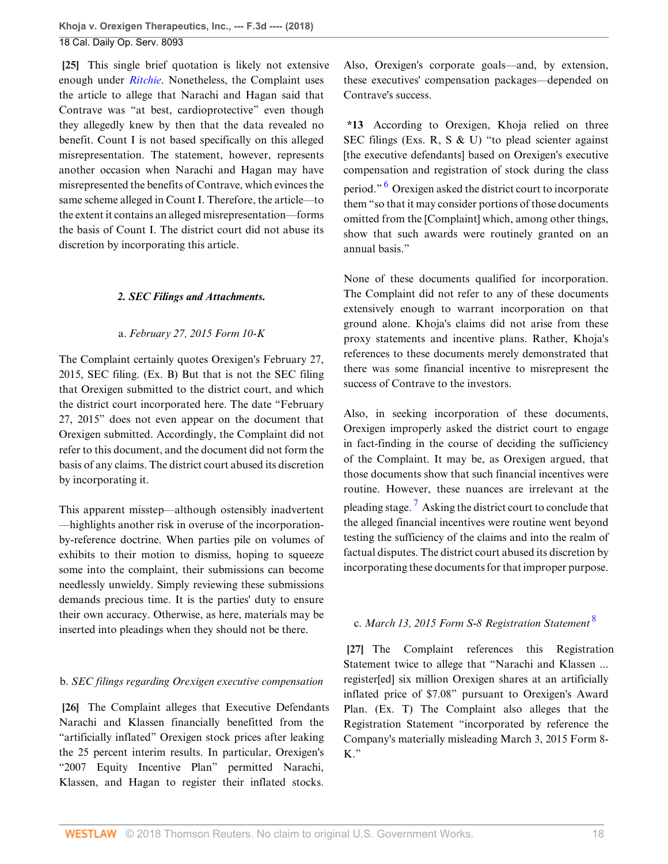<span id="page-17-0"></span>**[\[25](#page-3-5)]** This single brief quotation is likely not extensive enough under *[Ritchie](http://www.westlaw.com/Link/Document/FullText?findType=Y&serNum=2003584470&pubNum=0000506&originatingDoc=I9120ac409f1411e892c4ce5625aacf64&refType=RP&originationContext=document&vr=3.0&rs=cblt1.0&transitionType=DocumentItem&contextData=(sc.Default))*. Nonetheless, the Complaint uses the article to allege that Narachi and Hagan said that Contrave was "at best, cardioprotective" even though they allegedly knew by then that the data revealed no benefit. Count I is not based specifically on this alleged misrepresentation. The statement, however, represents another occasion when Narachi and Hagan may have misrepresented the benefits of Contrave, which evinces the same scheme alleged in Count I. Therefore, the article—to the extent it contains an alleged misrepresentation—forms the basis of Count I. The district court did not abuse its discretion by incorporating this article.

## *2. SEC Filings and Attachments.*

#### a. *February 27, 2015 Form 10-K*

The Complaint certainly quotes Orexigen's February 27, 2015, SEC filing. (Ex. B) But that is not the SEC filing that Orexigen submitted to the district court, and which the district court incorporated here. The date "February 27, 2015" does not even appear on the document that Orexigen submitted. Accordingly, the Complaint did not refer to this document, and the document did not form the basis of any claims. The district court abused its discretion by incorporating it.

This apparent misstep—although ostensibly inadvertent —highlights another risk in overuse of the incorporationby-reference doctrine. When parties pile on volumes of exhibits to their motion to dismiss, hoping to squeeze some into the complaint, their submissions can become needlessly unwieldy. Simply reviewing these submissions demands precious time. It is the parties' duty to ensure their own accuracy. Otherwise, as here, materials may be inserted into pleadings when they should not be there.

## b. *SEC filings regarding Orexigen executive compensation*

<span id="page-17-1"></span>**[\[26](#page-4-0)]** The Complaint alleges that Executive Defendants Narachi and Klassen financially benefitted from the "artificially inflated" Orexigen stock prices after leaking the 25 percent interim results. In particular, Orexigen's "2007 Equity Incentive Plan" permitted Narachi, Klassen, and Hagan to register their inflated stocks.

Also, Orexigen's corporate goals—and, by extension, these executives' compensation packages—depended on Contrave's success.

<span id="page-17-3"></span>**\*13** According to Orexigen, Khoja relied on three SEC filings (Exs. R, S & U) "to plead scienter against [the executive defendants] based on Orexigen's executive compensation and registration of stock during the class period." <sup>[6](#page-27-6)</sup> Orexigen asked the district court to incorporate them "so that it may consider portions of those documents omitted from the [Complaint] which, among other things, show that such awards were routinely granted on an annual basis."

None of these documents qualified for incorporation. The Complaint did not refer to any of these documents extensively enough to warrant incorporation on that ground alone. Khoja's claims did not arise from these proxy statements and incentive plans. Rather, Khoja's references to these documents merely demonstrated that there was some financial incentive to misrepresent the success of Contrave to the investors.

<span id="page-17-4"></span>Also, in seeking incorporation of these documents, Orexigen improperly asked the district court to engage in fact-finding in the course of deciding the sufficiency of the Complaint. It may be, as Orexigen argued, that those documents show that such financial incentives were routine. However, these nuances are irrelevant at the pleading stage.<sup>[7](#page-27-7)</sup> Asking the district court to conclude that the alleged financial incentives were routine went beyond testing the sufficiency of the claims and into the realm of factual disputes. The district court abused its discretion by incorporating these documents for that improper purpose.

### <span id="page-17-5"></span><span id="page-17-2"></span>c. *March 13, 2015 Form S-8 Registration Statement* [8](#page-27-8)

**[\[27](#page-4-1)]** The Complaint references this Registration Statement twice to allege that "Narachi and Klassen ... register[ed] six million Orexigen shares at an artificially inflated price of \$7.08" pursuant to Orexigen's Award Plan. (Ex. T) The Complaint also alleges that the Registration Statement "incorporated by reference the Company's materially misleading March 3, 2015 Form 8- K."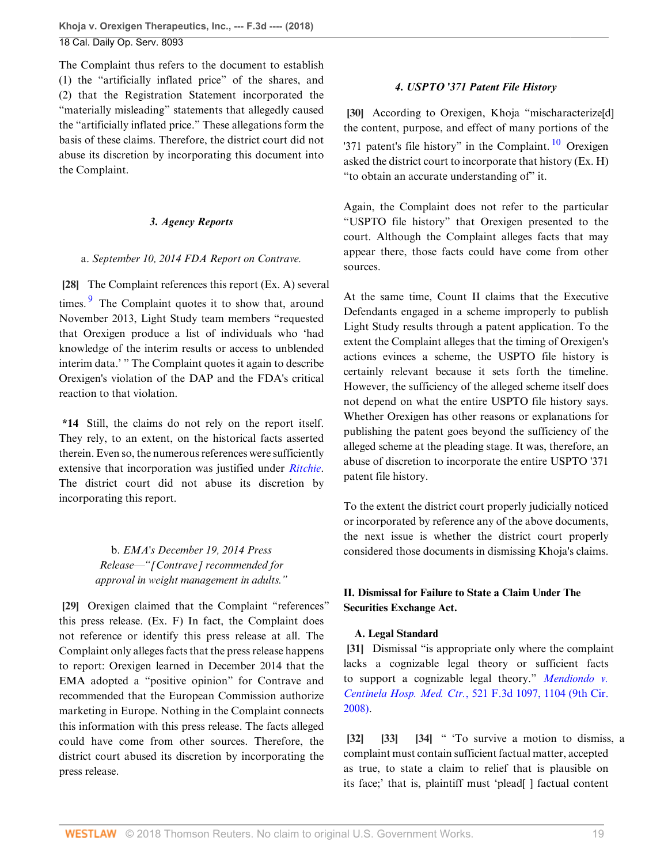The Complaint thus refers to the document to establish (1) the "artificially inflated price" of the shares, and (2) that the Registration Statement incorporated the "materially misleading" statements that allegedly caused the "artificially inflated price." These allegations form the basis of these claims. Therefore, the district court did not abuse its discretion by incorporating this document into the Complaint.

## *3. Agency Reports*

<span id="page-18-0"></span>a. *September 10, 2014 FDA Report on Contrave.*

<span id="page-18-7"></span>**[\[28](#page-4-2)]** The Complaint references this report (Ex. A) several times. $\frac{9}{7}$  $\frac{9}{7}$  $\frac{9}{7}$  The Complaint quotes it to show that, around November 2013, Light Study team members "requested that Orexigen produce a list of individuals who 'had knowledge of the interim results or access to unblended interim data.' " The Complaint quotes it again to describe Orexigen's violation of the DAP and the FDA's critical reaction to that violation.

**\*14** Still, the claims do not rely on the report itself. They rely, to an extent, on the historical facts asserted therein. Even so, the numerous references were sufficiently extensive that incorporation was justified under *[Ritchie](http://www.westlaw.com/Link/Document/FullText?findType=Y&serNum=2003584470&pubNum=0000506&originatingDoc=I9120ac409f1411e892c4ce5625aacf64&refType=RP&originationContext=document&vr=3.0&rs=cblt1.0&transitionType=DocumentItem&contextData=(sc.Default))*. The district court did not abuse its discretion by incorporating this report.

> b. *EMA's December 19, 2014 Press Release—"[Contrave] recommended for approval in weight management in adults."*

<span id="page-18-1"></span>**[\[29](#page-4-3)]** Orexigen claimed that the Complaint "references" this press release. (Ex. F) In fact, the Complaint does not reference or identify this press release at all. The Complaint only alleges facts that the press release happens to report: Orexigen learned in December 2014 that the EMA adopted a "positive opinion" for Contrave and recommended that the European Commission authorize marketing in Europe. Nothing in the Complaint connects this information with this press release. The facts alleged could have come from other sources. Therefore, the district court abused its discretion by incorporating the press release.

## <span id="page-18-8"></span>*4. USPTO '371 Patent File History*

<span id="page-18-2"></span>**[\[30](#page-4-4)]** According to Orexigen, Khoja "mischaracterize[d] the content, purpose, and effect of many portions of the '371 patent's file history" in the Complaint.  $\frac{10}{10}$  $\frac{10}{10}$  $\frac{10}{10}$  Orexigen asked the district court to incorporate that history (Ex. H) "to obtain an accurate understanding of" it.

Again, the Complaint does not refer to the particular "USPTO file history" that Orexigen presented to the court. Although the Complaint alleges facts that may appear there, those facts could have come from other sources.

At the same time, Count II claims that the Executive Defendants engaged in a scheme improperly to publish Light Study results through a patent application. To the extent the Complaint alleges that the timing of Orexigen's actions evinces a scheme, the USPTO file history is certainly relevant because it sets forth the timeline. However, the sufficiency of the alleged scheme itself does not depend on what the entire USPTO file history says. Whether Orexigen has other reasons or explanations for publishing the patent goes beyond the sufficiency of the alleged scheme at the pleading stage. It was, therefore, an abuse of discretion to incorporate the entire USPTO '371 patent file history.

To the extent the district court properly judicially noticed or incorporated by reference any of the above documents, the next issue is whether the district court properly considered those documents in dismissing Khoja's claims.

## **II. Dismissal for Failure to State a Claim Under The Securities Exchange Act.**

## <span id="page-18-3"></span>**A. Legal Standard**

**[\[31](#page-5-0)]** Dismissal "is appropriate only where the complaint lacks a cognizable legal theory or sufficient facts to support a cognizable legal theory." *[Mendiondo v.](http://www.westlaw.com/Link/Document/FullText?findType=Y&serNum=2015647475&pubNum=0000506&originatingDoc=I9120ac409f1411e892c4ce5625aacf64&refType=RP&fi=co_pp_sp_506_1104&originationContext=document&vr=3.0&rs=cblt1.0&transitionType=DocumentItem&contextData=(sc.Default)#co_pp_sp_506_1104) Centinela Hosp. Med. Ctr.*[, 521 F.3d 1097, 1104 \(9th Cir.](http://www.westlaw.com/Link/Document/FullText?findType=Y&serNum=2015647475&pubNum=0000506&originatingDoc=I9120ac409f1411e892c4ce5625aacf64&refType=RP&fi=co_pp_sp_506_1104&originationContext=document&vr=3.0&rs=cblt1.0&transitionType=DocumentItem&contextData=(sc.Default)#co_pp_sp_506_1104) [2008\)](http://www.westlaw.com/Link/Document/FullText?findType=Y&serNum=2015647475&pubNum=0000506&originatingDoc=I9120ac409f1411e892c4ce5625aacf64&refType=RP&fi=co_pp_sp_506_1104&originationContext=document&vr=3.0&rs=cblt1.0&transitionType=DocumentItem&contextData=(sc.Default)#co_pp_sp_506_1104).

<span id="page-18-6"></span><span id="page-18-5"></span><span id="page-18-4"></span>**[\[32](#page-5-1)] [\[33](#page-5-2)] [\[34](#page-5-3)]** " 'To survive a motion to dismiss, a complaint must contain sufficient factual matter, accepted as true, to state a claim to relief that is plausible on its face;' that is, plaintiff must 'plead[ ] factual content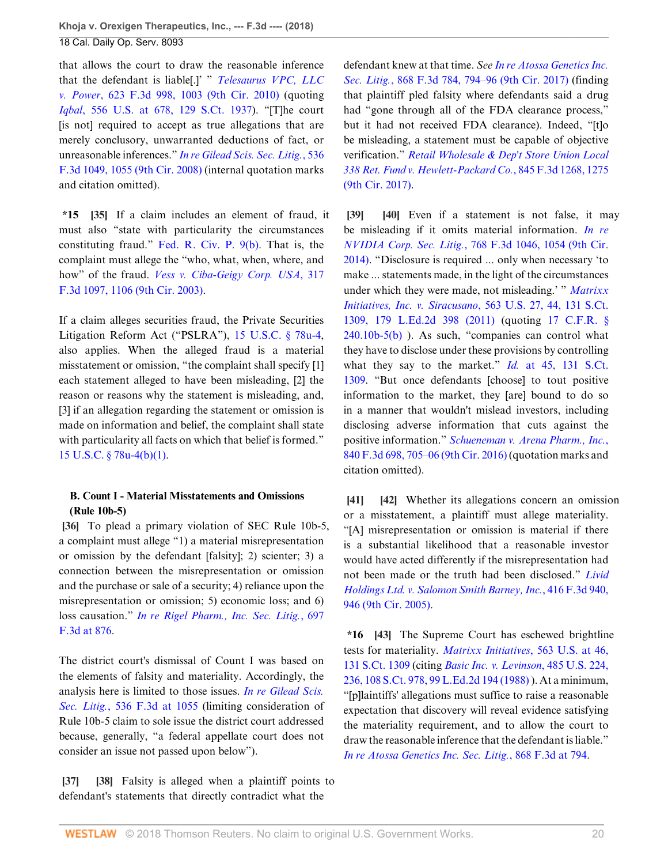that allows the court to draw the reasonable inference that the defendant is liable[.]' " *[Telesaurus VPC, LLC](http://www.westlaw.com/Link/Document/FullText?findType=Y&serNum=2023265467&pubNum=0000506&originatingDoc=I9120ac409f1411e892c4ce5625aacf64&refType=RP&fi=co_pp_sp_506_1003&originationContext=document&vr=3.0&rs=cblt1.0&transitionType=DocumentItem&contextData=(sc.Default)#co_pp_sp_506_1003) v. Power*[, 623 F.3d 998, 1003 \(9th Cir. 2010\)](http://www.westlaw.com/Link/Document/FullText?findType=Y&serNum=2023265467&pubNum=0000506&originatingDoc=I9120ac409f1411e892c4ce5625aacf64&refType=RP&fi=co_pp_sp_506_1003&originationContext=document&vr=3.0&rs=cblt1.0&transitionType=DocumentItem&contextData=(sc.Default)#co_pp_sp_506_1003) (quoting *Iqbal*[, 556 U.S. at 678, 129 S.Ct. 1937](http://www.westlaw.com/Link/Document/FullText?findType=Y&serNum=2018848474&pubNum=0000708&originatingDoc=I9120ac409f1411e892c4ce5625aacf64&refType=RP&originationContext=document&vr=3.0&rs=cblt1.0&transitionType=DocumentItem&contextData=(sc.Default))). "[T]he court [is not] required to accept as true allegations that are merely conclusory, unwarranted deductions of fact, or unreasonable inferences." *[In re Gilead Scis. Sec. Litig.](http://www.westlaw.com/Link/Document/FullText?findType=Y&serNum=2016722866&pubNum=0000506&originatingDoc=I9120ac409f1411e892c4ce5625aacf64&refType=RP&fi=co_pp_sp_506_1055&originationContext=document&vr=3.0&rs=cblt1.0&transitionType=DocumentItem&contextData=(sc.Default)#co_pp_sp_506_1055)*, 536 [F.3d 1049, 1055 \(9th Cir. 2008\)](http://www.westlaw.com/Link/Document/FullText?findType=Y&serNum=2016722866&pubNum=0000506&originatingDoc=I9120ac409f1411e892c4ce5625aacf64&refType=RP&fi=co_pp_sp_506_1055&originationContext=document&vr=3.0&rs=cblt1.0&transitionType=DocumentItem&contextData=(sc.Default)#co_pp_sp_506_1055) (internal quotation marks and citation omitted).

<span id="page-19-0"></span>**\*15 [\[35\]](#page-5-4)** If a claim includes an element of fraud, it must also "state with particularity the circumstances constituting fraud." [Fed. R. Civ. P. 9\(b\)](http://www.westlaw.com/Link/Document/FullText?findType=L&pubNum=1000600&cite=USFRCPR9&originatingDoc=I9120ac409f1411e892c4ce5625aacf64&refType=LQ&originationContext=document&vr=3.0&rs=cblt1.0&transitionType=DocumentItem&contextData=(sc.Default)). That is, the complaint must allege the "who, what, when, where, and how" of the fraud. *[Vess v. Ciba-Geigy Corp. USA](http://www.westlaw.com/Link/Document/FullText?findType=Y&serNum=2003124194&pubNum=0000506&originatingDoc=I9120ac409f1411e892c4ce5625aacf64&refType=RP&fi=co_pp_sp_506_1106&originationContext=document&vr=3.0&rs=cblt1.0&transitionType=DocumentItem&contextData=(sc.Default)#co_pp_sp_506_1106)*, 317 [F.3d 1097, 1106 \(9th Cir. 2003\)](http://www.westlaw.com/Link/Document/FullText?findType=Y&serNum=2003124194&pubNum=0000506&originatingDoc=I9120ac409f1411e892c4ce5625aacf64&refType=RP&fi=co_pp_sp_506_1106&originationContext=document&vr=3.0&rs=cblt1.0&transitionType=DocumentItem&contextData=(sc.Default)#co_pp_sp_506_1106).

If a claim alleges securities fraud, the Private Securities Litigation Reform Act ("PSLRA"), [15 U.S.C. § 78u-4](http://www.westlaw.com/Link/Document/FullText?findType=L&pubNum=1000546&cite=15USCAS78U-4&originatingDoc=I9120ac409f1411e892c4ce5625aacf64&refType=LQ&originationContext=document&vr=3.0&rs=cblt1.0&transitionType=DocumentItem&contextData=(sc.Default)), also applies. When the alleged fraud is a material misstatement or omission, "the complaint shall specify [1] each statement alleged to have been misleading, [2] the reason or reasons why the statement is misleading, and, [3] if an allegation regarding the statement or omission is made on information and belief, the complaint shall state with particularity all facts on which that belief is formed." [15 U.S.C. § 78u-4\(b\)\(1\)](http://www.westlaw.com/Link/Document/FullText?findType=L&pubNum=1000546&cite=15USCAS78U-4&originatingDoc=I9120ac409f1411e892c4ce5625aacf64&refType=RB&originationContext=document&vr=3.0&rs=cblt1.0&transitionType=DocumentItem&contextData=(sc.Default)#co_pp_3fed000053a85).

## **B. Count I - Material Misstatements and Omissions (Rule 10b-5)**

<span id="page-19-1"></span>**[\[36](#page-5-5)]** To plead a primary violation of SEC Rule 10b-5, a complaint must allege "1) a material misrepresentation or omission by the defendant [falsity]; 2) scienter; 3) a connection between the misrepresentation or omission and the purchase or sale of a security; 4) reliance upon the misrepresentation or omission; 5) economic loss; and 6) loss causation." *[In re Rigel Pharm., Inc. Sec. Litig.](http://www.westlaw.com/Link/Document/FullText?findType=Y&serNum=2028559948&pubNum=0000506&originatingDoc=I9120ac409f1411e892c4ce5625aacf64&refType=RP&fi=co_pp_sp_506_876&originationContext=document&vr=3.0&rs=cblt1.0&transitionType=DocumentItem&contextData=(sc.Default)#co_pp_sp_506_876)*, 697 [F.3d at 876](http://www.westlaw.com/Link/Document/FullText?findType=Y&serNum=2028559948&pubNum=0000506&originatingDoc=I9120ac409f1411e892c4ce5625aacf64&refType=RP&fi=co_pp_sp_506_876&originationContext=document&vr=3.0&rs=cblt1.0&transitionType=DocumentItem&contextData=(sc.Default)#co_pp_sp_506_876).

The district court's dismissal of Count I was based on the elements of falsity and materiality. Accordingly, the analysis here is limited to those issues. *[In re Gilead Scis.](http://www.westlaw.com/Link/Document/FullText?findType=Y&serNum=2016722866&pubNum=0000506&originatingDoc=I9120ac409f1411e892c4ce5625aacf64&refType=RP&fi=co_pp_sp_506_1055&originationContext=document&vr=3.0&rs=cblt1.0&transitionType=DocumentItem&contextData=(sc.Default)#co_pp_sp_506_1055) Sec. Litig.*[, 536 F.3d at 1055](http://www.westlaw.com/Link/Document/FullText?findType=Y&serNum=2016722866&pubNum=0000506&originatingDoc=I9120ac409f1411e892c4ce5625aacf64&refType=RP&fi=co_pp_sp_506_1055&originationContext=document&vr=3.0&rs=cblt1.0&transitionType=DocumentItem&contextData=(sc.Default)#co_pp_sp_506_1055) (limiting consideration of Rule 10b-5 claim to sole issue the district court addressed because, generally, "a federal appellate court does not consider an issue not passed upon below").

<span id="page-19-3"></span><span id="page-19-2"></span>**[\[37](#page-5-6)] [\[38\]](#page-5-7)** Falsity is alleged when a plaintiff points to defendant's statements that directly contradict what the

defendant knew at that time. *See [In re Atossa Genetics Inc.](http://www.westlaw.com/Link/Document/FullText?findType=Y&serNum=2042376963&pubNum=0000506&originatingDoc=I9120ac409f1411e892c4ce5625aacf64&refType=RP&fi=co_pp_sp_506_794&originationContext=document&vr=3.0&rs=cblt1.0&transitionType=DocumentItem&contextData=(sc.Default)#co_pp_sp_506_794) Sec. Litig.*[, 868 F.3d 784, 794–96 \(9th Cir. 2017\)](http://www.westlaw.com/Link/Document/FullText?findType=Y&serNum=2042376963&pubNum=0000506&originatingDoc=I9120ac409f1411e892c4ce5625aacf64&refType=RP&fi=co_pp_sp_506_794&originationContext=document&vr=3.0&rs=cblt1.0&transitionType=DocumentItem&contextData=(sc.Default)#co_pp_sp_506_794) (finding that plaintiff pled falsity where defendants said a drug had "gone through all of the FDA clearance process," but it had not received FDA clearance). Indeed, "[t]o be misleading, a statement must be capable of objective verification." *Retail Wholesale [& Dep't Store Union Local](http://www.westlaw.com/Link/Document/FullText?findType=Y&serNum=2040794802&pubNum=0000506&originatingDoc=I9120ac409f1411e892c4ce5625aacf64&refType=RP&fi=co_pp_sp_506_1275&originationContext=document&vr=3.0&rs=cblt1.0&transitionType=DocumentItem&contextData=(sc.Default)#co_pp_sp_506_1275) [338 Ret. Fund v. Hewlett-Packard](http://www.westlaw.com/Link/Document/FullText?findType=Y&serNum=2040794802&pubNum=0000506&originatingDoc=I9120ac409f1411e892c4ce5625aacf64&refType=RP&fi=co_pp_sp_506_1275&originationContext=document&vr=3.0&rs=cblt1.0&transitionType=DocumentItem&contextData=(sc.Default)#co_pp_sp_506_1275) Co.*, 845 F.3d 1268, 1275 [\(9th Cir. 2017\).](http://www.westlaw.com/Link/Document/FullText?findType=Y&serNum=2040794802&pubNum=0000506&originatingDoc=I9120ac409f1411e892c4ce5625aacf64&refType=RP&fi=co_pp_sp_506_1275&originationContext=document&vr=3.0&rs=cblt1.0&transitionType=DocumentItem&contextData=(sc.Default)#co_pp_sp_506_1275)

<span id="page-19-5"></span><span id="page-19-4"></span>**[\[39](#page-5-8)] [\[40](#page-6-2)]** Even if a statement is not false, it may be misleading if it omits material information. *[In re](http://www.westlaw.com/Link/Document/FullText?findType=Y&serNum=2034483751&pubNum=0000506&originatingDoc=I9120ac409f1411e892c4ce5625aacf64&refType=RP&fi=co_pp_sp_506_1054&originationContext=document&vr=3.0&rs=cblt1.0&transitionType=DocumentItem&contextData=(sc.Default)#co_pp_sp_506_1054) NVIDIA Corp. Sec. Litig.*[, 768 F.3d 1046, 1054 \(9th Cir.](http://www.westlaw.com/Link/Document/FullText?findType=Y&serNum=2034483751&pubNum=0000506&originatingDoc=I9120ac409f1411e892c4ce5625aacf64&refType=RP&fi=co_pp_sp_506_1054&originationContext=document&vr=3.0&rs=cblt1.0&transitionType=DocumentItem&contextData=(sc.Default)#co_pp_sp_506_1054) [2014\)](http://www.westlaw.com/Link/Document/FullText?findType=Y&serNum=2034483751&pubNum=0000506&originatingDoc=I9120ac409f1411e892c4ce5625aacf64&refType=RP&fi=co_pp_sp_506_1054&originationContext=document&vr=3.0&rs=cblt1.0&transitionType=DocumentItem&contextData=(sc.Default)#co_pp_sp_506_1054). "Disclosure is required ... only when necessary 'to make ... statements made, in the light of the circumstances under which they were made, not misleading.' " *[Matrixx](http://www.westlaw.com/Link/Document/FullText?findType=Y&serNum=2024826834&pubNum=0000708&originatingDoc=I9120ac409f1411e892c4ce5625aacf64&refType=RP&originationContext=document&vr=3.0&rs=cblt1.0&transitionType=DocumentItem&contextData=(sc.Default)) [Initiatives, Inc. v. Siracusano](http://www.westlaw.com/Link/Document/FullText?findType=Y&serNum=2024826834&pubNum=0000708&originatingDoc=I9120ac409f1411e892c4ce5625aacf64&refType=RP&originationContext=document&vr=3.0&rs=cblt1.0&transitionType=DocumentItem&contextData=(sc.Default))*, 563 U.S. 27, 44, 131 S.Ct. [1309, 179 L.Ed.2d 398 \(2011\)](http://www.westlaw.com/Link/Document/FullText?findType=Y&serNum=2024826834&pubNum=0000708&originatingDoc=I9120ac409f1411e892c4ce5625aacf64&refType=RP&originationContext=document&vr=3.0&rs=cblt1.0&transitionType=DocumentItem&contextData=(sc.Default)) (quoting [17 C.F.R. §](http://www.westlaw.com/Link/Document/FullText?findType=L&pubNum=1000547&cite=17CFRS240.10B-5&originatingDoc=I9120ac409f1411e892c4ce5625aacf64&refType=LQ&originationContext=document&vr=3.0&rs=cblt1.0&transitionType=DocumentItem&contextData=(sc.Default)) [240.10b-5\(b\)](http://www.westlaw.com/Link/Document/FullText?findType=L&pubNum=1000547&cite=17CFRS240.10B-5&originatingDoc=I9120ac409f1411e892c4ce5625aacf64&refType=LQ&originationContext=document&vr=3.0&rs=cblt1.0&transitionType=DocumentItem&contextData=(sc.Default)) ). As such, "companies can control what they have to disclose under these provisions by controlling what they say to the market." *Id.* [at 45, 131 S.Ct.](http://www.westlaw.com/Link/Document/FullText?findType=Y&serNum=2024826834&pubNum=0000708&originatingDoc=I9120ac409f1411e892c4ce5625aacf64&refType=RP&originationContext=document&vr=3.0&rs=cblt1.0&transitionType=DocumentItem&contextData=(sc.Default)) [1309](http://www.westlaw.com/Link/Document/FullText?findType=Y&serNum=2024826834&pubNum=0000708&originatingDoc=I9120ac409f1411e892c4ce5625aacf64&refType=RP&originationContext=document&vr=3.0&rs=cblt1.0&transitionType=DocumentItem&contextData=(sc.Default)). "But once defendants [choose] to tout positive information to the market, they [are] bound to do so in a manner that wouldn't mislead investors, including disclosing adverse information that cuts against the positive information." *[Schueneman v. Arena Pharm., Inc.](http://www.westlaw.com/Link/Document/FullText?findType=Y&serNum=2040178069&pubNum=0000506&originatingDoc=I9120ac409f1411e892c4ce5625aacf64&refType=RP&fi=co_pp_sp_506_705&originationContext=document&vr=3.0&rs=cblt1.0&transitionType=DocumentItem&contextData=(sc.Default)#co_pp_sp_506_705)*, [840 F.3d 698, 705–06 \(9th Cir. 2016\)](http://www.westlaw.com/Link/Document/FullText?findType=Y&serNum=2040178069&pubNum=0000506&originatingDoc=I9120ac409f1411e892c4ce5625aacf64&refType=RP&fi=co_pp_sp_506_705&originationContext=document&vr=3.0&rs=cblt1.0&transitionType=DocumentItem&contextData=(sc.Default)#co_pp_sp_506_705) (quotation marks and citation omitted).

<span id="page-19-7"></span><span id="page-19-6"></span>**[\[41](#page-6-3)] [\[42](#page-6-4)]** Whether its allegations concern an omission or a misstatement, a plaintiff must allege materiality. "[A] misrepresentation or omission is material if there is a substantial likelihood that a reasonable investor would have acted differently if the misrepresentation had not been made or the truth had been disclosed." *[Livid](http://www.westlaw.com/Link/Document/FullText?findType=Y&serNum=2007065235&pubNum=0000506&originatingDoc=I9120ac409f1411e892c4ce5625aacf64&refType=RP&fi=co_pp_sp_506_946&originationContext=document&vr=3.0&rs=cblt1.0&transitionType=DocumentItem&contextData=(sc.Default)#co_pp_sp_506_946) [Holdings Ltd. v. Salomon Smith Barney, Inc.](http://www.westlaw.com/Link/Document/FullText?findType=Y&serNum=2007065235&pubNum=0000506&originatingDoc=I9120ac409f1411e892c4ce5625aacf64&refType=RP&fi=co_pp_sp_506_946&originationContext=document&vr=3.0&rs=cblt1.0&transitionType=DocumentItem&contextData=(sc.Default)#co_pp_sp_506_946)*, 416 F.3d 940, [946 \(9th Cir. 2005\)](http://www.westlaw.com/Link/Document/FullText?findType=Y&serNum=2007065235&pubNum=0000506&originatingDoc=I9120ac409f1411e892c4ce5625aacf64&refType=RP&fi=co_pp_sp_506_946&originationContext=document&vr=3.0&rs=cblt1.0&transitionType=DocumentItem&contextData=(sc.Default)#co_pp_sp_506_946).

<span id="page-19-8"></span>**\*16 [\[43](#page-6-5)]** The Supreme Court has eschewed brightline tests for materiality. *[Matrixx Initiatives](http://www.westlaw.com/Link/Document/FullText?findType=Y&serNum=2024826834&pubNum=0000708&originatingDoc=I9120ac409f1411e892c4ce5625aacf64&refType=RP&fi=co_pp_sp_708_398&originationContext=document&vr=3.0&rs=cblt1.0&transitionType=DocumentItem&contextData=(sc.Default)#co_pp_sp_708_398)*, 563 U.S. at 46, [131 S.Ct. 1309](http://www.westlaw.com/Link/Document/FullText?findType=Y&serNum=2024826834&pubNum=0000708&originatingDoc=I9120ac409f1411e892c4ce5625aacf64&refType=RP&fi=co_pp_sp_708_398&originationContext=document&vr=3.0&rs=cblt1.0&transitionType=DocumentItem&contextData=(sc.Default)#co_pp_sp_708_398) (citing *[Basic Inc. v. Levinson](http://www.westlaw.com/Link/Document/FullText?findType=Y&serNum=1988031229&pubNum=0000708&originatingDoc=I9120ac409f1411e892c4ce5625aacf64&refType=RP&originationContext=document&vr=3.0&rs=cblt1.0&transitionType=DocumentItem&contextData=(sc.Default))*, 485 U.S. 224, [236, 108 S.Ct. 978, 99 L.Ed.2d 194 \(1988\)](http://www.westlaw.com/Link/Document/FullText?findType=Y&serNum=1988031229&pubNum=0000708&originatingDoc=I9120ac409f1411e892c4ce5625aacf64&refType=RP&originationContext=document&vr=3.0&rs=cblt1.0&transitionType=DocumentItem&contextData=(sc.Default)) ). At a minimum, "[p]laintiffs' allegations must suffice to raise a reasonable expectation that discovery will reveal evidence satisfying the materiality requirement, and to allow the court to draw the reasonable inference that the defendant is liable." *[In re Atossa Genetics Inc. Sec. Litig.](http://www.westlaw.com/Link/Document/FullText?findType=Y&serNum=2042376963&pubNum=0000506&originatingDoc=I9120ac409f1411e892c4ce5625aacf64&refType=RP&fi=co_pp_sp_506_794&originationContext=document&vr=3.0&rs=cblt1.0&transitionType=DocumentItem&contextData=(sc.Default)#co_pp_sp_506_794)*, 868 F.3d at 794.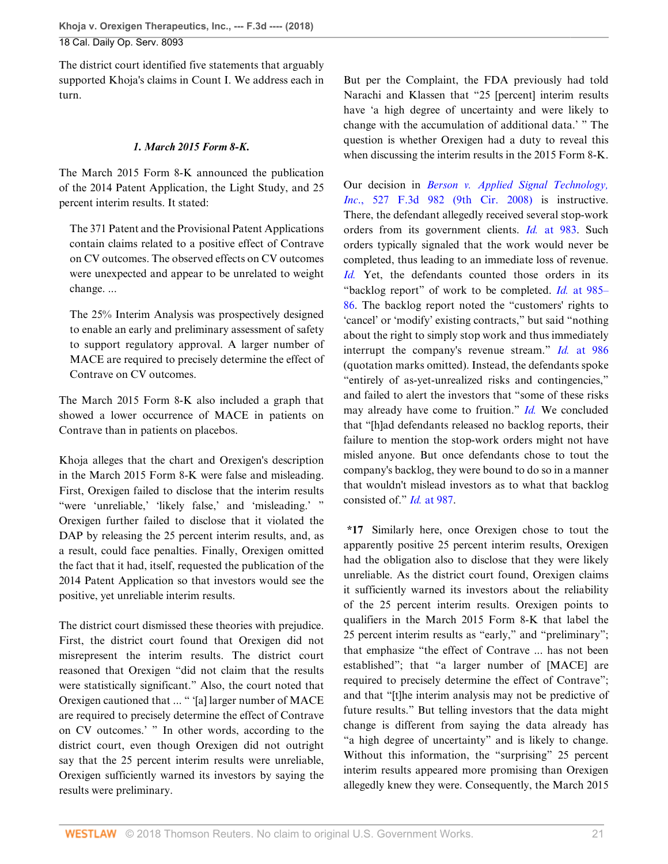The district court identified five statements that arguably supported Khoja's claims in Count I. We address each in turn.

## *1. March 2015 Form 8-K.*

The March 2015 Form 8-K announced the publication of the 2014 Patent Application, the Light Study, and 25 percent interim results. It stated:

The 371 Patent and the Provisional Patent Applications contain claims related to a positive effect of Contrave on CV outcomes. The observed effects on CV outcomes were unexpected and appear to be unrelated to weight change. ...

The 25% Interim Analysis was prospectively designed to enable an early and preliminary assessment of safety to support regulatory approval. A larger number of MACE are required to precisely determine the effect of Contrave on CV outcomes.

The March 2015 Form 8-K also included a graph that showed a lower occurrence of MACE in patients on Contrave than in patients on placebos.

Khoja alleges that the chart and Orexigen's description in the March 2015 Form 8-K were false and misleading. First, Orexigen failed to disclose that the interim results "were 'unreliable,' 'likely false,' and 'misleading.' " Orexigen further failed to disclose that it violated the DAP by releasing the 25 percent interim results, and, as a result, could face penalties. Finally, Orexigen omitted the fact that it had, itself, requested the publication of the 2014 Patent Application so that investors would see the positive, yet unreliable interim results.

The district court dismissed these theories with prejudice. First, the district court found that Orexigen did not misrepresent the interim results. The district court reasoned that Orexigen "did not claim that the results were statistically significant." Also, the court noted that Orexigen cautioned that ... " '[a] larger number of MACE are required to precisely determine the effect of Contrave on CV outcomes.' " In other words, according to the district court, even though Orexigen did not outright say that the 25 percent interim results were unreliable, Orexigen sufficiently warned its investors by saying the results were preliminary.

But per the Complaint, the FDA previously had told Narachi and Klassen that "25 [percent] interim results have 'a high degree of uncertainty and were likely to change with the accumulation of additional data.' " The question is whether Orexigen had a duty to reveal this when discussing the interim results in the 2015 Form 8-K.

Our decision in *[Berson v. Applied Signal Technology,](http://www.westlaw.com/Link/Document/FullText?findType=Y&serNum=2016243989&pubNum=0000506&originatingDoc=I9120ac409f1411e892c4ce5625aacf64&refType=RP&originationContext=document&vr=3.0&rs=cblt1.0&transitionType=DocumentItem&contextData=(sc.Default)) Inc.*, 527 F.3d 982 (9th Cir. 2008) is instructive. There, the defendant allegedly received several stop-work orders from its government clients. *Id.* [at 983.](http://www.westlaw.com/Link/Document/FullText?findType=Y&serNum=2016243989&pubNum=0000506&originatingDoc=I9120ac409f1411e892c4ce5625aacf64&refType=RP&fi=co_pp_sp_506_983&originationContext=document&vr=3.0&rs=cblt1.0&transitionType=DocumentItem&contextData=(sc.Default)#co_pp_sp_506_983) Such orders typically signaled that the work would never be completed, thus leading to an immediate loss of revenue. *[Id.](http://www.westlaw.com/Link/Document/FullText?findType=Y&serNum=2016243989&pubNum=0000506&originatingDoc=I9120ac409f1411e892c4ce5625aacf64&refType=RP&originationContext=document&vr=3.0&rs=cblt1.0&transitionType=DocumentItem&contextData=(sc.Default))* Yet, the defendants counted those orders in its "backlog report" of work to be completed. *Id.* [at 985–](http://www.westlaw.com/Link/Document/FullText?findType=Y&serNum=2016243989&pubNum=0000506&originatingDoc=I9120ac409f1411e892c4ce5625aacf64&refType=RP&fi=co_pp_sp_506_985&originationContext=document&vr=3.0&rs=cblt1.0&transitionType=DocumentItem&contextData=(sc.Default)#co_pp_sp_506_985) [86](http://www.westlaw.com/Link/Document/FullText?findType=Y&serNum=2016243989&pubNum=0000506&originatingDoc=I9120ac409f1411e892c4ce5625aacf64&refType=RP&fi=co_pp_sp_506_985&originationContext=document&vr=3.0&rs=cblt1.0&transitionType=DocumentItem&contextData=(sc.Default)#co_pp_sp_506_985). The backlog report noted the "customers' rights to 'cancel' or 'modify' existing contracts," but said "nothing about the right to simply stop work and thus immediately interrupt the company's revenue stream." *Id.* [at 986](http://www.westlaw.com/Link/Document/FullText?findType=Y&serNum=2016243989&pubNum=0000506&originatingDoc=I9120ac409f1411e892c4ce5625aacf64&refType=RP&fi=co_pp_sp_506_986&originationContext=document&vr=3.0&rs=cblt1.0&transitionType=DocumentItem&contextData=(sc.Default)#co_pp_sp_506_986) (quotation marks omitted). Instead, the defendants spoke "entirely of as-yet-unrealized risks and contingencies," and failed to alert the investors that "some of these risks may already have come to fruition." *[Id.](http://www.westlaw.com/Link/Document/FullText?findType=Y&serNum=2016243989&pubNum=0000506&originatingDoc=I9120ac409f1411e892c4ce5625aacf64&refType=RP&originationContext=document&vr=3.0&rs=cblt1.0&transitionType=DocumentItem&contextData=(sc.Default))* We concluded that "[h]ad defendants released no backlog reports, their failure to mention the stop-work orders might not have misled anyone. But once defendants chose to tout the company's backlog, they were bound to do so in a manner that wouldn't mislead investors as to what that backlog consisted of." *Id.* [at 987.](http://www.westlaw.com/Link/Document/FullText?findType=Y&serNum=2016243989&pubNum=0000506&originatingDoc=I9120ac409f1411e892c4ce5625aacf64&refType=RP&fi=co_pp_sp_506_987&originationContext=document&vr=3.0&rs=cblt1.0&transitionType=DocumentItem&contextData=(sc.Default)#co_pp_sp_506_987)

**\*17** Similarly here, once Orexigen chose to tout the apparently positive 25 percent interim results, Orexigen had the obligation also to disclose that they were likely unreliable. As the district court found, Orexigen claims it sufficiently warned its investors about the reliability of the 25 percent interim results. Orexigen points to qualifiers in the March 2015 Form 8-K that label the 25 percent interim results as "early," and "preliminary"; that emphasize "the effect of Contrave ... has not been established"; that "a larger number of [MACE] are required to precisely determine the effect of Contrave"; and that "[t]he interim analysis may not be predictive of future results." But telling investors that the data might change is different from saying the data already has "a high degree of uncertainty" and is likely to change. Without this information, the "surprising" 25 percent interim results appeared more promising than Orexigen allegedly knew they were. Consequently, the March 2015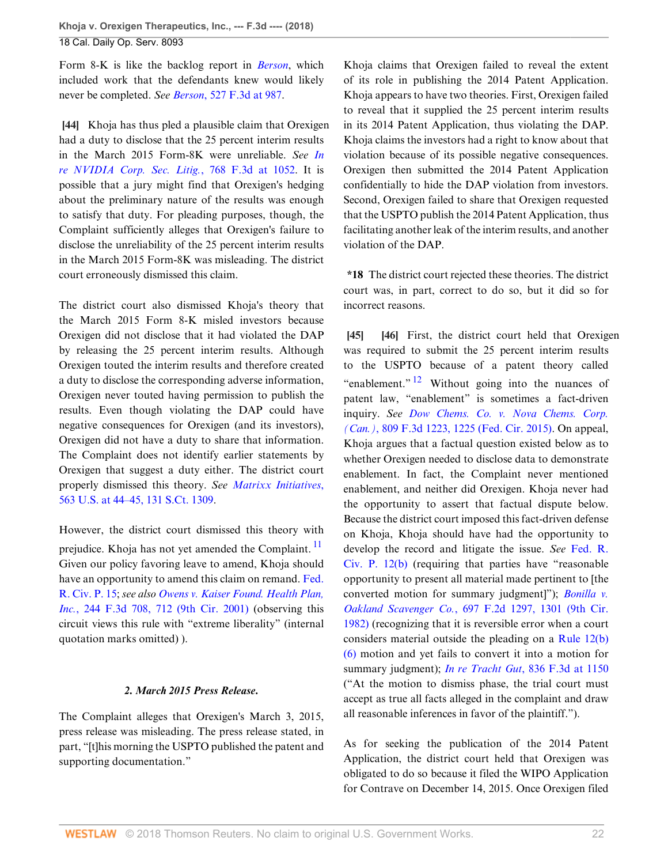Form 8-K is like the backlog report in *[Berson](http://www.westlaw.com/Link/Document/FullText?findType=Y&serNum=2016243989&pubNum=0000506&originatingDoc=I9120ac409f1411e892c4ce5625aacf64&refType=RP&originationContext=document&vr=3.0&rs=cblt1.0&transitionType=DocumentItem&contextData=(sc.Default))*, which included work that the defendants knew would likely never be completed. *See Berson*[, 527 F.3d at 987](http://www.westlaw.com/Link/Document/FullText?findType=Y&serNum=2016243989&pubNum=0000506&originatingDoc=I9120ac409f1411e892c4ce5625aacf64&refType=RP&fi=co_pp_sp_506_987&originationContext=document&vr=3.0&rs=cblt1.0&transitionType=DocumentItem&contextData=(sc.Default)#co_pp_sp_506_987).

<span id="page-21-0"></span>**[\[44](#page-6-0)]** Khoja has thus pled a plausible claim that Orexigen had a duty to disclose that the 25 percent interim results in the March 2015 Form-8K were unreliable. *See [In](http://www.westlaw.com/Link/Document/FullText?findType=Y&serNum=2034483751&pubNum=0000506&originatingDoc=I9120ac409f1411e892c4ce5625aacf64&refType=RP&fi=co_pp_sp_506_1052&originationContext=document&vr=3.0&rs=cblt1.0&transitionType=DocumentItem&contextData=(sc.Default)#co_pp_sp_506_1052) [re NVIDIA Corp. Sec. Litig.](http://www.westlaw.com/Link/Document/FullText?findType=Y&serNum=2034483751&pubNum=0000506&originatingDoc=I9120ac409f1411e892c4ce5625aacf64&refType=RP&fi=co_pp_sp_506_1052&originationContext=document&vr=3.0&rs=cblt1.0&transitionType=DocumentItem&contextData=(sc.Default)#co_pp_sp_506_1052)*, 768 F.3d at 1052. It is possible that a jury might find that Orexigen's hedging about the preliminary nature of the results was enough to satisfy that duty. For pleading purposes, though, the Complaint sufficiently alleges that Orexigen's failure to disclose the unreliability of the 25 percent interim results in the March 2015 Form-8K was misleading. The district court erroneously dismissed this claim.

The district court also dismissed Khoja's theory that the March 2015 Form 8-K misled investors because Orexigen did not disclose that it had violated the DAP by releasing the 25 percent interim results. Although Orexigen touted the interim results and therefore created a duty to disclose the corresponding adverse information, Orexigen never touted having permission to publish the results. Even though violating the DAP could have negative consequences for Orexigen (and its investors), Orexigen did not have a duty to share that information. The Complaint does not identify earlier statements by Orexigen that suggest a duty either. The district court properly dismissed this theory. *See [Matrixx Initiatives](http://www.westlaw.com/Link/Document/FullText?findType=Y&serNum=2024826834&pubNum=0000708&originatingDoc=I9120ac409f1411e892c4ce5625aacf64&refType=RP&originationContext=document&vr=3.0&rs=cblt1.0&transitionType=DocumentItem&contextData=(sc.Default))*, [563 U.S. at 44–45, 131 S.Ct. 1309.](http://www.westlaw.com/Link/Document/FullText?findType=Y&serNum=2024826834&pubNum=0000708&originatingDoc=I9120ac409f1411e892c4ce5625aacf64&refType=RP&originationContext=document&vr=3.0&rs=cblt1.0&transitionType=DocumentItem&contextData=(sc.Default))

However, the district court dismissed this theory with prejudice. Khoja has not yet amended the Complaint. Given our policy favoring leave to amend, Khoja should have an opportunity to amend this claim on remand. [Fed.](http://www.westlaw.com/Link/Document/FullText?findType=L&pubNum=1000600&cite=USFRCPR15&originatingDoc=I9120ac409f1411e892c4ce5625aacf64&refType=LQ&originationContext=document&vr=3.0&rs=cblt1.0&transitionType=DocumentItem&contextData=(sc.Default)) [R. Civ. P. 15](http://www.westlaw.com/Link/Document/FullText?findType=L&pubNum=1000600&cite=USFRCPR15&originatingDoc=I9120ac409f1411e892c4ce5625aacf64&refType=LQ&originationContext=document&vr=3.0&rs=cblt1.0&transitionType=DocumentItem&contextData=(sc.Default)); *see also [Owens v. Kaiser Found. Health Plan,](http://www.westlaw.com/Link/Document/FullText?findType=Y&serNum=2001244847&pubNum=0000506&originatingDoc=I9120ac409f1411e892c4ce5625aacf64&refType=RP&fi=co_pp_sp_506_712&originationContext=document&vr=3.0&rs=cblt1.0&transitionType=DocumentItem&contextData=(sc.Default)#co_pp_sp_506_712) Inc.*[, 244 F.3d 708, 712 \(9th Cir. 2001\)](http://www.westlaw.com/Link/Document/FullText?findType=Y&serNum=2001244847&pubNum=0000506&originatingDoc=I9120ac409f1411e892c4ce5625aacf64&refType=RP&fi=co_pp_sp_506_712&originationContext=document&vr=3.0&rs=cblt1.0&transitionType=DocumentItem&contextData=(sc.Default)#co_pp_sp_506_712) (observing this circuit views this rule with "extreme liberality" (internal quotation marks omitted) ).

## *2. March 2015 Press Release.*

The Complaint alleges that Orexigen's March 3, 2015, press release was misleading. The press release stated, in part, "[t]his morning the USPTO published the patent and supporting documentation."

Khoja claims that Orexigen failed to reveal the extent of its role in publishing the 2014 Patent Application. Khoja appears to have two theories. First, Orexigen failed to reveal that it supplied the 25 percent interim results in its 2014 Patent Application, thus violating the DAP. Khoja claims the investors had a right to know about that violation because of its possible negative consequences. Orexigen then submitted the 2014 Patent Application confidentially to hide the DAP violation from investors. Second, Orexigen failed to share that Orexigen requested that the USPTO publish the 2014 Patent Application, thus facilitating another leak of the interim results, and another violation of the DAP.

**\*18** The district court rejected these theories. The district court was, in part, correct to do so, but it did so for incorrect reasons.

<span id="page-21-4"></span><span id="page-21-2"></span><span id="page-21-1"></span>**[\[45](#page-6-6)] [\[46](#page-6-7)]** First, the district court held that Orexigen was required to submit the 25 percent interim results to the USPTO because of a patent theory called "enablement."  $\frac{12}{12}$  $\frac{12}{12}$  $\frac{12}{12}$  Without going into the nuances of patent law, "enablement" is sometimes a fact-driven inquiry. *See [Dow Chems. Co. v. Nova Chems. Corp.](http://www.westlaw.com/Link/Document/FullText?findType=Y&serNum=2037832384&pubNum=0000506&originatingDoc=I9120ac409f1411e892c4ce5625aacf64&refType=RP&fi=co_pp_sp_506_1225&originationContext=document&vr=3.0&rs=cblt1.0&transitionType=DocumentItem&contextData=(sc.Default)#co_pp_sp_506_1225) (Can.)*[, 809 F.3d 1223, 1225 \(Fed. Cir. 2015\).](http://www.westlaw.com/Link/Document/FullText?findType=Y&serNum=2037832384&pubNum=0000506&originatingDoc=I9120ac409f1411e892c4ce5625aacf64&refType=RP&fi=co_pp_sp_506_1225&originationContext=document&vr=3.0&rs=cblt1.0&transitionType=DocumentItem&contextData=(sc.Default)#co_pp_sp_506_1225) On appeal, Khoja argues that a factual question existed below as to whether Orexigen needed to disclose data to demonstrate enablement. In fact, the Complaint never mentioned enablement, and neither did Orexigen. Khoja never had the opportunity to assert that factual dispute below. Because the district court imposed this fact-driven defense on Khoja, Khoja should have had the opportunity to develop the record and litigate the issue. *See* [Fed. R.](http://www.westlaw.com/Link/Document/FullText?findType=L&pubNum=1000600&cite=USFRCPR12&originatingDoc=I9120ac409f1411e892c4ce5625aacf64&refType=LQ&originationContext=document&vr=3.0&rs=cblt1.0&transitionType=DocumentItem&contextData=(sc.Default)) [Civ. P. 12\(b\)](http://www.westlaw.com/Link/Document/FullText?findType=L&pubNum=1000600&cite=USFRCPR12&originatingDoc=I9120ac409f1411e892c4ce5625aacf64&refType=LQ&originationContext=document&vr=3.0&rs=cblt1.0&transitionType=DocumentItem&contextData=(sc.Default)) (requiring that parties have "reasonable opportunity to present all material made pertinent to [the converted motion for summary judgment]"); *[Bonilla v.](http://www.westlaw.com/Link/Document/FullText?findType=Y&serNum=1982148333&pubNum=0000350&originatingDoc=I9120ac409f1411e892c4ce5625aacf64&refType=RP&fi=co_pp_sp_350_1301&originationContext=document&vr=3.0&rs=cblt1.0&transitionType=DocumentItem&contextData=(sc.Default)#co_pp_sp_350_1301) Oakland Scavenger Co.*[, 697 F.2d 1297, 1301 \(9th Cir.](http://www.westlaw.com/Link/Document/FullText?findType=Y&serNum=1982148333&pubNum=0000350&originatingDoc=I9120ac409f1411e892c4ce5625aacf64&refType=RP&fi=co_pp_sp_350_1301&originationContext=document&vr=3.0&rs=cblt1.0&transitionType=DocumentItem&contextData=(sc.Default)#co_pp_sp_350_1301) [1982\)](http://www.westlaw.com/Link/Document/FullText?findType=Y&serNum=1982148333&pubNum=0000350&originatingDoc=I9120ac409f1411e892c4ce5625aacf64&refType=RP&fi=co_pp_sp_350_1301&originationContext=document&vr=3.0&rs=cblt1.0&transitionType=DocumentItem&contextData=(sc.Default)#co_pp_sp_350_1301) (recognizing that it is reversible error when a court considers material outside the pleading on a [Rule 12\(b\)](http://www.westlaw.com/Link/Document/FullText?findType=L&pubNum=1000600&cite=USFRCPR12&originatingDoc=I9120ac409f1411e892c4ce5625aacf64&refType=LQ&originationContext=document&vr=3.0&rs=cblt1.0&transitionType=DocumentItem&contextData=(sc.Default)) [\(6\)](http://www.westlaw.com/Link/Document/FullText?findType=L&pubNum=1000600&cite=USFRCPR12&originatingDoc=I9120ac409f1411e892c4ce5625aacf64&refType=LQ&originationContext=document&vr=3.0&rs=cblt1.0&transitionType=DocumentItem&contextData=(sc.Default)) motion and yet fails to convert it into a motion for summary judgment); *In re Tracht Gut*[, 836 F.3d at 1150](http://www.westlaw.com/Link/Document/FullText?findType=Y&serNum=2039738304&pubNum=0000506&originatingDoc=I9120ac409f1411e892c4ce5625aacf64&refType=RP&fi=co_pp_sp_506_1150&originationContext=document&vr=3.0&rs=cblt1.0&transitionType=DocumentItem&contextData=(sc.Default)#co_pp_sp_506_1150) ("At the motion to dismiss phase, the trial court must accept as true all facts alleged in the complaint and draw all reasonable inferences in favor of the plaintiff.").

<span id="page-21-3"></span>As for seeking the publication of the 2014 Patent Application, the district court held that Orexigen was obligated to do so because it filed the WIPO Application for Contrave on December 14, 2015. Once Orexigen filed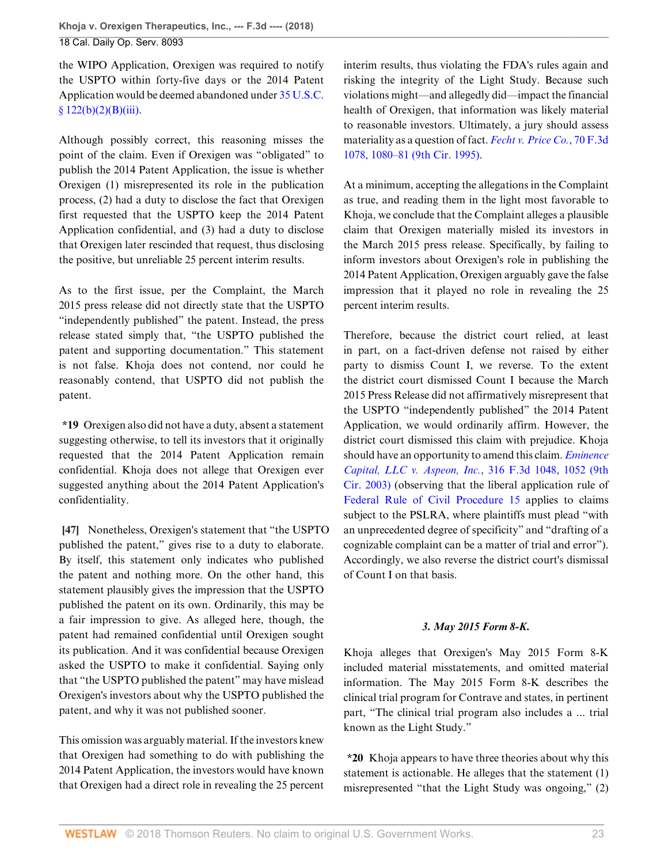the WIPO Application, Orexigen was required to notify the USPTO within forty-five days or the 2014 Patent Application would be deemed abandoned under [35 U.S.C.](http://www.westlaw.com/Link/Document/FullText?findType=L&pubNum=1000546&cite=35USCAS122&originatingDoc=I9120ac409f1411e892c4ce5625aacf64&refType=RB&originationContext=document&vr=3.0&rs=cblt1.0&transitionType=DocumentItem&contextData=(sc.Default)#co_pp_417a0000c1552) [§ 122\(b\)\(2\)\(B\)\(iii\)](http://www.westlaw.com/Link/Document/FullText?findType=L&pubNum=1000546&cite=35USCAS122&originatingDoc=I9120ac409f1411e892c4ce5625aacf64&refType=RB&originationContext=document&vr=3.0&rs=cblt1.0&transitionType=DocumentItem&contextData=(sc.Default)#co_pp_417a0000c1552).

Although possibly correct, this reasoning misses the point of the claim. Even if Orexigen was "obligated" to publish the 2014 Patent Application, the issue is whether Orexigen (1) misrepresented its role in the publication process, (2) had a duty to disclose the fact that Orexigen first requested that the USPTO keep the 2014 Patent Application confidential, and (3) had a duty to disclose that Orexigen later rescinded that request, thus disclosing the positive, but unreliable 25 percent interim results.

As to the first issue, per the Complaint, the March 2015 press release did not directly state that the USPTO "independently published" the patent. Instead, the press release stated simply that, "the USPTO published the patent and supporting documentation." This statement is not false. Khoja does not contend, nor could he reasonably contend, that USPTO did not publish the patent.

**\*19** Orexigen also did not have a duty, absent a statement suggesting otherwise, to tell its investors that it originally requested that the 2014 Patent Application remain confidential. Khoja does not allege that Orexigen ever suggested anything about the 2014 Patent Application's confidentiality.

<span id="page-22-0"></span>**[\[47](#page-6-1)]** Nonetheless, Orexigen's statement that "the USPTO published the patent," gives rise to a duty to elaborate. By itself, this statement only indicates who published the patent and nothing more. On the other hand, this statement plausibly gives the impression that the USPTO published the patent on its own. Ordinarily, this may be a fair impression to give. As alleged here, though, the patent had remained confidential until Orexigen sought its publication. And it was confidential because Orexigen asked the USPTO to make it confidential. Saying only that "the USPTO published the patent" may have mislead Orexigen's investors about why the USPTO published the patent, and why it was not published sooner.

This omission was arguably material. If the investors knew that Orexigen had something to do with publishing the 2014 Patent Application, the investors would have known that Orexigen had a direct role in revealing the 25 percent interim results, thus violating the FDA's rules again and risking the integrity of the Light Study. Because such violations might—and allegedly did—impact the financial health of Orexigen, that information was likely material to reasonable investors. Ultimately, a jury should assess materiality as a question of fact. *[Fecht v. Price Co.](http://www.westlaw.com/Link/Document/FullText?findType=Y&serNum=1995230403&pubNum=0000506&originatingDoc=I9120ac409f1411e892c4ce5625aacf64&refType=RP&fi=co_pp_sp_506_1080&originationContext=document&vr=3.0&rs=cblt1.0&transitionType=DocumentItem&contextData=(sc.Default)#co_pp_sp_506_1080)*, 70 F.3d [1078, 1080–81 \(9th Cir. 1995\).](http://www.westlaw.com/Link/Document/FullText?findType=Y&serNum=1995230403&pubNum=0000506&originatingDoc=I9120ac409f1411e892c4ce5625aacf64&refType=RP&fi=co_pp_sp_506_1080&originationContext=document&vr=3.0&rs=cblt1.0&transitionType=DocumentItem&contextData=(sc.Default)#co_pp_sp_506_1080)

At a minimum, accepting the allegations in the Complaint as true, and reading them in the light most favorable to Khoja, we conclude that the Complaint alleges a plausible claim that Orexigen materially misled its investors in the March 2015 press release. Specifically, by failing to inform investors about Orexigen's role in publishing the 2014 Patent Application, Orexigen arguably gave the false impression that it played no role in revealing the 25 percent interim results.

Therefore, because the district court relied, at least in part, on a fact-driven defense not raised by either party to dismiss Count I, we reverse. To the extent the district court dismissed Count I because the March 2015 Press Release did not affirmatively misrepresent that the USPTO "independently published" the 2014 Patent Application, we would ordinarily affirm. However, the district court dismissed this claim with prejudice. Khoja should have an opportunity to amend this claim. *[Eminence](http://www.westlaw.com/Link/Document/FullText?findType=Y&serNum=2003092350&pubNum=0000506&originatingDoc=I9120ac409f1411e892c4ce5625aacf64&refType=RP&fi=co_pp_sp_506_1052&originationContext=document&vr=3.0&rs=cblt1.0&transitionType=DocumentItem&contextData=(sc.Default)#co_pp_sp_506_1052) [Capital, LLC v. Aspeon, Inc.](http://www.westlaw.com/Link/Document/FullText?findType=Y&serNum=2003092350&pubNum=0000506&originatingDoc=I9120ac409f1411e892c4ce5625aacf64&refType=RP&fi=co_pp_sp_506_1052&originationContext=document&vr=3.0&rs=cblt1.0&transitionType=DocumentItem&contextData=(sc.Default)#co_pp_sp_506_1052)*, 316 F.3d 1048, 1052 (9th [Cir. 2003\)](http://www.westlaw.com/Link/Document/FullText?findType=Y&serNum=2003092350&pubNum=0000506&originatingDoc=I9120ac409f1411e892c4ce5625aacf64&refType=RP&fi=co_pp_sp_506_1052&originationContext=document&vr=3.0&rs=cblt1.0&transitionType=DocumentItem&contextData=(sc.Default)#co_pp_sp_506_1052) (observing that the liberal application rule of [Federal Rule of Civil Procedure 15](http://www.westlaw.com/Link/Document/FullText?findType=L&pubNum=1000600&cite=USFRCPR15&originatingDoc=I9120ac409f1411e892c4ce5625aacf64&refType=LQ&originationContext=document&vr=3.0&rs=cblt1.0&transitionType=DocumentItem&contextData=(sc.Default)) applies to claims subject to the PSLRA, where plaintiffs must plead "with an unprecedented degree of specificity" and "drafting of a cognizable complaint can be a matter of trial and error"). Accordingly, we also reverse the district court's dismissal of Count I on that basis.

## *3. May 2015 Form 8-K.*

Khoja alleges that Orexigen's May 2015 Form 8-K included material misstatements, and omitted material information. The May 2015 Form 8-K describes the clinical trial program for Contrave and states, in pertinent part, "The clinical trial program also includes a ... trial known as the Light Study."

**\*20** Khoja appears to have three theories about why this statement is actionable. He alleges that the statement (1) misrepresented "that the Light Study was ongoing," (2)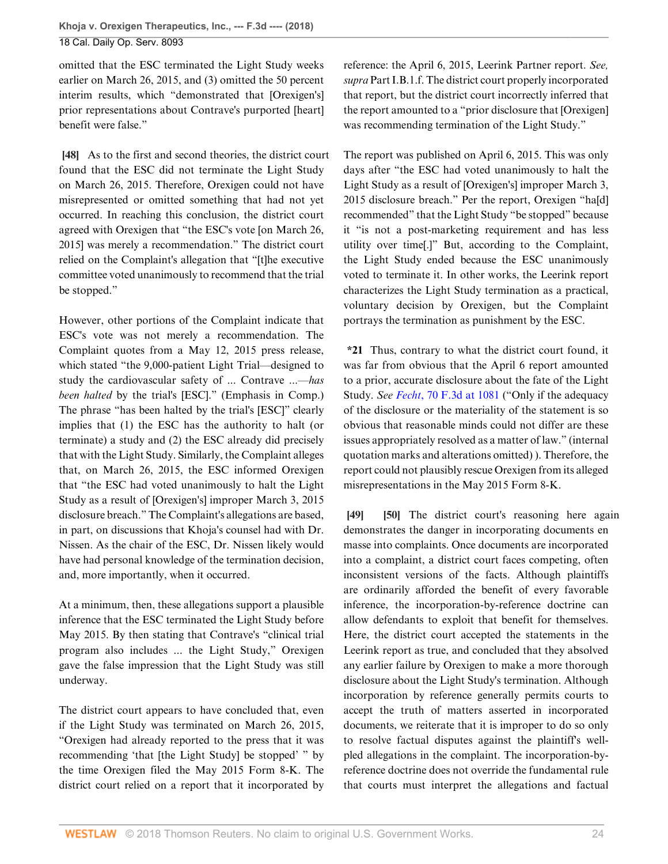omitted that the ESC terminated the Light Study weeks earlier on March 26, 2015, and (3) omitted the 50 percent interim results, which "demonstrated that [Orexigen's] prior representations about Contrave's purported [heart] benefit were false."

<span id="page-23-0"></span>**[\[48](#page-7-0)]** As to the first and second theories, the district court found that the ESC did not terminate the Light Study on March 26, 2015. Therefore, Orexigen could not have misrepresented or omitted something that had not yet occurred. In reaching this conclusion, the district court agreed with Orexigen that "the ESC's vote [on March 26, 2015] was merely a recommendation." The district court relied on the Complaint's allegation that "[t]he executive committee voted unanimously to recommend that the trial be stopped."

However, other portions of the Complaint indicate that ESC's vote was not merely a recommendation. The Complaint quotes from a May 12, 2015 press release, which stated "the 9,000-patient Light Trial—designed to study the cardiovascular safety of ... Contrave ...—*has been halted* by the trial's [ESC]." (Emphasis in Comp.) The phrase "has been halted by the trial's [ESC]" clearly implies that (1) the ESC has the authority to halt (or terminate) a study and (2) the ESC already did precisely that with the Light Study. Similarly, the Complaint alleges that, on March 26, 2015, the ESC informed Orexigen that "the ESC had voted unanimously to halt the Light Study as a result of [Orexigen's] improper March 3, 2015 disclosure breach." The Complaint's allegations are based, in part, on discussions that Khoja's counsel had with Dr. Nissen. As the chair of the ESC, Dr. Nissen likely would have had personal knowledge of the termination decision, and, more importantly, when it occurred.

At a minimum, then, these allegations support a plausible inference that the ESC terminated the Light Study before May 2015. By then stating that Contrave's "clinical trial program also includes ... the Light Study," Orexigen gave the false impression that the Light Study was still underway.

The district court appears to have concluded that, even if the Light Study was terminated on March 26, 2015, "Orexigen had already reported to the press that it was recommending 'that [the Light Study] be stopped' " by the time Orexigen filed the May 2015 Form 8-K. The district court relied on a report that it incorporated by reference: the April 6, 2015, Leerink Partner report. *See, supra* Part I.B.1.f. The district court properly incorporated that report, but the district court incorrectly inferred that the report amounted to a "prior disclosure that [Orexigen] was recommending termination of the Light Study."

The report was published on April 6, 2015. This was only days after "the ESC had voted unanimously to halt the Light Study as a result of [Orexigen's] improper March 3, 2015 disclosure breach." Per the report, Orexigen "ha[d] recommended" that the Light Study "be stopped" because it "is not a post-marketing requirement and has less utility over time[.]" But, according to the Complaint, the Light Study ended because the ESC unanimously voted to terminate it. In other works, the Leerink report characterizes the Light Study termination as a practical, voluntary decision by Orexigen, but the Complaint portrays the termination as punishment by the ESC.

**\*21** Thus, contrary to what the district court found, it was far from obvious that the April 6 report amounted to a prior, accurate disclosure about the fate of the Light Study. *See Fecht*[, 70 F.3d at 1081](http://www.westlaw.com/Link/Document/FullText?findType=Y&serNum=1995230403&pubNum=0000506&originatingDoc=I9120ac409f1411e892c4ce5625aacf64&refType=RP&fi=co_pp_sp_506_1081&originationContext=document&vr=3.0&rs=cblt1.0&transitionType=DocumentItem&contextData=(sc.Default)#co_pp_sp_506_1081) ("Only if the adequacy of the disclosure or the materiality of the statement is so obvious that reasonable minds could not differ are these issues appropriately resolved as a matter of law." (internal quotation marks and alterations omitted) ). Therefore, the report could not plausibly rescue Orexigen from its alleged misrepresentations in the May 2015 Form 8-K.

<span id="page-23-2"></span><span id="page-23-1"></span>**[\[49](#page-7-2)] [\[50](#page-7-3)]** The district court's reasoning here again demonstrates the danger in incorporating documents en masse into complaints. Once documents are incorporated into a complaint, a district court faces competing, often inconsistent versions of the facts. Although plaintiffs are ordinarily afforded the benefit of every favorable inference, the incorporation-by-reference doctrine can allow defendants to exploit that benefit for themselves. Here, the district court accepted the statements in the Leerink report as true, and concluded that they absolved any earlier failure by Orexigen to make a more thorough disclosure about the Light Study's termination. Although incorporation by reference generally permits courts to accept the truth of matters asserted in incorporated documents, we reiterate that it is improper to do so only to resolve factual disputes against the plaintiff's wellpled allegations in the complaint. The incorporation-byreference doctrine does not override the fundamental rule that courts must interpret the allegations and factual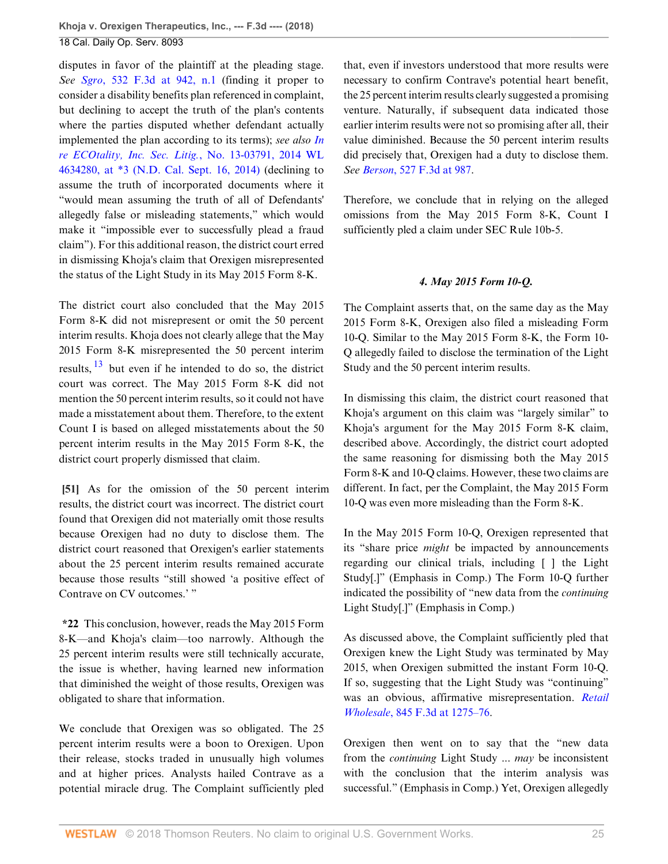disputes in favor of the plaintiff at the pleading stage. *See Sgro*[, 532 F.3d at 942, n.1](http://www.westlaw.com/Link/Document/FullText?findType=Y&serNum=2016447047&pubNum=0000506&originatingDoc=I9120ac409f1411e892c4ce5625aacf64&refType=RP&fi=co_pp_sp_506_942&originationContext=document&vr=3.0&rs=cblt1.0&transitionType=DocumentItem&contextData=(sc.Default)#co_pp_sp_506_942) (finding it proper to consider a disability benefits plan referenced in complaint, but declining to accept the truth of the plan's contents where the parties disputed whether defendant actually implemented the plan according to its terms); *see also [In](http://www.westlaw.com/Link/Document/FullText?findType=Y&serNum=2034339605&pubNum=0000999&originatingDoc=I9120ac409f1411e892c4ce5625aacf64&refType=RP&originationContext=document&vr=3.0&rs=cblt1.0&transitionType=DocumentItem&contextData=(sc.Default)) [re ECOtality, Inc. Sec. Litig.](http://www.westlaw.com/Link/Document/FullText?findType=Y&serNum=2034339605&pubNum=0000999&originatingDoc=I9120ac409f1411e892c4ce5625aacf64&refType=RP&originationContext=document&vr=3.0&rs=cblt1.0&transitionType=DocumentItem&contextData=(sc.Default))*, No. 13-03791, 2014 WL [4634280, at \\*3 \(N.D. Cal. Sept. 16, 2014\)](http://www.westlaw.com/Link/Document/FullText?findType=Y&serNum=2034339605&pubNum=0000999&originatingDoc=I9120ac409f1411e892c4ce5625aacf64&refType=RP&originationContext=document&vr=3.0&rs=cblt1.0&transitionType=DocumentItem&contextData=(sc.Default)) (declining to assume the truth of incorporated documents where it "would mean assuming the truth of all of Defendants' allegedly false or misleading statements," which would make it "impossible ever to successfully plead a fraud claim"). For this additional reason, the district court erred in dismissing Khoja's claim that Orexigen misrepresented the status of the Light Study in its May 2015 Form 8-K.

<span id="page-24-1"></span>The district court also concluded that the May 2015 Form 8-K did not misrepresent or omit the 50 percent interim results. Khoja does not clearly allege that the May 2015 Form 8-K misrepresented the 50 percent interim results,  $13$  but even if he intended to do so, the district court was correct. The May 2015 Form 8-K did not mention the 50 percent interim results, so it could not have made a misstatement about them. Therefore, to the extent Count I is based on alleged misstatements about the 50 percent interim results in the May 2015 Form 8-K, the district court properly dismissed that claim.

<span id="page-24-0"></span>**[\[51](#page-7-1)]** As for the omission of the 50 percent interim results, the district court was incorrect. The district court found that Orexigen did not materially omit those results because Orexigen had no duty to disclose them. The district court reasoned that Orexigen's earlier statements about the 25 percent interim results remained accurate because those results "still showed 'a positive effect of Contrave on CV outcomes.' "

**\*22** This conclusion, however, reads the May 2015 Form 8-K—and Khoja's claim—too narrowly. Although the 25 percent interim results were still technically accurate, the issue is whether, having learned new information that diminished the weight of those results, Orexigen was obligated to share that information.

We conclude that Orexigen was so obligated. The 25 percent interim results were a boon to Orexigen. Upon their release, stocks traded in unusually high volumes and at higher prices. Analysts hailed Contrave as a potential miracle drug. The Complaint sufficiently pled that, even if investors understood that more results were necessary to confirm Contrave's potential heart benefit, the 25 percent interim results clearly suggested a promising venture. Naturally, if subsequent data indicated those earlier interim results were not so promising after all, their value diminished. Because the 50 percent interim results did precisely that, Orexigen had a duty to disclose them. *See Berson*[, 527 F.3d at 987.](http://www.westlaw.com/Link/Document/FullText?findType=Y&serNum=2016243989&pubNum=0000506&originatingDoc=I9120ac409f1411e892c4ce5625aacf64&refType=RP&fi=co_pp_sp_506_987&originationContext=document&vr=3.0&rs=cblt1.0&transitionType=DocumentItem&contextData=(sc.Default)#co_pp_sp_506_987)

Therefore, we conclude that in relying on the alleged omissions from the May 2015 Form 8-K, Count I sufficiently pled a claim under SEC Rule 10b-5.

## *4. May 2015 Form 10-Q.*

The Complaint asserts that, on the same day as the May 2015 Form 8-K, Orexigen also filed a misleading Form 10-Q. Similar to the May 2015 Form 8-K, the Form 10- Q allegedly failed to disclose the termination of the Light Study and the 50 percent interim results.

In dismissing this claim, the district court reasoned that Khoja's argument on this claim was "largely similar" to Khoja's argument for the May 2015 Form 8-K claim, described above. Accordingly, the district court adopted the same reasoning for dismissing both the May 2015 Form 8-K and 10-Q claims. However, these two claims are different. In fact, per the Complaint, the May 2015 Form 10-Q was even more misleading than the Form 8-K.

In the May 2015 Form 10-Q, Orexigen represented that its "share price *might* be impacted by announcements regarding our clinical trials, including [ ] the Light Study[.]" (Emphasis in Comp.) The Form 10-Q further indicated the possibility of "new data from the *continuing* Light Study[.]" (Emphasis in Comp.)

As discussed above, the Complaint sufficiently pled that Orexigen knew the Light Study was terminated by May 2015, when Orexigen submitted the instant Form 10-Q. If so, suggesting that the Light Study was "continuing" was an obvious, affirmative misrepresentation. *[Retail](http://www.westlaw.com/Link/Document/FullText?findType=Y&serNum=2040794802&pubNum=0000506&originatingDoc=I9120ac409f1411e892c4ce5625aacf64&refType=RP&fi=co_pp_sp_506_1275&originationContext=document&vr=3.0&rs=cblt1.0&transitionType=DocumentItem&contextData=(sc.Default)#co_pp_sp_506_1275) Wholesale*[, 845 F.3d at 1275–76.](http://www.westlaw.com/Link/Document/FullText?findType=Y&serNum=2040794802&pubNum=0000506&originatingDoc=I9120ac409f1411e892c4ce5625aacf64&refType=RP&fi=co_pp_sp_506_1275&originationContext=document&vr=3.0&rs=cblt1.0&transitionType=DocumentItem&contextData=(sc.Default)#co_pp_sp_506_1275)

Orexigen then went on to say that the "new data from the *continuing* Light Study ... *may* be inconsistent with the conclusion that the interim analysis was successful." (Emphasis in Comp.) Yet, Orexigen allegedly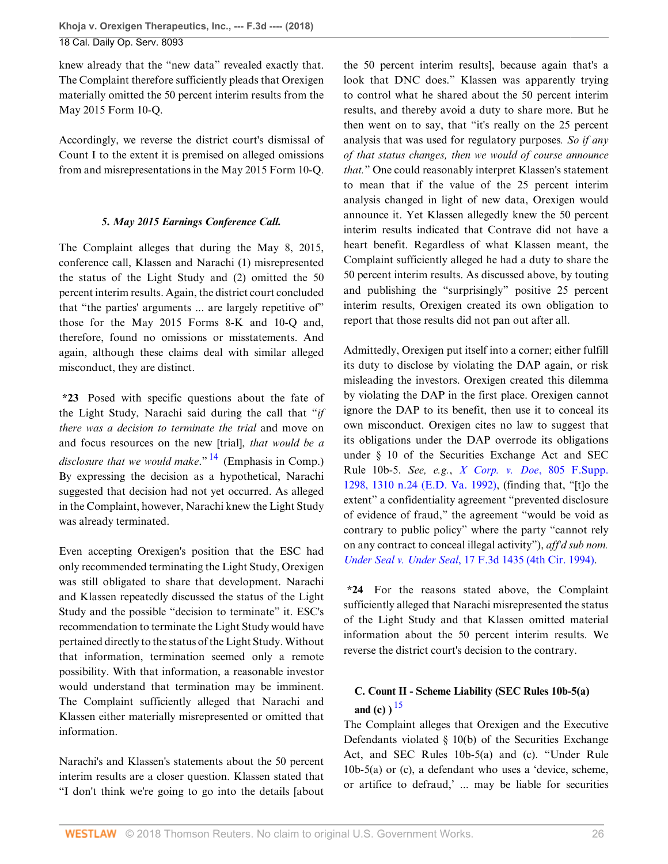knew already that the "new data" revealed exactly that. The Complaint therefore sufficiently pleads that Orexigen materially omitted the 50 percent interim results from the May 2015 Form 10-Q.

Accordingly, we reverse the district court's dismissal of Count I to the extent it is premised on alleged omissions from and misrepresentations in the May 2015 Form 10-Q.

## *5. May 2015 Earnings Conference Call.*

The Complaint alleges that during the May 8, 2015, conference call, Klassen and Narachi (1) misrepresented the status of the Light Study and (2) omitted the 50 percent interim results. Again, the district court concluded that "the parties' arguments ... are largely repetitive of" those for the May 2015 Forms 8-K and 10-Q and, therefore, found no omissions or misstatements. And again, although these claims deal with similar alleged misconduct, they are distinct.

<span id="page-25-0"></span>**\*23** Posed with specific questions about the fate of the Light Study, Narachi said during the call that "*if there was a decision to terminate the trial* and move on and focus resources on the new [trial], *that would be a disclosure that we would make*." [14](#page-27-14) (Emphasis in Comp.) By expressing the decision as a hypothetical, Narachi suggested that decision had not yet occurred. As alleged in the Complaint, however, Narachi knew the Light Study was already terminated.

Even accepting Orexigen's position that the ESC had only recommended terminating the Light Study, Orexigen was still obligated to share that development. Narachi and Klassen repeatedly discussed the status of the Light Study and the possible "decision to terminate" it. ESC's recommendation to terminate the Light Study would have pertained directly to the status of the Light Study. Without that information, termination seemed only a remote possibility. With that information, a reasonable investor would understand that termination may be imminent. The Complaint sufficiently alleged that Narachi and Klassen either materially misrepresented or omitted that information.

Narachi's and Klassen's statements about the 50 percent interim results are a closer question. Klassen stated that "I don't think we're going to go into the details [about the 50 percent interim results], because again that's a look that DNC does." Klassen was apparently trying to control what he shared about the 50 percent interim results, and thereby avoid a duty to share more. But he then went on to say, that "it's really on the 25 percent analysis that was used for regulatory purposes*. So if any of that status changes, then we would of course announce that.*" One could reasonably interpret Klassen's statement to mean that if the value of the 25 percent interim analysis changed in light of new data, Orexigen would announce it. Yet Klassen allegedly knew the 50 percent interim results indicated that Contrave did not have a heart benefit. Regardless of what Klassen meant, the Complaint sufficiently alleged he had a duty to share the 50 percent interim results. As discussed above, by touting and publishing the "surprisingly" positive 25 percent interim results, Orexigen created its own obligation to report that those results did not pan out after all.

Admittedly, Orexigen put itself into a corner; either fulfill its duty to disclose by violating the DAP again, or risk misleading the investors. Orexigen created this dilemma by violating the DAP in the first place. Orexigen cannot ignore the DAP to its benefit, then use it to conceal its own misconduct. Orexigen cites no law to suggest that its obligations under the DAP overrode its obligations under § 10 of the Securities Exchange Act and SEC Rule 10b-5. *See, e.g.*, *[X Corp. v. Doe](http://www.westlaw.com/Link/Document/FullText?findType=Y&serNum=1992154615&pubNum=0000345&originatingDoc=I9120ac409f1411e892c4ce5625aacf64&refType=RP&fi=co_pp_sp_345_1310&originationContext=document&vr=3.0&rs=cblt1.0&transitionType=DocumentItem&contextData=(sc.Default)#co_pp_sp_345_1310)*, 805 F.Supp. [1298, 1310 n.24 \(E.D. Va. 1992\)](http://www.westlaw.com/Link/Document/FullText?findType=Y&serNum=1992154615&pubNum=0000345&originatingDoc=I9120ac409f1411e892c4ce5625aacf64&refType=RP&fi=co_pp_sp_345_1310&originationContext=document&vr=3.0&rs=cblt1.0&transitionType=DocumentItem&contextData=(sc.Default)#co_pp_sp_345_1310), (finding that, "[t]o the extent" a confidentiality agreement "prevented disclosure of evidence of fraud," the agreement "would be void as contrary to public policy" where the party "cannot rely on any contract to conceal illegal activity"), *aff'd sub nom. Under Seal v. Under Seal*[, 17 F.3d 1435 \(4th Cir. 1994\).](http://www.westlaw.com/Link/Document/FullText?findType=Y&serNum=1994051947&pubNum=0000506&originatingDoc=I9120ac409f1411e892c4ce5625aacf64&refType=RP&originationContext=document&vr=3.0&rs=cblt1.0&transitionType=DocumentItem&contextData=(sc.Default))

**\*24** For the reasons stated above, the Complaint sufficiently alleged that Narachi misrepresented the status of the Light Study and that Klassen omitted material information about the 50 percent interim results. We reverse the district court's decision to the contrary.

## <span id="page-25-1"></span>**C. Count II - Scheme Liability (SEC Rules 10b-5(a) and** (c)  $\frac{15}{15}$  $\frac{15}{15}$  $\frac{15}{15}$

The Complaint alleges that Orexigen and the Executive Defendants violated  $\S$  10(b) of the Securities Exchange Act, and SEC Rules 10b-5(a) and (c). "Under Rule 10b-5(a) or (c), a defendant who uses a 'device, scheme, or artifice to defraud,' ... may be liable for securities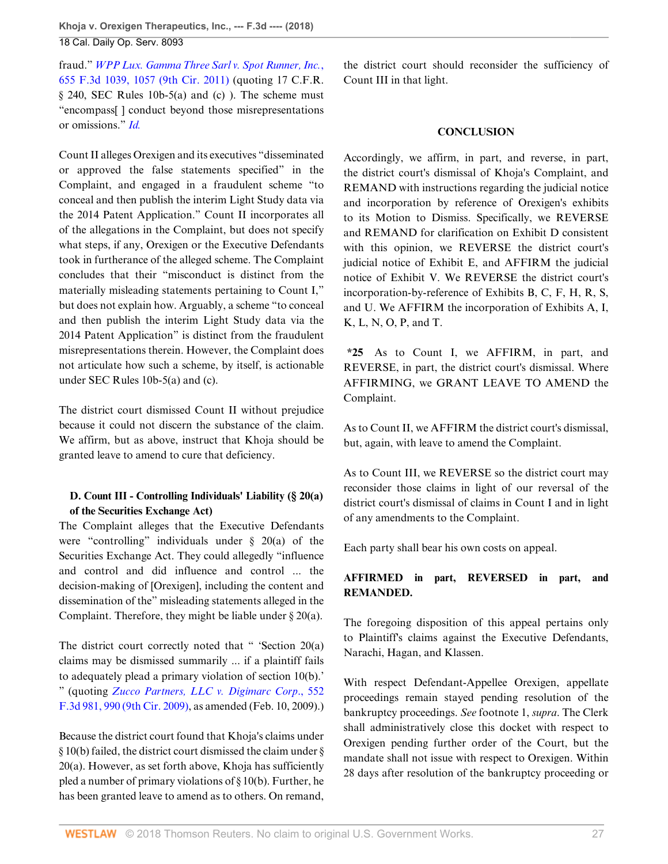fraud." *[WPP Lux. Gamma Three Sarl v. Spot Runner, Inc.](http://www.westlaw.com/Link/Document/FullText?findType=Y&serNum=2025920521&pubNum=0000506&originatingDoc=I9120ac409f1411e892c4ce5625aacf64&refType=RP&fi=co_pp_sp_506_1057&originationContext=document&vr=3.0&rs=cblt1.0&transitionType=DocumentItem&contextData=(sc.Default)#co_pp_sp_506_1057)*, [655 F.3d 1039, 1057 \(9th Cir. 2011\)](http://www.westlaw.com/Link/Document/FullText?findType=Y&serNum=2025920521&pubNum=0000506&originatingDoc=I9120ac409f1411e892c4ce5625aacf64&refType=RP&fi=co_pp_sp_506_1057&originationContext=document&vr=3.0&rs=cblt1.0&transitionType=DocumentItem&contextData=(sc.Default)#co_pp_sp_506_1057) (quoting 17 C.F.R.  $§$  240, SEC Rules 10b-5(a) and (c)). The scheme must "encompass[ ] conduct beyond those misrepresentations or omissions." *[Id.](http://www.westlaw.com/Link/Document/FullText?findType=Y&serNum=2025920521&pubNum=0000506&originatingDoc=I9120ac409f1411e892c4ce5625aacf64&refType=RP&originationContext=document&vr=3.0&rs=cblt1.0&transitionType=DocumentItem&contextData=(sc.Default))*

Count II alleges Orexigen and its executives "disseminated or approved the false statements specified" in the Complaint, and engaged in a fraudulent scheme "to conceal and then publish the interim Light Study data via the 2014 Patent Application." Count II incorporates all of the allegations in the Complaint, but does not specify what steps, if any, Orexigen or the Executive Defendants took in furtherance of the alleged scheme. The Complaint concludes that their "misconduct is distinct from the materially misleading statements pertaining to Count I," but does not explain how. Arguably, a scheme "to conceal and then publish the interim Light Study data via the 2014 Patent Application" is distinct from the fraudulent misrepresentations therein. However, the Complaint does not articulate how such a scheme, by itself, is actionable under SEC Rules 10b-5(a) and (c).

The district court dismissed Count II without prejudice because it could not discern the substance of the claim. We affirm, but as above, instruct that Khoja should be granted leave to amend to cure that deficiency.

## **D. Count III - Controlling Individuals' Liability (§ 20(a) of the Securities Exchange Act)**

The Complaint alleges that the Executive Defendants were "controlling" individuals under § 20(a) of the Securities Exchange Act. They could allegedly "influence and control and did influence and control ... the decision-making of [Orexigen], including the content and dissemination of the" misleading statements alleged in the Complaint. Therefore, they might be liable under § 20(a).

The district court correctly noted that " 'Section 20(a) claims may be dismissed summarily ... if a plaintiff fails to adequately plead a primary violation of section 10(b).' " (quoting *[Zucco Partners, LLC v. Digimarc Corp](http://www.westlaw.com/Link/Document/FullText?findType=Y&serNum=2017861926&pubNum=0000506&originatingDoc=I9120ac409f1411e892c4ce5625aacf64&refType=RP&fi=co_pp_sp_506_990&originationContext=document&vr=3.0&rs=cblt1.0&transitionType=DocumentItem&contextData=(sc.Default)#co_pp_sp_506_990)*., 552 [F.3d 981, 990 \(9th Cir. 2009\),](http://www.westlaw.com/Link/Document/FullText?findType=Y&serNum=2017861926&pubNum=0000506&originatingDoc=I9120ac409f1411e892c4ce5625aacf64&refType=RP&fi=co_pp_sp_506_990&originationContext=document&vr=3.0&rs=cblt1.0&transitionType=DocumentItem&contextData=(sc.Default)#co_pp_sp_506_990) as amended (Feb. 10, 2009).)

Because the district court found that Khoja's claims under § 10(b) failed, the district court dismissed the claim under § 20(a). However, as set forth above, Khoja has sufficiently pled a number of primary violations of § 10(b). Further, he has been granted leave to amend as to others. On remand, the district court should reconsider the sufficiency of Count III in that light.

## **CONCLUSION**

Accordingly, we affirm, in part, and reverse, in part, the district court's dismissal of Khoja's Complaint, and REMAND with instructions regarding the judicial notice and incorporation by reference of Orexigen's exhibits to its Motion to Dismiss. Specifically, we REVERSE and REMAND for clarification on Exhibit D consistent with this opinion, we REVERSE the district court's judicial notice of Exhibit E, and AFFIRM the judicial notice of Exhibit V. We REVERSE the district court's incorporation-by-reference of Exhibits B, C, F, H, R, S, and U. We AFFIRM the incorporation of Exhibits A, I, K, L, N, O, P, and T.

**\*25** As to Count I, we AFFIRM, in part, and REVERSE, in part, the district court's dismissal. Where AFFIRMING, we GRANT LEAVE TO AMEND the Complaint.

As to Count II, we AFFIRM the district court's dismissal, but, again, with leave to amend the Complaint.

As to Count III, we REVERSE so the district court may reconsider those claims in light of our reversal of the district court's dismissal of claims in Count I and in light of any amendments to the Complaint.

Each party shall bear his own costs on appeal.

## **AFFIRMED in part, REVERSED in part, and REMANDED.**

The foregoing disposition of this appeal pertains only to Plaintiff's claims against the Executive Defendants, Narachi, Hagan, and Klassen.

With respect Defendant-Appellee Orexigen, appellate proceedings remain stayed pending resolution of the bankruptcy proceedings. *See* footnote 1, *supra*. The Clerk shall administratively close this docket with respect to Orexigen pending further order of the Court, but the mandate shall not issue with respect to Orexigen. Within 28 days after resolution of the bankruptcy proceeding or